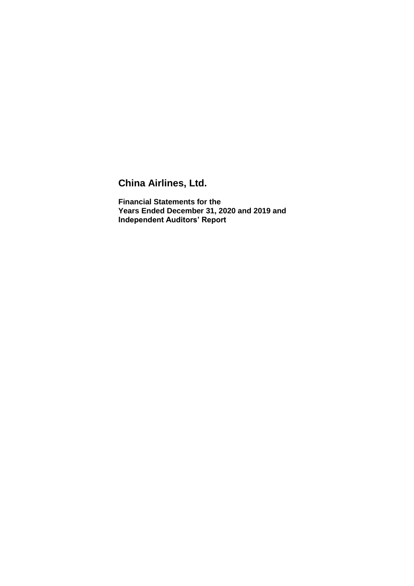# **China Airlines, Ltd.**

**Financial Statements for the Years Ended December 31, 2020 and 2019 and Independent Auditors' Report**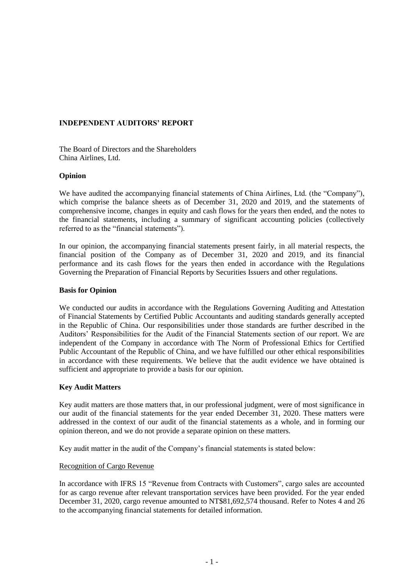# **INDEPENDENT AUDITORS' REPORT**

The Board of Directors and the Shareholders China Airlines, Ltd.

#### **Opinion**

We have audited the accompanying financial statements of China Airlines, Ltd. (the "Company"), which comprise the balance sheets as of December 31, 2020 and 2019, and the statements of comprehensive income, changes in equity and cash flows for the years then ended, and the notes to the financial statements, including a summary of significant accounting policies (collectively referred to as the "financial statements").

In our opinion, the accompanying financial statements present fairly, in all material respects, the financial position of the Company as of December 31, 2020 and 2019, and its financial performance and its cash flows for the years then ended in accordance with the Regulations Governing the Preparation of Financial Reports by Securities Issuers and other regulations.

### **Basis for Opinion**

We conducted our audits in accordance with the Regulations Governing Auditing and Attestation of Financial Statements by Certified Public Accountants and auditing standards generally accepted in the Republic of China. Our responsibilities under those standards are further described in the Auditors' Responsibilities for the Audit of the Financial Statements section of our report. We are independent of the Company in accordance with The Norm of Professional Ethics for Certified Public Accountant of the Republic of China, and we have fulfilled our other ethical responsibilities in accordance with these requirements. We believe that the audit evidence we have obtained is sufficient and appropriate to provide a basis for our opinion.

#### **Key Audit Matters**

Key audit matters are those matters that, in our professional judgment, were of most significance in our audit of the financial statements for the year ended December 31, 2020. These matters were addressed in the context of our audit of the financial statements as a whole, and in forming our opinion thereon, and we do not provide a separate opinion on these matters.

Key audit matter in the audit of the Company's financial statements is stated below:

#### Recognition of Cargo Revenue

In accordance with IFRS 15 "Revenue from Contracts with Customers", cargo sales are accounted for as cargo revenue after relevant transportation services have been provided. For the year ended December 31, 2020, cargo revenue amounted to NT\$81,692,574 thousand. Refer to Notes 4 and 26 to the accompanying financial statements for detailed information.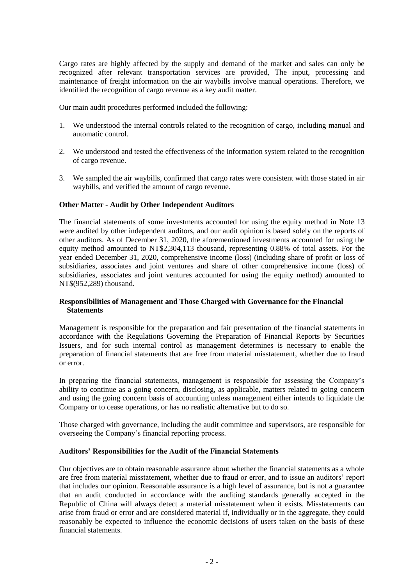Cargo rates are highly affected by the supply and demand of the market and sales can only be recognized after relevant transportation services are provided, The input, processing and maintenance of freight information on the air waybills involve manual operations. Therefore, we identified the recognition of cargo revenue as a key audit matter.

Our main audit procedures performed included the following:

- 1. We understood the internal controls related to the recognition of cargo, including manual and automatic control.
- 2. We understood and tested the effectiveness of the information system related to the recognition of cargo revenue.
- 3. We sampled the air waybills, confirmed that cargo rates were consistent with those stated in air waybills, and verified the amount of cargo revenue.

#### **Other Matter - Audit by Other Independent Auditors**

The financial statements of some investments accounted for using the equity method in Note 13 were audited by other independent auditors, and our audit opinion is based solely on the reports of other auditors. As of December 31, 2020, the aforementioned investments accounted for using the equity method amounted to NT\$2,304,113 thousand, representing 0.88% of total assets. For the year ended December 31, 2020, comprehensive income (loss) (including share of profit or loss of subsidiaries, associates and joint ventures and share of other comprehensive income (loss) of subsidiaries, associates and joint ventures accounted for using the equity method) amounted to NT\$(952,289) thousand.

#### **Responsibilities of Management and Those Charged with Governance for the Financial Statements**

Management is responsible for the preparation and fair presentation of the financial statements in accordance with the Regulations Governing the Preparation of Financial Reports by Securities Issuers, and for such internal control as management determines is necessary to enable the preparation of financial statements that are free from material misstatement, whether due to fraud or error.

In preparing the financial statements, management is responsible for assessing the Company's ability to continue as a going concern, disclosing, as applicable, matters related to going concern and using the going concern basis of accounting unless management either intends to liquidate the Company or to cease operations, or has no realistic alternative but to do so.

Those charged with governance, including the audit committee and supervisors, are responsible for overseeing the Company's financial reporting process.

#### **Auditors' Responsibilities for the Audit of the Financial Statements**

Our objectives are to obtain reasonable assurance about whether the financial statements as a whole are free from material misstatement, whether due to fraud or error, and to issue an auditors' report that includes our opinion. Reasonable assurance is a high level of assurance, but is not a guarantee that an audit conducted in accordance with the auditing standards generally accepted in the Republic of China will always detect a material misstatement when it exists. Misstatements can arise from fraud or error and are considered material if, individually or in the aggregate, they could reasonably be expected to influence the economic decisions of users taken on the basis of these financial statements.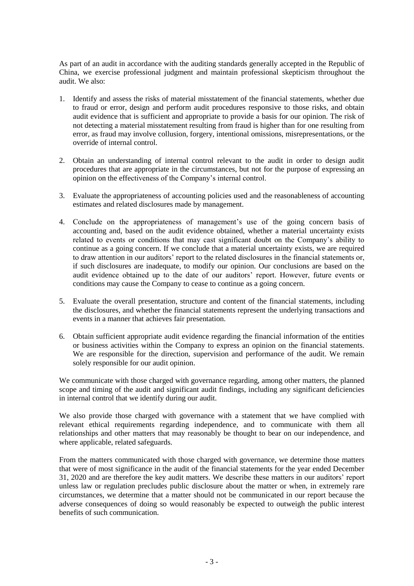As part of an audit in accordance with the auditing standards generally accepted in the Republic of China, we exercise professional judgment and maintain professional skepticism throughout the audit. We also:

- 1. Identify and assess the risks of material misstatement of the financial statements, whether due to fraud or error, design and perform audit procedures responsive to those risks, and obtain audit evidence that is sufficient and appropriate to provide a basis for our opinion. The risk of not detecting a material misstatement resulting from fraud is higher than for one resulting from error, as fraud may involve collusion, forgery, intentional omissions, misrepresentations, or the override of internal control.
- 2. Obtain an understanding of internal control relevant to the audit in order to design audit procedures that are appropriate in the circumstances, but not for the purpose of expressing an opinion on the effectiveness of the Company's internal control.
- 3. Evaluate the appropriateness of accounting policies used and the reasonableness of accounting estimates and related disclosures made by management.
- 4. Conclude on the appropriateness of management's use of the going concern basis of accounting and, based on the audit evidence obtained, whether a material uncertainty exists related to events or conditions that may cast significant doubt on the Company's ability to continue as a going concern. If we conclude that a material uncertainty exists, we are required to draw attention in our auditors' report to the related disclosures in the financial statements or, if such disclosures are inadequate, to modify our opinion. Our conclusions are based on the audit evidence obtained up to the date of our auditors' report. However, future events or conditions may cause the Company to cease to continue as a going concern.
- 5. Evaluate the overall presentation, structure and content of the financial statements, including the disclosures, and whether the financial statements represent the underlying transactions and events in a manner that achieves fair presentation.
- 6. Obtain sufficient appropriate audit evidence regarding the financial information of the entities or business activities within the Company to express an opinion on the financial statements. We are responsible for the direction, supervision and performance of the audit. We remain solely responsible for our audit opinion.

We communicate with those charged with governance regarding, among other matters, the planned scope and timing of the audit and significant audit findings, including any significant deficiencies in internal control that we identify during our audit.

We also provide those charged with governance with a statement that we have complied with relevant ethical requirements regarding independence, and to communicate with them all relationships and other matters that may reasonably be thought to bear on our independence, and where applicable, related safeguards.

From the matters communicated with those charged with governance, we determine those matters that were of most significance in the audit of the financial statements for the year ended December 31, 2020 and are therefore the key audit matters. We describe these matters in our auditors' report unless law or regulation precludes public disclosure about the matter or when, in extremely rare circumstances, we determine that a matter should not be communicated in our report because the adverse consequences of doing so would reasonably be expected to outweigh the public interest benefits of such communication.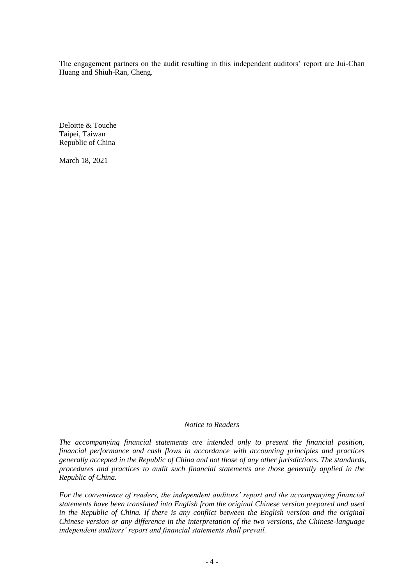The engagement partners on the audit resulting in this independent auditors' report are Jui-Chan Huang and Shiuh-Ran, Cheng.

Deloitte & Touche Taipei, Taiwan Republic of China

March 18, 2021

#### *Notice to Readers*

*The accompanying financial statements are intended only to present the financial position, financial performance and cash flows in accordance with accounting principles and practices generally accepted in the Republic of China and not those of any other jurisdictions. The standards, procedures and practices to audit such financial statements are those generally applied in the Republic of China.* 

*For the convenience of readers, the independent auditors' report and the accompanying financial statements have been translated into English from the original Chinese version prepared and used in the Republic of China. If there is any conflict between the English version and the original Chinese version or any difference in the interpretation of the two versions, the Chinese-language independent auditors' report and financial statements shall prevail.*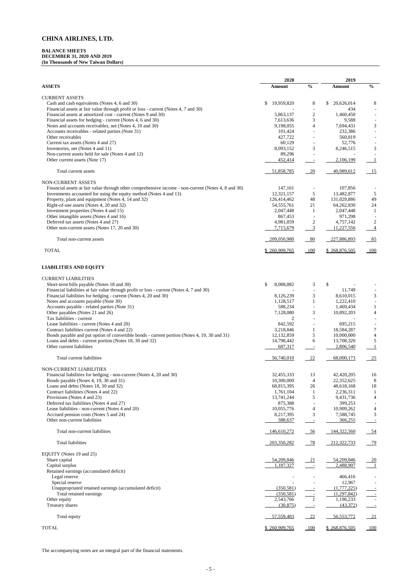#### **BALANCE SHEETS DECEMBER 31, 2020 AND 2019 (In Thousands of New Taiwan Dollars)**

|                                                                                                     | 2020             |                         | 2019             |                  |  |
|-----------------------------------------------------------------------------------------------------|------------------|-------------------------|------------------|------------------|--|
| <b>ASSETS</b>                                                                                       | Amount           | $\frac{0}{0}$           | Amount           | $\frac{0}{0}$    |  |
| <b>CURRENT ASSETS</b>                                                                               |                  |                         |                  |                  |  |
| Cash and cash equivalents (Notes 4, 6 and 30)                                                       | 19,959,820<br>\$ | 8                       | 20,626,014<br>\$ | 8                |  |
| Financial assets at fair value through profit or loss - current (Notes 4, 7 and 30)                 |                  |                         | 434              |                  |  |
| Financial assets at amortized cost - current (Notes 9 and 30)                                       | 5,863,137        | $\overline{c}$          | 1,460,450        |                  |  |
| Financial assets for hedging - current (Notes 4, 6 and 30)                                          | 7,613,636        | 3                       | 9,588            |                  |  |
| Notes and accounts receivables, net (Notes 4, 10 and 30)                                            | 9,198,055        | $\overline{\mathbf{4}}$ | 7,694,431        | 3                |  |
| Accounts receivables - related parties (Note 31)                                                    | 101,424          |                         | 232,386          |                  |  |
| Other receivables                                                                                   | 427,722          |                         | 560,819          |                  |  |
| Current tax assets (Notes 4 and 27)                                                                 | 60,129           | $\sim$                  | 52,776           |                  |  |
| Inventories, net (Notes 4 and 11)                                                                   | 8,093,152        | 3                       | 8,246,515        | $\mathfrak 3$    |  |
| Non-current assets held for sale (Notes 4 and 12)                                                   | 89,296           |                         |                  |                  |  |
| Other current assets (Note 17)                                                                      | 452,414          |                         | 2,106,199        |                  |  |
| Total current assets                                                                                | 51,858,785       | $-20$                   | 40,989,612       | 15               |  |
| NON-CURRENT ASSETS                                                                                  |                  |                         |                  |                  |  |
| Financial assets at fair value through other comprehensive income - non-current (Notes 4, 8 and 30) | 147,161          |                         | 107,856          |                  |  |
| Investments accounted for using the equity method (Notes 4 and 13)                                  | 12,321,157       | 5                       | 13,482,877       | 5                |  |
| Property, plant and equipment (Notes 4, 14 and 32)                                                  | 126,414,462      | 48                      | 131,029,886      | 49               |  |
| Right-of-use assets (Notes 4, 20 and 32)                                                            | 54, 555, 761     | 21                      | 64,262,830       | 24               |  |
|                                                                                                     | 2,047,448        |                         | 2,047,448        |                  |  |
| Investment properties (Notes 4 and 15)                                                              |                  | -1                      |                  | -1               |  |
| Other intangible assets (Notes 4 and 16)                                                            | 867,453          |                         | 971,298          |                  |  |
| Deferred tax assets (Notes 4 and 27)                                                                | 4,981,859        | $\boldsymbol{2}$        | 4,757,142        | $\boldsymbol{2}$ |  |
| Other non-current assets (Notes 17, 20 and 30)                                                      | 7,715,679        | $\overline{3}$          | 11,227,556       | $\overline{4}$   |  |
| Total non-current assets                                                                            | 209,050,980      | $-80$                   | 227,886,893      | $-85$            |  |
| <b>TOTAL</b>                                                                                        | \$260,909,765    | 100                     | \$268,876,505    | 100              |  |
| <b>LIABILITIES AND EQUITY</b>                                                                       |                  |                         |                  |                  |  |
| <b>CURRENT LIABILITIES</b>                                                                          |                  |                         |                  |                  |  |
| Short-term bills payable (Notes 18 and 30)                                                          | \$<br>8,088,882  | 3                       | \$               |                  |  |
| Financial liabilities at fair value through profit or loss - current (Notes 4, 7 and 30)            |                  |                         | 11,749           |                  |  |
| Financial liabilities for hedging - current (Notes 4, 20 and 30)                                    | 8,126,239        | 3                       | 8,610,015        | 3                |  |
| Notes and accounts payable (Note 30)                                                                | 1,128,517        | 1                       | 1,222,410        |                  |  |
| Accounts payable - related parties (Note 31)                                                        | 588,234          |                         | 1,469,434        |                  |  |
| Other payables (Notes 21 and 26)                                                                    | 7,128,080        | $\sqrt{3}$              | 10,892,203       |                  |  |
| Tax liabilities - current                                                                           |                  |                         |                  |                  |  |
| Lease liabilities - current (Notes 4 and 20)                                                        | 842,592          |                         | 695,215          |                  |  |
| Contract liabilities current (Notes 4 and 22)                                                       | 3,218,846        | 1                       | 18,584,287       | 7                |  |
| Bonds payable and put option of convertible bonds - current portion (Notes 4, 19, 30 and 31)        | 12,132,859       | 5                       | 10,000,000       | 4                |  |
| Loans and debts - current portion (Notes 18, 30 and 32)                                             | 14,798,442       | 6                       | 13,708,320       | 5                |  |
| Other current liabilities                                                                           | 687,317          |                         | 2,806,540        | $\overline{1}$   |  |
| Total current liabilities                                                                           | 56,740,010       | $\frac{22}{2}$          | 68,000,173       | $-25$            |  |
| NON-CURRENT LIABILITIES                                                                             |                  |                         |                  |                  |  |
| Financial liabilities for hedging - non-current (Notes 4, 20 and 30)                                | 32,455,333       | 13                      | 42,420,205       | 16               |  |
|                                                                                                     |                  |                         |                  |                  |  |
| Bonds payable (Notes 4, 19, 30 and 31)                                                              | 10,300,000       | $\overline{4}$          | 22,352,625       | 8                |  |
| Loans and debts (Notes 18, 30 and 32)                                                               | 68,815,395       | 26                      | 48,618,168       | 18               |  |
| Contract liabilities (Notes 4 and 22)                                                               | 1,761,104        | $\mathbf{1}$            | 2,236,311        |                  |  |
| Provisions (Notes 4 and 23)                                                                         | 13,741,244       | 5                       | 9,431,736        | 4                |  |
| Deferred tax liabilities (Notes 4 and 27)                                                           | 875,388          |                         | 399,253          |                  |  |
| Lease liabilities - non-current (Notes 4 and 20)                                                    | 10,055,776       | 4                       | 10,909,262       | 4                |  |

Accrued pension costs (Notes 5 and 24)<br>
Other non-current liabilities<br>
288,637 - 386,255 3 366,255 - 388,637 3 366,255 3 366,255 3 366,255 3 3 366,255 3 366,255 3 366,255 3 366,255 Other non-current liabilities 388,637 - 366,255 - 366,255 Total non-current liabilities 146,610,272 56 144,322,560 54 Total liabilities 203,350,282 78 212,322,733 79

| i otal habilities                                      | 203,350,282   | 18  | 212,322,133   | $^{19}$     |
|--------------------------------------------------------|---------------|-----|---------------|-------------|
| EQUITY (Notes 19 and 25)                               |               |     |               |             |
| Share capital                                          | 54,209,846    | 21  | 54,209,846    | 20          |
| Capital surplus                                        | 1,187,327     |     | 2,488,907     |             |
| Retained earnings (accumulated deficit)                |               |     |               |             |
| Legal reserve                                          |               |     | 466,416       | $\sim$      |
| Special reserve                                        |               |     | 12,967        | $\sim$      |
| Unappropriated retained earnings (accumulated deficit) | (350, 581)    |     | (1,777,225)   |             |
| Total retained earnings                                | (350, 581)    |     | (1, 297, 842) | $\sim$ $-$  |
| Other equity                                           | 2,543,766     |     | 1,196,233     | $\sim$      |
| Treasury shares                                        | (30, 875)     |     | (43, 372)     |             |
| Total equity                                           | 57, 559, 483  | 22  | 56, 553, 772  | $\sqrt{21}$ |
| <b>TOTAL</b>                                           | \$260,909,765 | 100 | \$268,876,505 | 100         |

The accompanying notes are an integral part of the financial statements.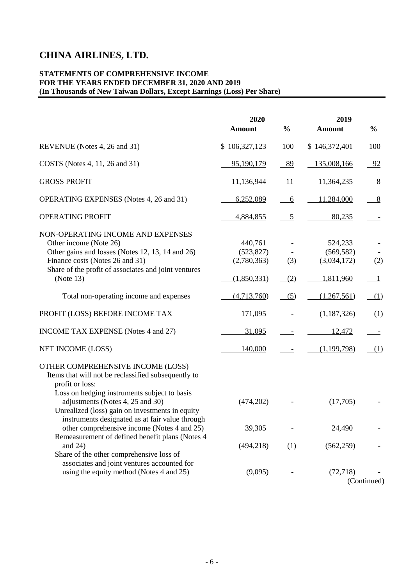# **STATEMENTS OF COMPREHENSIVE INCOME FOR THE YEARS ENDED DECEMBER 31, 2020 AND 2019 (In Thousands of New Taiwan Dollars, Except Earnings (Loss) Per Share)**

|                                                                                                                                                                                                                                                                                                                                                                                                         | 2020                                                |                | 2019                                              |                |  |
|---------------------------------------------------------------------------------------------------------------------------------------------------------------------------------------------------------------------------------------------------------------------------------------------------------------------------------------------------------------------------------------------------------|-----------------------------------------------------|----------------|---------------------------------------------------|----------------|--|
|                                                                                                                                                                                                                                                                                                                                                                                                         | <b>Amount</b>                                       | $\frac{0}{0}$  | <b>Amount</b>                                     | $\frac{0}{0}$  |  |
| REVENUE (Notes 4, 26 and 31)                                                                                                                                                                                                                                                                                                                                                                            | \$106,327,123                                       | 100            | \$146,372,401                                     | 100            |  |
| COSTS (Notes 4, 11, 26 and 31)                                                                                                                                                                                                                                                                                                                                                                          | 95,190,179                                          | 89             | 135,008,166                                       | 92             |  |
| <b>GROSS PROFIT</b>                                                                                                                                                                                                                                                                                                                                                                                     | 11,136,944                                          | 11             | 11,364,235                                        | 8              |  |
| <b>OPERATING EXPENSES</b> (Notes 4, 26 and 31)                                                                                                                                                                                                                                                                                                                                                          | 6,252,089                                           | 6              | 11,284,000                                        | 8              |  |
| OPERATING PROFIT                                                                                                                                                                                                                                                                                                                                                                                        | 4,884,855                                           | $\overline{5}$ | 80,235                                            |                |  |
| NON-OPERATING INCOME AND EXPENSES<br>Other income (Note 26)<br>Other gains and losses (Notes 12, 13, 14 and 26)<br>Finance costs (Notes 26 and 31)<br>Share of the profit of associates and joint ventures<br>(Note 13)                                                                                                                                                                                 | 440,761<br>(523, 827)<br>(2,780,363)<br>(1,850,331) | (3)<br>(2)     | 524,233<br>(569, 582)<br>(3,034,172)<br>1,811,960 | (2)<br>$\perp$ |  |
| Total non-operating income and expenses                                                                                                                                                                                                                                                                                                                                                                 | (4,713,760)                                         | (5)            | (1,267,561)                                       | (1)            |  |
| PROFIT (LOSS) BEFORE INCOME TAX                                                                                                                                                                                                                                                                                                                                                                         | 171,095                                             |                | (1,187,326)                                       | (1)            |  |
| INCOME TAX EXPENSE (Notes 4 and 27)                                                                                                                                                                                                                                                                                                                                                                     | 31,095                                              |                | 12,472                                            |                |  |
| NET INCOME (LOSS)                                                                                                                                                                                                                                                                                                                                                                                       | 140,000                                             |                | (1,199,798)                                       | (1)            |  |
| OTHER COMPREHENSIVE INCOME (LOSS)<br>Items that will not be reclassified subsequently to<br>profit or loss:<br>Loss on hedging instruments subject to basis<br>adjustments (Notes 4, 25 and 30)<br>Unrealized (loss) gain on investments in equity<br>instruments designated as at fair value through<br>other comprehensive income (Notes 4 and 25)<br>Remeasurement of defined benefit plans (Notes 4 | (474,202)<br>39,305                                 |                | (17,705)<br>24,490                                |                |  |
| and $24)$                                                                                                                                                                                                                                                                                                                                                                                               | (494, 218)                                          | (1)            | (562, 259)                                        |                |  |
| Share of the other comprehensive loss of<br>associates and joint ventures accounted for<br>using the equity method (Notes 4 and 25)                                                                                                                                                                                                                                                                     | (9,095)                                             |                | (72, 718)                                         | (Continued)    |  |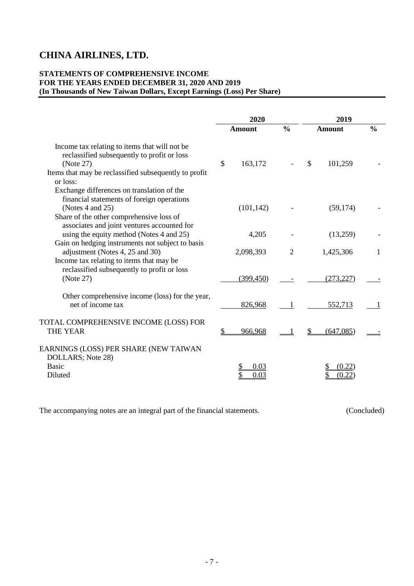# **STATEMENTS OF COMPREHENSIVE INCOME FOR THE YEARS ENDED DECEMBER 31, 2020 AND 2019 (In Thousands of New Taiwan Dollars, Except Earnings (Loss) Per Share)**

|                                                                                                                                                                                                              | 2020 |               |               | 2019 |                  |               |  |
|--------------------------------------------------------------------------------------------------------------------------------------------------------------------------------------------------------------|------|---------------|---------------|------|------------------|---------------|--|
|                                                                                                                                                                                                              |      | <b>Amount</b> | $\frac{0}{0}$ |      | <b>Amount</b>    | $\frac{6}{6}$ |  |
| Income tax relating to items that will not be<br>reclassified subsequently to profit or loss<br>(Note 27)                                                                                                    | \$   | 163,172       |               | \$   | 101,259          |               |  |
| Items that may be reclassified subsequently to profit<br>or loss:                                                                                                                                            |      |               |               |      |                  |               |  |
| Exchange differences on translation of the<br>financial statements of foreign operations<br>(Notes $4$ and $25$ )<br>Share of the other comprehensive loss of<br>associates and joint ventures accounted for |      | (101, 142)    |               |      | (59, 174)        |               |  |
| using the equity method (Notes 4 and 25)                                                                                                                                                                     |      | 4,205         |               |      | (13,259)         |               |  |
| Gain on hedging instruments not subject to basis<br>adjustment (Notes 4, 25 and 30)<br>Income tax relating to items that may be                                                                              |      | 2,098,393     | 2             |      | 1,425,306        | 1             |  |
| reclassified subsequently to profit or loss<br>(Note 27)                                                                                                                                                     |      | (399, 450)    |               |      | (273, 227)       |               |  |
| Other comprehensive income (loss) for the year,<br>net of income tax                                                                                                                                         |      | 826,968       |               |      | 552,713          |               |  |
| TOTAL COMPREHENSIVE INCOME (LOSS) FOR<br><b>THE YEAR</b>                                                                                                                                                     |      | 966,968       |               |      | (647,085)        |               |  |
| EARNINGS (LOSS) PER SHARE (NEW TAIWAN<br>DOLLARS; Note 28)                                                                                                                                                   |      |               |               |      |                  |               |  |
| <b>Basic</b><br>Diluted                                                                                                                                                                                      |      | 0.03<br>0.03  |               |      | (0.22)<br>(0.22) |               |  |

The accompanying notes are an integral part of the financial statements. (Concluded)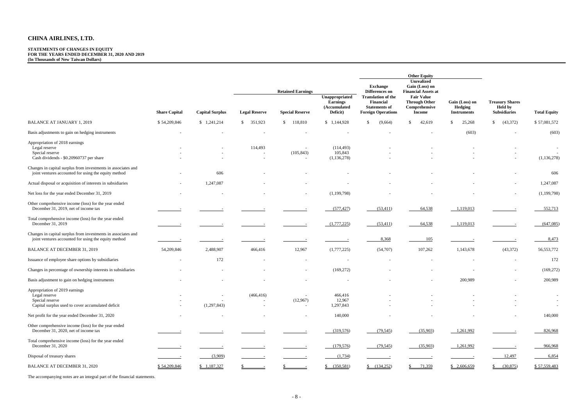#### **STATEMENTS OF CHANGES IN EQUITY FOR THE YEARS ENDED DECEMBER 31, 2020 AND 2019 (In Thousands of New Taiwan Dollars)**

| Gain (Loss) on<br><b>Treasury Shares</b><br><b>Hedging</b><br><b>Held by</b><br><b>Instruments</b><br><b>Subsidiaries</b> |  | <b>Total Equity</b> |               |
|---------------------------------------------------------------------------------------------------------------------------|--|---------------------|---------------|
| \$<br>25,268                                                                                                              |  | \$<br>(43, 372)     | \$57,081,572  |
| (603)                                                                                                                     |  |                     | (603)         |
|                                                                                                                           |  |                     |               |
|                                                                                                                           |  |                     | (1, 136, 278) |
|                                                                                                                           |  |                     | 606           |
|                                                                                                                           |  |                     | 1,247,087     |
|                                                                                                                           |  |                     | (1, 199, 798) |
| 1,119,013                                                                                                                 |  |                     | 552,713       |
| 1,119,013                                                                                                                 |  |                     | (647, 085)    |
|                                                                                                                           |  |                     | 8,473         |
| 1,143,678                                                                                                                 |  | (43, 372)           | 56, 553, 772  |
|                                                                                                                           |  |                     | 172           |
|                                                                                                                           |  |                     | (169, 272)    |
| 200,989                                                                                                                   |  |                     | 200,989       |
|                                                                                                                           |  |                     |               |
|                                                                                                                           |  |                     |               |
|                                                                                                                           |  |                     | 140,000       |
| 1,261,992                                                                                                                 |  |                     | 826,968       |
| 1,261,992                                                                                                                 |  |                     | 966,968       |
|                                                                                                                           |  | 12,497              | 6,854         |
| \$2,606,659                                                                                                               |  | \$ (30,875)         | \$57,559,483  |

|                                                                                                                         |                        |                                                                     |                         | <b>Retained Earnings</b>                                         |                                                                                             | <b>Exchange</b><br>Differences on                                           | <b>Other Equity</b><br><b>Unrealized</b><br>Gain (Loss) on<br><b>Financial Assets at</b> |                                                                 |                          |                                                      |
|-------------------------------------------------------------------------------------------------------------------------|------------------------|---------------------------------------------------------------------|-------------------------|------------------------------------------------------------------|---------------------------------------------------------------------------------------------|-----------------------------------------------------------------------------|------------------------------------------------------------------------------------------|-----------------------------------------------------------------|--------------------------|------------------------------------------------------|
| <b>Share Capital</b>                                                                                                    | <b>Capital Surplus</b> | <b>Legal Reserve</b>                                                | <b>Special Reserve</b>  | Unappropriated<br><b>Earnings</b><br>(Accumulated<br>Deficit)    | <b>Translation of the</b><br>Financial<br><b>Statements of</b><br><b>Foreign Operations</b> | <b>Fair Value</b><br><b>Through Other</b><br>Comprehensive<br><b>Income</b> | Gain (Loss) on<br><b>Hedging</b><br><b>Instruments</b>                                   | <b>Treasury Shares</b><br><b>Held by</b><br><b>Subsidiaries</b> | <b>Total Equity</b>      |                                                      |
| <b>BALANCE AT JANUARY 1, 2019</b>                                                                                       | \$54,209,846           | \$1,241,214                                                         | 351,923<br>$\mathbb{S}$ | $\mathbb{S}$<br>118,810                                          | \$1,144,928                                                                                 | (9,664)<br>\$.                                                              | 42,619<br><sup>S</sup>                                                                   | 25,268<br><sup>\$</sup>                                         | (43,372)<br>$\mathbb{S}$ | \$57,081,572                                         |
| Basis adjustments to gain on hedging instruments                                                                        |                        |                                                                     |                         |                                                                  |                                                                                             |                                                                             |                                                                                          | (603)                                                           |                          | (603)                                                |
| Appropriation of 2018 earnings<br>Legal reserve<br>Special reserve                                                      |                        |                                                                     | 114,493                 | (105, 843)                                                       | (114, 493)<br>105,843                                                                       |                                                                             |                                                                                          |                                                                 |                          | $\overline{\phantom{a}}$                             |
| Cash dividends - \$0.20960737 per share                                                                                 |                        |                                                                     |                         | $\overline{\phantom{a}}$                                         | (1, 136, 278)                                                                               |                                                                             |                                                                                          |                                                                 |                          | (1, 136, 278)                                        |
| Changes in capital surplus from investments in associates and<br>joint ventures accounted for using the equity method   |                        | 606                                                                 |                         |                                                                  |                                                                                             |                                                                             |                                                                                          |                                                                 |                          | 606                                                  |
| Actual disposal or acquisition of interests in subsidiaries                                                             |                        | 1,247,087                                                           |                         |                                                                  |                                                                                             |                                                                             |                                                                                          |                                                                 |                          | 1,247,087                                            |
| Net loss for the year ended December 31, 2019                                                                           |                        |                                                                     |                         |                                                                  | (1, 199, 798)                                                                               |                                                                             |                                                                                          |                                                                 |                          | (1, 199, 798)                                        |
| Other comprehensive income (loss) for the year ended<br>December 31, 2019, net of income tax                            |                        |                                                                     |                         |                                                                  | (577, 427)                                                                                  | (53, 411)                                                                   | 64,538                                                                                   | 1,119,013                                                       |                          | 552,713                                              |
| Total comprehensive income (loss) for the year ended<br>December 31, 2019                                               |                        |                                                                     |                         |                                                                  | (1,777,225)                                                                                 | (53,411)                                                                    | 64,538                                                                                   | 1,119,013                                                       |                          | (647, 085)                                           |
| Changes in capital surplus from investments in associates and<br>joint ventures accounted for using the equity method   |                        |                                                                     |                         |                                                                  |                                                                                             | 8,368                                                                       | 105                                                                                      |                                                                 |                          | 8,473                                                |
| BALANCE AT DECEMBER 31, 2019                                                                                            | 54,209,846             | 2,488,907                                                           | 466,416                 | 12,967                                                           | (1,777,225)                                                                                 | (54,707)                                                                    | 107,262                                                                                  | 1,143,678                                                       | (43,372)                 | 56, 553, 772                                         |
| Issuance of employee share options by subsidiaries                                                                      |                        | 172                                                                 |                         |                                                                  |                                                                                             |                                                                             |                                                                                          |                                                                 |                          | 172                                                  |
| Changes in percentage of ownership interests in subsidiaries                                                            |                        |                                                                     |                         |                                                                  | (169,272)                                                                                   |                                                                             |                                                                                          |                                                                 |                          | (169, 272)                                           |
| Basis adjustment to gain on hedging instruments                                                                         |                        |                                                                     |                         |                                                                  |                                                                                             |                                                                             |                                                                                          | 200,989                                                         | $\overline{\phantom{a}}$ | 200,989                                              |
| Appropriation of 2019 earnings<br>Legal reserve<br>Special reserve<br>Capital surplus used to cover accumulated deficit |                        | $\overline{\phantom{a}}$<br>$\overline{\phantom{a}}$<br>(1,297,843) | (466, 416)              | $\overline{\phantom{a}}$<br>(12,967)<br>$\overline{\phantom{a}}$ | 466,416<br>12,967<br>1,297,843                                                              |                                                                             |                                                                                          |                                                                 |                          | $\overline{\phantom{a}}$<br>$\overline{\phantom{a}}$ |
| Net profit for the year ended December 31, 2020                                                                         |                        |                                                                     |                         | $\overline{\phantom{a}}$                                         | 140,000                                                                                     |                                                                             |                                                                                          |                                                                 |                          | 140,000                                              |
| Other comprehensive income (loss) for the year ended<br>December 31, 2020, net of income tax                            |                        |                                                                     |                         |                                                                  | (319,576)                                                                                   | (79, 545)                                                                   | (35,903)                                                                                 | 1,261,992                                                       |                          | 826,968                                              |
| Total comprehensive income (loss) for the year ended<br>December 31, 2020                                               |                        |                                                                     |                         |                                                                  | (179,576)                                                                                   | (79, 545)                                                                   | (35,903)                                                                                 | 1,261,992                                                       |                          | 966,968                                              |
| Disposal of treasury shares                                                                                             |                        | (3,909)                                                             |                         |                                                                  | (1,734)                                                                                     |                                                                             |                                                                                          |                                                                 | 12,497                   | 6,854                                                |
| <b>BALANCE AT DECEMBER 31, 2020</b>                                                                                     | \$54,209,846           | \$1,187,327                                                         |                         |                                                                  | $\underline{\$$ (350,581)                                                                   | $\underline{\$$ (134,252)                                                   | 71,359                                                                                   | \$2,606,659                                                     | (30,875)                 | \$57,559,483                                         |

The accompanying notes are an integral part of the financial statements.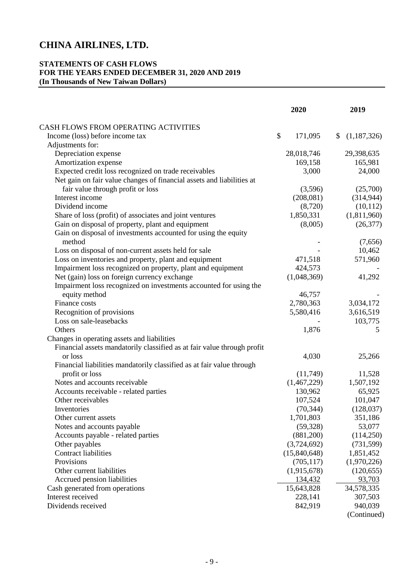# **STATEMENTS OF CASH FLOWS FOR THE YEARS ENDED DECEMBER 31, 2020 AND 2019 (In Thousands of New Taiwan Dollars)**

|                                                                         | 2020          | 2019              |
|-------------------------------------------------------------------------|---------------|-------------------|
| CASH FLOWS FROM OPERATING ACTIVITIES                                    |               |                   |
| Income (loss) before income tax                                         | \$<br>171,095 | \$<br>(1,187,326) |
| Adjustments for:                                                        |               |                   |
| Depreciation expense                                                    | 28,018,746    | 29,398,635        |
| Amortization expense                                                    | 169,158       | 165,981           |
| Expected credit loss recognized on trade receivables                    | 3,000         | 24,000            |
| Net gain on fair value changes of financial assets and liabilities at   |               |                   |
| fair value through profit or loss                                       | (3,596)       | (25,700)          |
| Interest income                                                         | (208,081)     | (314, 944)        |
| Dividend income                                                         | (8,720)       | (10, 112)         |
| Share of loss (profit) of associates and joint ventures                 | 1,850,331     | (1,811,960)       |
| Gain on disposal of property, plant and equipment                       | (8,005)       | (26,377)          |
| Gain on disposal of investments accounted for using the equity          |               |                   |
| method                                                                  |               | (7,656)           |
| Loss on disposal of non-current assets held for sale                    |               | 10,462            |
| Loss on inventories and property, plant and equipment                   | 471,518       | 571,960           |
| Impairment loss recognized on property, plant and equipment             | 424,573       |                   |
| Net (gain) loss on foreign currency exchange                            | (1,048,369)   | 41,292            |
| Impairment loss recognized on investments accounted for using the       |               |                   |
| equity method                                                           | 46,757        |                   |
| Finance costs                                                           | 2,780,363     | 3,034,172         |
| Recognition of provisions                                               | 5,580,416     | 3,616,519         |
| Loss on sale-leasebacks                                                 |               | 103,775           |
| <b>Others</b>                                                           | 1,876         | 5                 |
| Changes in operating assets and liabilities                             |               |                   |
| Financial assets mandatorily classified as at fair value through profit |               |                   |
| or loss                                                                 | 4,030         | 25,266            |
| Financial liabilities mandatorily classified as at fair value through   |               |                   |
| profit or loss                                                          | (11,749)      | 11,528            |
| Notes and accounts receivable                                           | (1,467,229)   | 1,507,192         |
| Accounts receivable - related parties                                   | 130,962       | 65,925            |
| Other receivables                                                       | 107,524       | 101,047           |
| Inventories                                                             | (70, 344)     | (128, 037)        |
| Other current assets                                                    | 1,701,803     | 351,186           |
| Notes and accounts payable                                              | (59, 328)     | 53,077            |
| Accounts payable - related parties                                      | (881,200)     | (114,250)         |
| Other payables                                                          | (3,724,692)   | (731, 599)        |
| <b>Contract liabilities</b>                                             | (15,840,648)  | 1,851,452         |
| Provisions                                                              | (705, 117)    | (1,970,226)       |
| Other current liabilities                                               | (1,915,678)   | (120, 655)        |
| Accrued pension liabilities                                             | 134,432       | 93,703            |
| Cash generated from operations                                          | 15,643,828    | 34,578,335        |
| Interest received                                                       | 228,141       | 307,503           |
| Dividends received                                                      | 842,919       | 940,039           |
|                                                                         |               | (Continued)       |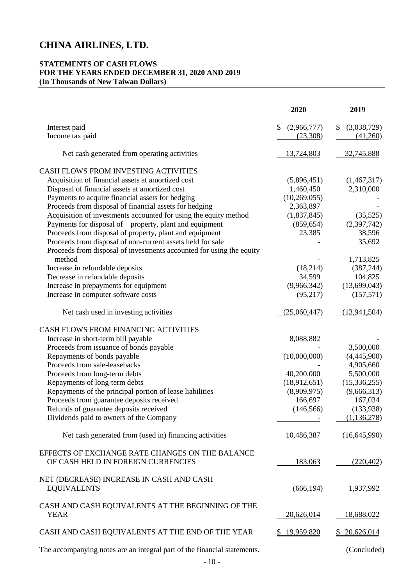# **STATEMENTS OF CASH FLOWS FOR THE YEARS ENDED DECEMBER 31, 2020 AND 2019 (In Thousands of New Taiwan Dollars)**

|                                                                                | 2020              | 2019                    |
|--------------------------------------------------------------------------------|-------------------|-------------------------|
| Interest paid                                                                  | \$<br>(2,966,777) | (3,038,729)<br>\$       |
| Income tax paid                                                                | (23,308)          | (41,260)                |
|                                                                                |                   |                         |
| Net cash generated from operating activities                                   | 13,724,803        | 32,745,888              |
| CASH FLOWS FROM INVESTING ACTIVITIES                                           |                   |                         |
| Acquisition of financial assets at amortized cost                              | (5,896,451)       | (1,467,317)             |
| Disposal of financial assets at amortized cost                                 | 1,460,450         | 2,310,000               |
| Payments to acquire financial assets for hedging                               | (10,269,055)      |                         |
| Proceeds from disposal of financial assets for hedging                         | 2,363,897         |                         |
| Acquisition of investments accounted for using the equity method               | (1,837,845)       | (35,525)                |
| Payments for disposal of property, plant and equipment                         | (859, 654)        | (2,397,742)             |
| Proceeds from disposal of property, plant and equipment                        | 23,385            | 38,596                  |
| Proceeds from disposal of non-current assets held for sale                     |                   | 35,692                  |
| Proceeds from disposal of investments accounted for using the equity<br>method |                   |                         |
| Increase in refundable deposits                                                | (18,214)          | 1,713,825<br>(387, 244) |
| Decrease in refundable deposits                                                | 34,599            | 104,825                 |
| Increase in prepayments for equipment                                          | (9,966,342)       | (13,699,043)            |
| Increase in computer software costs                                            | (95,217)          | (157,571)               |
|                                                                                |                   |                         |
| Net cash used in investing activities                                          | (25,060,447)      | (13, 941, 504)          |
| CASH FLOWS FROM FINANCING ACTIVITIES                                           |                   |                         |
| Increase in short-term bill payable                                            | 8,088,882         |                         |
| Proceeds from issuance of bonds payable                                        |                   | 3,500,000               |
| Repayments of bonds payable                                                    | (10,000,000)      | (4,445,900)             |
| Proceeds from sale-leasebacks                                                  |                   | 4,905,660               |
| Proceeds from long-term debts                                                  | 40,200,000        | 5,500,000               |
| Repayments of long-term debts                                                  | (18,912,651)      | (15,336,255)            |
| Repayments of the principal portion of lease liabilities                       | (8,909,975)       | (9,666,313)             |
| Proceeds from guarantee deposits received                                      | 166,697           | 167,034                 |
| Refunds of guarantee deposits received                                         | (146, 566)        | (133,938)               |
| Dividends paid to owners of the Company                                        |                   | (1,136,278)             |
| Net cash generated from (used in) financing activities                         | 10,486,387        | (16,645,990)            |
| EFFECTS OF EXCHANGE RATE CHANGES ON THE BALANCE                                |                   |                         |
| OF CASH HELD IN FOREIGN CURRENCIES                                             | 183,063           | (220, 402)              |
|                                                                                |                   |                         |
| NET (DECREASE) INCREASE IN CASH AND CASH                                       |                   |                         |
| <b>EQUIVALENTS</b>                                                             | (666, 194)        | 1,937,992               |
| CASH AND CASH EQUIVALENTS AT THE BEGINNING OF THE                              |                   |                         |
| <b>YEAR</b>                                                                    | 20,626,014        | 18,688,022              |
|                                                                                |                   |                         |
| CASH AND CASH EQUIVALENTS AT THE END OF THE YEAR                               | \$19,959,820      | \$20,626,014            |
| The accompanying notes are an integral part of the financial statements.       |                   | (Concluded)             |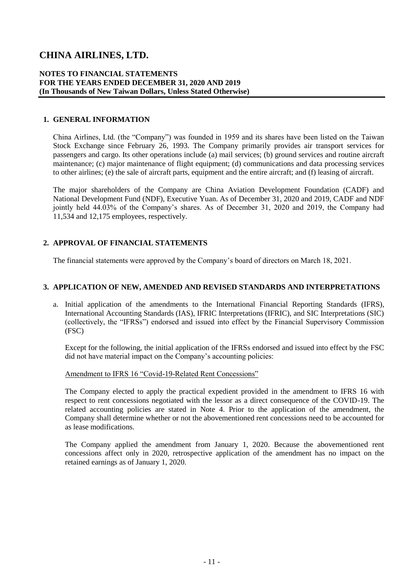### **NOTES TO FINANCIAL STATEMENTS FOR THE YEARS ENDED DECEMBER 31, 2020 AND 2019 (In Thousands of New Taiwan Dollars, Unless Stated Otherwise)**

### **1. GENERAL INFORMATION**

China Airlines, Ltd. (the "Company") was founded in 1959 and its shares have been listed on the Taiwan Stock Exchange since February 26, 1993. The Company primarily provides air transport services for passengers and cargo. Its other operations include (a) mail services; (b) ground services and routine aircraft maintenance; (c) major maintenance of flight equipment; (d) communications and data processing services to other airlines; (e) the sale of aircraft parts, equipment and the entire aircraft; and (f) leasing of aircraft.

The major shareholders of the Company are China Aviation Development Foundation (CADF) and National Development Fund (NDF), Executive Yuan. As of December 31, 2020 and 2019, CADF and NDF jointly held 44.03% of the Company's shares. As of December 31, 2020 and 2019, the Company had 11,534 and 12,175 employees, respectively.

# **2. APPROVAL OF FINANCIAL STATEMENTS**

The financial statements were approved by the Company's board of directors on March 18, 2021.

# **3. APPLICATION OF NEW, AMENDED AND REVISED STANDARDS AND INTERPRETATIONS**

a. Initial application of the amendments to the International Financial Reporting Standards (IFRS), International Accounting Standards (IAS), IFRIC Interpretations (IFRIC), and SIC Interpretations (SIC) (collectively, the "IFRSs") endorsed and issued into effect by the Financial Supervisory Commission (FSC)

Except for the following, the initial application of the IFRSs endorsed and issued into effect by the FSC did not have material impact on the Company's accounting policies:

#### Amendment to IFRS 16 "Covid-19-Related Rent Concessions"

The Company elected to apply the practical expedient provided in the amendment to IFRS 16 with respect to rent concessions negotiated with the lessor as a direct consequence of the COVID-19. The related accounting policies are stated in Note 4. Prior to the application of the amendment, the Company shall determine whether or not the abovementioned rent concessions need to be accounted for as lease modifications.

The Company applied the amendment from January 1, 2020. Because the abovementioned rent concessions affect only in 2020, retrospective application of the amendment has no impact on the retained earnings as of January 1, 2020.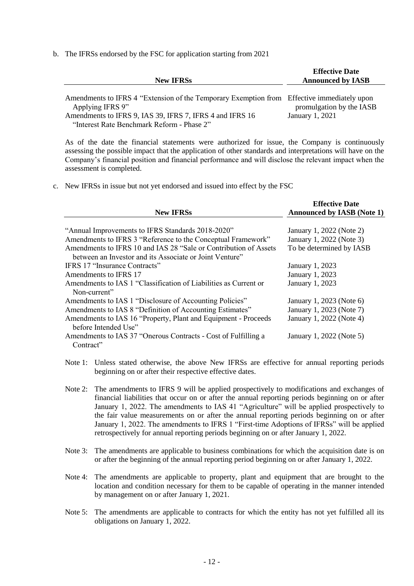b. The IFRSs endorsed by the FSC for application starting from 2021

| <b>New IFRSs</b>                                                                                                                                                                                                         | <b>Effective Date</b><br><b>Announced by IASB</b> |
|--------------------------------------------------------------------------------------------------------------------------------------------------------------------------------------------------------------------------|---------------------------------------------------|
| Amendments to IFRS 4 "Extension of the Temporary Exemption from Effective immediately upon<br>Applying IFRS 9"<br>Amendments to IFRS 9, IAS 39, IFRS 7, IFRS 4 and IFRS 16<br>"Interest Rate Benchmark Reform - Phase 2" | promulgation by the IASB<br>January 1, 2021       |

As of the date the financial statements were authorized for issue, the Company is continuously assessing the possible impact that the application of other standards and interpretations will have on the Company's financial position and financial performance and will disclose the relevant impact when the assessment is completed.

c. New IFRSs in issue but not yet endorsed and issued into effect by the FSC

| <b>New IFRSs</b>                                                 | <b>Effective Date</b><br><b>Announced by IASB (Note 1)</b> |
|------------------------------------------------------------------|------------------------------------------------------------|
|                                                                  |                                                            |
| "Annual Improvements to IFRS Standards 2018-2020"                | January 1, 2022 (Note 2)                                   |
| Amendments to IFRS 3 "Reference to the Conceptual Framework"     | January 1, 2022 (Note 3)                                   |
| Amendments to IFRS 10 and IAS 28 "Sale or Contribution of Assets | To be determined by IASB                                   |
| between an Investor and its Associate or Joint Venture"          |                                                            |
| IFRS 17 "Insurance Contracts"                                    | January 1, 2023                                            |
| Amendments to IFRS 17                                            | January 1, 2023                                            |
| Amendments to IAS 1 "Classification of Liabilities as Current or | January 1, 2023                                            |
| Non-current"                                                     |                                                            |
| Amendments to IAS 1 "Disclosure of Accounting Policies"          | January 1, 2023 (Note 6)                                   |
| Amendments to IAS 8 "Definition of Accounting Estimates"         | January 1, 2023 (Note 7)                                   |
| Amendments to IAS 16 "Property, Plant and Equipment - Proceeds   | January 1, 2022 (Note 4)                                   |
| before Intended Use"                                             |                                                            |
| Amendments to IAS 37 "Onerous Contracts - Cost of Fulfilling a   | January 1, 2022 (Note 5)                                   |
| Contract"                                                        |                                                            |

Note 1: Unless stated otherwise, the above New IFRSs are effective for annual reporting periods beginning on or after their respective effective dates.

- Note 2: The amendments to IFRS 9 will be applied prospectively to modifications and exchanges of financial liabilities that occur on or after the annual reporting periods beginning on or after January 1, 2022. The amendments to IAS 41 "Agriculture" will be applied prospectively to the fair value measurements on or after the annual reporting periods beginning on or after January 1, 2022. The amendments to IFRS 1 "First-time Adoptions of IFRSs" will be applied retrospectively for annual reporting periods beginning on or after January 1, 2022.
- Note 3: The amendments are applicable to business combinations for which the acquisition date is on or after the beginning of the annual reporting period beginning on or after January 1, 2022.
- Note 4: The amendments are applicable to property, plant and equipment that are brought to the location and condition necessary for them to be capable of operating in the manner intended by management on or after January 1, 2021.
- Note 5: The amendments are applicable to contracts for which the entity has not yet fulfilled all its obligations on January 1, 2022.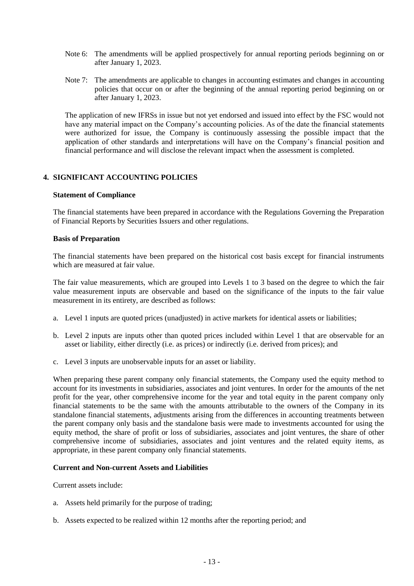- Note 6: The amendments will be applied prospectively for annual reporting periods beginning on or after January 1, 2023.
- Note 7: The amendments are applicable to changes in accounting estimates and changes in accounting policies that occur on or after the beginning of the annual reporting period beginning on or after January 1, 2023.

The application of new IFRSs in issue but not yet endorsed and issued into effect by the FSC would not have any material impact on the Company's accounting policies. As of the date the financial statements were authorized for issue, the Company is continuously assessing the possible impact that the application of other standards and interpretations will have on the Company's financial position and financial performance and will disclose the relevant impact when the assessment is completed.

# **4. SIGNIFICANT ACCOUNTING POLICIES**

#### **Statement of Compliance**

The financial statements have been prepared in accordance with the Regulations Governing the Preparation of Financial Reports by Securities Issuers and other regulations.

#### **Basis of Preparation**

The financial statements have been prepared on the historical cost basis except for financial instruments which are measured at fair value.

The fair value measurements, which are grouped into Levels 1 to 3 based on the degree to which the fair value measurement inputs are observable and based on the significance of the inputs to the fair value measurement in its entirety, are described as follows:

- a. Level 1 inputs are quoted prices (unadjusted) in active markets for identical assets or liabilities;
- b. Level 2 inputs are inputs other than quoted prices included within Level 1 that are observable for an asset or liability, either directly (i.e. as prices) or indirectly (i.e. derived from prices); and
- c. Level 3 inputs are unobservable inputs for an asset or liability.

When preparing these parent company only financial statements, the Company used the equity method to account for its investments in subsidiaries, associates and joint ventures. In order for the amounts of the net profit for the year, other comprehensive income for the year and total equity in the parent company only financial statements to be the same with the amounts attributable to the owners of the Company in its standalone financial statements, adjustments arising from the differences in accounting treatments between the parent company only basis and the standalone basis were made to investments accounted for using the equity method, the share of profit or loss of subsidiaries, associates and joint ventures, the share of other comprehensive income of subsidiaries, associates and joint ventures and the related equity items, as appropriate, in these parent company only financial statements.

### **Current and Non-current Assets and Liabilities**

Current assets include:

- a. Assets held primarily for the purpose of trading;
- b. Assets expected to be realized within 12 months after the reporting period; and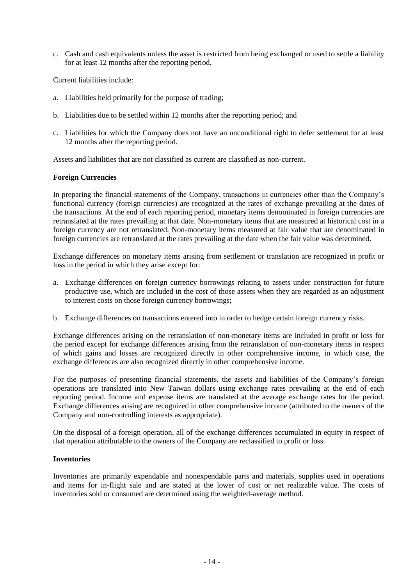c. Cash and cash equivalents unless the asset is restricted from being exchanged or used to settle a liability for at least 12 months after the reporting period.

Current liabilities include:

- a. Liabilities held primarily for the purpose of trading;
- b. Liabilities due to be settled within 12 months after the reporting period; and
- c. Liabilities for which the Company does not have an unconditional right to defer settlement for at least 12 months after the reporting period.

Assets and liabilities that are not classified as current are classified as non-current.

# **Foreign Currencies**

In preparing the financial statements of the Company, transactions in currencies other than the Company's functional currency (foreign currencies) are recognized at the rates of exchange prevailing at the dates of the transactions. At the end of each reporting period, monetary items denominated in foreign currencies are retranslated at the rates prevailing at that date. Non-monetary items that are measured at historical cost in a foreign currency are not retranslated. Non-monetary items measured at fair value that are denominated in foreign currencies are retranslated at the rates prevailing at the date when the fair value was determined.

Exchange differences on monetary items arising from settlement or translation are recognized in profit or loss in the period in which they arise except for:

- a. Exchange differences on foreign currency borrowings relating to assets under construction for future productive use, which are included in the cost of those assets when they are regarded as an adjustment to interest costs on those foreign currency borrowings;
- b. Exchange differences on transactions entered into in order to hedge certain foreign currency risks.

Exchange differences arising on the retranslation of non-monetary items are included in profit or loss for the period except for exchange differences arising from the retranslation of non-monetary items in respect of which gains and losses are recognized directly in other comprehensive income, in which case, the exchange differences are also recognized directly in other comprehensive income.

For the purposes of presenting financial statements, the assets and liabilities of the Company's foreign operations are translated into New Taiwan dollars using exchange rates prevailing at the end of each reporting period. Income and expense items are translated at the average exchange rates for the period. Exchange differences arising are recognized in other comprehensive income (attributed to the owners of the Company and non-controlling interests as appropriate).

On the disposal of a foreign operation, all of the exchange differences accumulated in equity in respect of that operation attributable to the owners of the Company are reclassified to profit or loss.

#### **Inventories**

Inventories are primarily expendable and nonexpendable parts and materials, supplies used in operations and items for in-flight sale and are stated at the lower of cost or net realizable value. The costs of inventories sold or consumed are determined using the weighted-average method.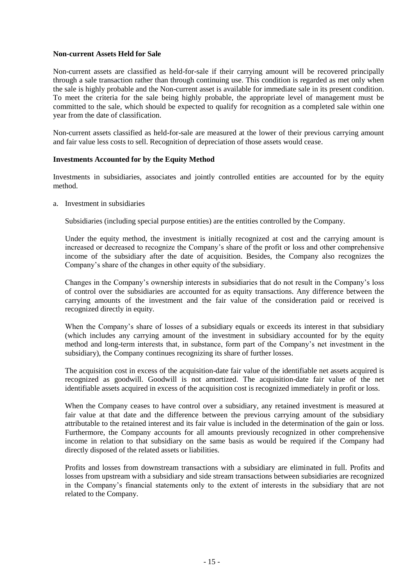#### **Non-current Assets Held for Sale**

Non-current assets are classified as held-for-sale if their carrying amount will be recovered principally through a sale transaction rather than through continuing use. This condition is regarded as met only when the sale is highly probable and the Non-current asset is available for immediate sale in its present condition. To meet the criteria for the sale being highly probable, the appropriate level of management must be committed to the sale, which should be expected to qualify for recognition as a completed sale within one year from the date of classification.

Non-current assets classified as held-for-sale are measured at the lower of their previous carrying amount and fair value less costs to sell. Recognition of depreciation of those assets would cease.

#### **Investments Accounted for by the Equity Method**

Investments in subsidiaries, associates and jointly controlled entities are accounted for by the equity method.

a. Investment in subsidiaries

Subsidiaries (including special purpose entities) are the entities controlled by the Company.

Under the equity method, the investment is initially recognized at cost and the carrying amount is increased or decreased to recognize the Company's share of the profit or loss and other comprehensive income of the subsidiary after the date of acquisition. Besides, the Company also recognizes the Company's share of the changes in other equity of the subsidiary.

Changes in the Company's ownership interests in subsidiaries that do not result in the Company's loss of control over the subsidiaries are accounted for as equity transactions. Any difference between the carrying amounts of the investment and the fair value of the consideration paid or received is recognized directly in equity.

When the Company's share of losses of a subsidiary equals or exceeds its interest in that subsidiary (which includes any carrying amount of the investment in subsidiary accounted for by the equity method and long-term interests that, in substance, form part of the Company's net investment in the subsidiary), the Company continues recognizing its share of further losses.

The acquisition cost in excess of the acquisition-date fair value of the identifiable net assets acquired is recognized as goodwill. Goodwill is not amortized. The acquisition-date fair value of the net identifiable assets acquired in excess of the acquisition cost is recognized immediately in profit or loss.

When the Company ceases to have control over a subsidiary, any retained investment is measured at fair value at that date and the difference between the previous carrying amount of the subsidiary attributable to the retained interest and its fair value is included in the determination of the gain or loss. Furthermore, the Company accounts for all amounts previously recognized in other comprehensive income in relation to that subsidiary on the same basis as would be required if the Company had directly disposed of the related assets or liabilities.

Profits and losses from downstream transactions with a subsidiary are eliminated in full. Profits and losses from upstream with a subsidiary and side stream transactions between subsidiaries are recognized in the Company's financial statements only to the extent of interests in the subsidiary that are not related to the Company.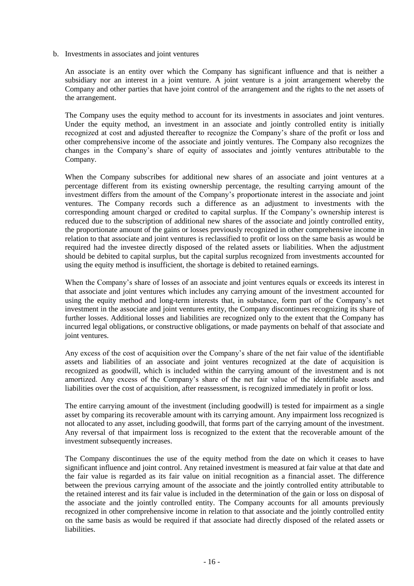b. Investments in associates and joint ventures

An associate is an entity over which the Company has significant influence and that is neither a subsidiary nor an interest in a joint venture. A joint venture is a joint arrangement whereby the Company and other parties that have joint control of the arrangement and the rights to the net assets of the arrangement.

The Company uses the equity method to account for its investments in associates and joint ventures. Under the equity method, an investment in an associate and jointly controlled entity is initially recognized at cost and adjusted thereafter to recognize the Company's share of the profit or loss and other comprehensive income of the associate and jointly ventures. The Company also recognizes the changes in the Company's share of equity of associates and jointly ventures attributable to the Company.

When the Company subscribes for additional new shares of an associate and joint ventures at a percentage different from its existing ownership percentage, the resulting carrying amount of the investment differs from the amount of the Company's proportionate interest in the associate and joint ventures. The Company records such a difference as an adjustment to investments with the corresponding amount charged or credited to capital surplus. If the Company's ownership interest is reduced due to the subscription of additional new shares of the associate and jointly controlled entity, the proportionate amount of the gains or losses previously recognized in other comprehensive income in relation to that associate and joint ventures is reclassified to profit or loss on the same basis as would be required had the investee directly disposed of the related assets or liabilities. When the adjustment should be debited to capital surplus, but the capital surplus recognized from investments accounted for using the equity method is insufficient, the shortage is debited to retained earnings.

When the Company's share of losses of an associate and joint ventures equals or exceeds its interest in that associate and joint ventures which includes any carrying amount of the investment accounted for using the equity method and long-term interests that, in substance, form part of the Company's net investment in the associate and joint ventures entity, the Company discontinues recognizing its share of further losses. Additional losses and liabilities are recognized only to the extent that the Company has incurred legal obligations, or constructive obligations, or made payments on behalf of that associate and joint ventures.

Any excess of the cost of acquisition over the Company's share of the net fair value of the identifiable assets and liabilities of an associate and joint ventures recognized at the date of acquisition is recognized as goodwill, which is included within the carrying amount of the investment and is not amortized. Any excess of the Company's share of the net fair value of the identifiable assets and liabilities over the cost of acquisition, after reassessment, is recognized immediately in profit or loss.

The entire carrying amount of the investment (including goodwill) is tested for impairment as a single asset by comparing its recoverable amount with its carrying amount. Any impairment loss recognized is not allocated to any asset, including goodwill, that forms part of the carrying amount of the investment. Any reversal of that impairment loss is recognized to the extent that the recoverable amount of the investment subsequently increases.

The Company discontinues the use of the equity method from the date on which it ceases to have significant influence and joint control. Any retained investment is measured at fair value at that date and the fair value is regarded as its fair value on initial recognition as a financial asset. The difference between the previous carrying amount of the associate and the jointly controlled entity attributable to the retained interest and its fair value is included in the determination of the gain or loss on disposal of the associate and the jointly controlled entity. The Company accounts for all amounts previously recognized in other comprehensive income in relation to that associate and the jointly controlled entity on the same basis as would be required if that associate had directly disposed of the related assets or liabilities.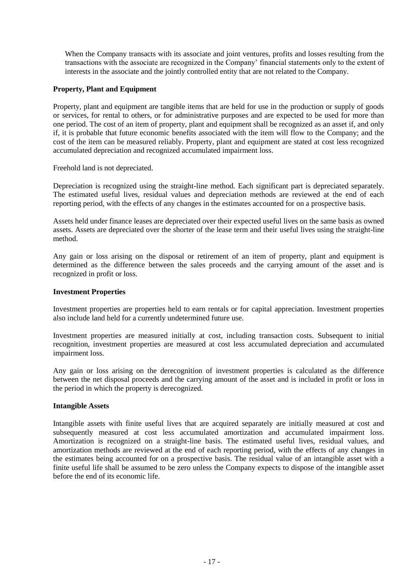When the Company transacts with its associate and joint ventures, profits and losses resulting from the transactions with the associate are recognized in the Company' financial statements only to the extent of interests in the associate and the jointly controlled entity that are not related to the Company.

# **Property, Plant and Equipment**

Property, plant and equipment are tangible items that are held for use in the production or supply of goods or services, for rental to others, or for administrative purposes and are expected to be used for more than one period. The cost of an item of property, plant and equipment shall be recognized as an asset if, and only if, it is probable that future economic benefits associated with the item will flow to the Company; and the cost of the item can be measured reliably. Property, plant and equipment are stated at cost less recognized accumulated depreciation and recognized accumulated impairment loss.

Freehold land is not depreciated.

Depreciation is recognized using the straight-line method. Each significant part is depreciated separately. The estimated useful lives, residual values and depreciation methods are reviewed at the end of each reporting period, with the effects of any changes in the estimates accounted for on a prospective basis.

Assets held under finance leases are depreciated over their expected useful lives on the same basis as owned assets. Assets are depreciated over the shorter of the lease term and their useful lives using the straight-line method.

Any gain or loss arising on the disposal or retirement of an item of property, plant and equipment is determined as the difference between the sales proceeds and the carrying amount of the asset and is recognized in profit or loss.

#### **Investment Properties**

Investment properties are properties held to earn rentals or for capital appreciation. Investment properties also include land held for a currently undetermined future use.

Investment properties are measured initially at cost, including transaction costs. Subsequent to initial recognition, investment properties are measured at cost less accumulated depreciation and accumulated impairment loss.

Any gain or loss arising on the derecognition of investment properties is calculated as the difference between the net disposal proceeds and the carrying amount of the asset and is included in profit or loss in the period in which the property is derecognized.

#### **Intangible Assets**

Intangible assets with finite useful lives that are acquired separately are initially measured at cost and subsequently measured at cost less accumulated amortization and accumulated impairment loss. Amortization is recognized on a straight-line basis. The estimated useful lives, residual values, and amortization methods are reviewed at the end of each reporting period, with the effects of any changes in the estimates being accounted for on a prospective basis. The residual value of an intangible asset with a finite useful life shall be assumed to be zero unless the Company expects to dispose of the intangible asset before the end of its economic life.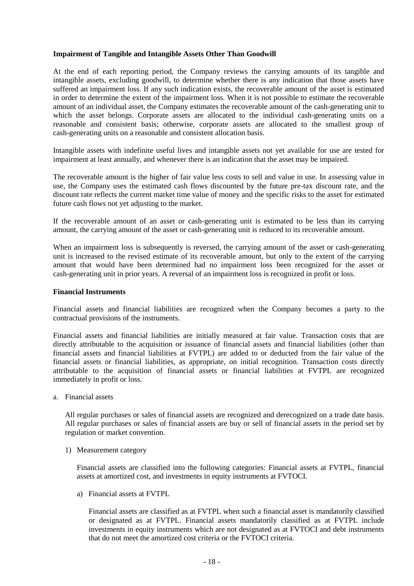#### **Impairment of Tangible and Intangible Assets Other Than Goodwill**

At the end of each reporting period, the Company reviews the carrying amounts of its tangible and intangible assets, excluding goodwill, to determine whether there is any indication that those assets have suffered an impairment loss. If any such indication exists, the recoverable amount of the asset is estimated in order to determine the extent of the impairment loss. When it is not possible to estimate the recoverable amount of an individual asset, the Company estimates the recoverable amount of the cash-generating unit to which the asset belongs. Corporate assets are allocated to the individual cash-generating units on a reasonable and consistent basis; otherwise, corporate assets are allocated to the smallest group of cash-generating units on a reasonable and consistent allocation basis.

Intangible assets with indefinite useful lives and intangible assets not yet available for use are tested for impairment at least annually, and whenever there is an indication that the asset may be impaired.

The recoverable amount is the higher of fair value less costs to sell and value in use. In assessing value in use, the Company uses the estimated cash flows discounted by the future pre-tax discount rate, and the discount rate reflects the current market time value of money and the specific risks to the asset for estimated future cash flows not yet adjusting to the market.

If the recoverable amount of an asset or cash-generating unit is estimated to be less than its carrying amount, the carrying amount of the asset or cash-generating unit is reduced to its recoverable amount.

When an impairment loss is subsequently is reversed, the carrying amount of the asset or cash-generating unit is increased to the revised estimate of its recoverable amount, but only to the extent of the carrying amount that would have been determined had no impairment loss been recognized for the asset or cash-generating unit in prior years. A reversal of an impairment loss is recognized in profit or loss.

#### **Financial Instruments**

Financial assets and financial liabilities are recognized when the Company becomes a party to the contractual provisions of the instruments.

Financial assets and financial liabilities are initially measured at fair value. Transaction costs that are directly attributable to the acquisition or issuance of financial assets and financial liabilities (other than financial assets and financial liabilities at FVTPL) are added to or deducted from the fair value of the financial assets or financial liabilities, as appropriate, on initial recognition. Transaction costs directly attributable to the acquisition of financial assets or financial liabilities at FVTPL are recognized immediately in profit or loss.

a. Financial assets

All regular purchases or sales of financial assets are recognized and derecognized on a trade date basis. All regular purchases or sales of financial assets are buy or sell of financial assets in the period set by regulation or market convention.

1) Measurement category

Financial assets are classified into the following categories: Financial assets at FVTPL, financial assets at amortized cost, and investments in equity instruments at FVTOCI.

a) Financial assets at FVTPL

Financial assets are classified as at FVTPL when such a financial asset is mandatorily classified or designated as at FVTPL. Financial assets mandatorily classified as at FVTPL include investments in equity instruments which are not designated as at FVTOCI and debt instruments that do not meet the amortized cost criteria or the FVTOCI criteria.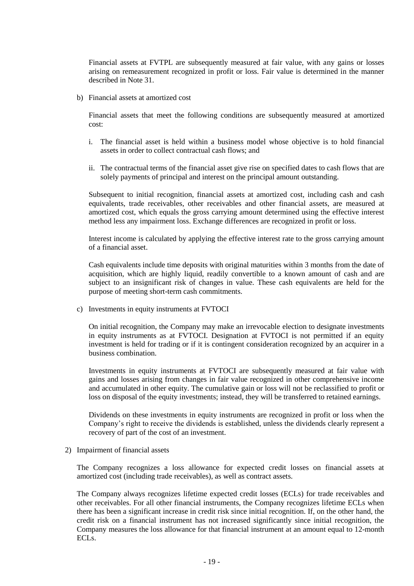Financial assets at FVTPL are subsequently measured at fair value, with any gains or losses arising on remeasurement recognized in profit or loss. Fair value is determined in the manner described in Note 31.

b) Financial assets at amortized cost

Financial assets that meet the following conditions are subsequently measured at amortized cost:

- i. The financial asset is held within a business model whose objective is to hold financial assets in order to collect contractual cash flows; and
- ii. The contractual terms of the financial asset give rise on specified dates to cash flows that are solely payments of principal and interest on the principal amount outstanding.

Subsequent to initial recognition, financial assets at amortized cost, including cash and cash equivalents, trade receivables, other receivables and other financial assets, are measured at amortized cost, which equals the gross carrying amount determined using the effective interest method less any impairment loss. Exchange differences are recognized in profit or loss.

Interest income is calculated by applying the effective interest rate to the gross carrying amount of a financial asset.

Cash equivalents include time deposits with original maturities within 3 months from the date of acquisition, which are highly liquid, readily convertible to a known amount of cash and are subject to an insignificant risk of changes in value. These cash equivalents are held for the purpose of meeting short-term cash commitments.

c) Investments in equity instruments at FVTOCI

On initial recognition, the Company may make an irrevocable election to designate investments in equity instruments as at FVTOCI. Designation at FVTOCI is not permitted if an equity investment is held for trading or if it is contingent consideration recognized by an acquirer in a business combination.

Investments in equity instruments at FVTOCI are subsequently measured at fair value with gains and losses arising from changes in fair value recognized in other comprehensive income and accumulated in other equity. The cumulative gain or loss will not be reclassified to profit or loss on disposal of the equity investments; instead, they will be transferred to retained earnings.

Dividends on these investments in equity instruments are recognized in profit or loss when the Company's right to receive the dividends is established, unless the dividends clearly represent a recovery of part of the cost of an investment.

2) Impairment of financial assets

The Company recognizes a loss allowance for expected credit losses on financial assets at amortized cost (including trade receivables), as well as contract assets.

The Company always recognizes lifetime expected credit losses (ECLs) for trade receivables and other receivables. For all other financial instruments, the Company recognizes lifetime ECLs when there has been a significant increase in credit risk since initial recognition. If, on the other hand, the credit risk on a financial instrument has not increased significantly since initial recognition, the Company measures the loss allowance for that financial instrument at an amount equal to 12-month ECL<sub>s</sub>.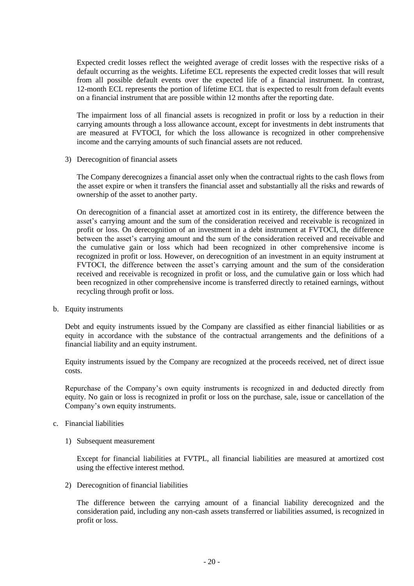Expected credit losses reflect the weighted average of credit losses with the respective risks of a default occurring as the weights. Lifetime ECL represents the expected credit losses that will result from all possible default events over the expected life of a financial instrument. In contrast, 12-month ECL represents the portion of lifetime ECL that is expected to result from default events on a financial instrument that are possible within 12 months after the reporting date.

The impairment loss of all financial assets is recognized in profit or loss by a reduction in their carrying amounts through a loss allowance account, except for investments in debt instruments that are measured at FVTOCI, for which the loss allowance is recognized in other comprehensive income and the carrying amounts of such financial assets are not reduced.

3) Derecognition of financial assets

The Company derecognizes a financial asset only when the contractual rights to the cash flows from the asset expire or when it transfers the financial asset and substantially all the risks and rewards of ownership of the asset to another party.

On derecognition of a financial asset at amortized cost in its entirety, the difference between the asset's carrying amount and the sum of the consideration received and receivable is recognized in profit or loss. On derecognition of an investment in a debt instrument at FVTOCI, the difference between the asset's carrying amount and the sum of the consideration received and receivable and the cumulative gain or loss which had been recognized in other comprehensive income is recognized in profit or loss. However, on derecognition of an investment in an equity instrument at FVTOCI, the difference between the asset's carrying amount and the sum of the consideration received and receivable is recognized in profit or loss, and the cumulative gain or loss which had been recognized in other comprehensive income is transferred directly to retained earnings, without recycling through profit or loss.

b. Equity instruments

Debt and equity instruments issued by the Company are classified as either financial liabilities or as equity in accordance with the substance of the contractual arrangements and the definitions of a financial liability and an equity instrument.

Equity instruments issued by the Company are recognized at the proceeds received, net of direct issue costs.

Repurchase of the Company's own equity instruments is recognized in and deducted directly from equity. No gain or loss is recognized in profit or loss on the purchase, sale, issue or cancellation of the Company's own equity instruments.

- c. Financial liabilities
	- 1) Subsequent measurement

Except for financial liabilities at FVTPL, all financial liabilities are measured at amortized cost using the effective interest method.

2) Derecognition of financial liabilities

The difference between the carrying amount of a financial liability derecognized and the consideration paid, including any non-cash assets transferred or liabilities assumed, is recognized in profit or loss.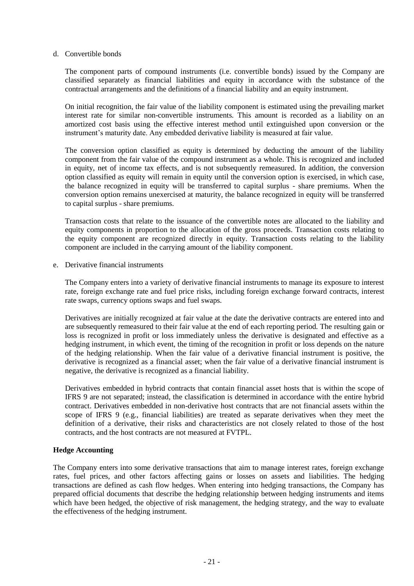#### d. Convertible bonds

The component parts of compound instruments (i.e. convertible bonds) issued by the Company are classified separately as financial liabilities and equity in accordance with the substance of the contractual arrangements and the definitions of a financial liability and an equity instrument.

On initial recognition, the fair value of the liability component is estimated using the prevailing market interest rate for similar non-convertible instruments. This amount is recorded as a liability on an amortized cost basis using the effective interest method until extinguished upon conversion or the instrument's maturity date. Any embedded derivative liability is measured at fair value.

The conversion option classified as equity is determined by deducting the amount of the liability component from the fair value of the compound instrument as a whole. This is recognized and included in equity, net of income tax effects, and is not subsequently remeasured. In addition, the conversion option classified as equity will remain in equity until the conversion option is exercised, in which case, the balance recognized in equity will be transferred to capital surplus - share premiums. When the conversion option remains unexercised at maturity, the balance recognized in equity will be transferred to capital surplus - share premiums.

Transaction costs that relate to the issuance of the convertible notes are allocated to the liability and equity components in proportion to the allocation of the gross proceeds. Transaction costs relating to the equity component are recognized directly in equity. Transaction costs relating to the liability component are included in the carrying amount of the liability component.

e. Derivative financial instruments

The Company enters into a variety of derivative financial instruments to manage its exposure to interest rate, foreign exchange rate and fuel price risks, including foreign exchange forward contracts, interest rate swaps, currency options swaps and fuel swaps.

Derivatives are initially recognized at fair value at the date the derivative contracts are entered into and are subsequently remeasured to their fair value at the end of each reporting period. The resulting gain or loss is recognized in profit or loss immediately unless the derivative is designated and effective as a hedging instrument, in which event, the timing of the recognition in profit or loss depends on the nature of the hedging relationship. When the fair value of a derivative financial instrument is positive, the derivative is recognized as a financial asset; when the fair value of a derivative financial instrument is negative, the derivative is recognized as a financial liability.

Derivatives embedded in hybrid contracts that contain financial asset hosts that is within the scope of IFRS 9 are not separated; instead, the classification is determined in accordance with the entire hybrid contract. Derivatives embedded in non-derivative host contracts that are not financial assets within the scope of IFRS 9 (e.g., financial liabilities) are treated as separate derivatives when they meet the definition of a derivative, their risks and characteristics are not closely related to those of the host contracts, and the host contracts are not measured at FVTPL.

#### **Hedge Accounting**

The Company enters into some derivative transactions that aim to manage interest rates, foreign exchange rates, fuel prices, and other factors affecting gains or losses on assets and liabilities. The hedging transactions are defined as cash flow hedges. When entering into hedging transactions, the Company has prepared official documents that describe the hedging relationship between hedging instruments and items which have been hedged, the objective of risk management, the hedging strategy, and the way to evaluate the effectiveness of the hedging instrument.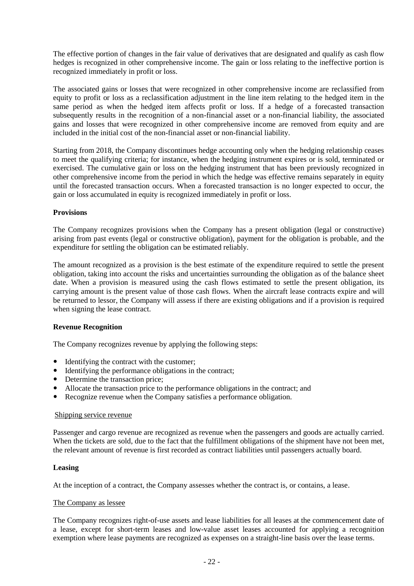The effective portion of changes in the fair value of derivatives that are designated and qualify as cash flow hedges is recognized in other comprehensive income. The gain or loss relating to the ineffective portion is recognized immediately in profit or loss.

The associated gains or losses that were recognized in other comprehensive income are reclassified from equity to profit or loss as a reclassification adjustment in the line item relating to the hedged item in the same period as when the hedged item affects profit or loss. If a hedge of a forecasted transaction subsequently results in the recognition of a non-financial asset or a non-financial liability, the associated gains and losses that were recognized in other comprehensive income are removed from equity and are included in the initial cost of the non-financial asset or non-financial liability.

Starting from 2018, the Company discontinues hedge accounting only when the hedging relationship ceases to meet the qualifying criteria; for instance, when the hedging instrument expires or is sold, terminated or exercised. The cumulative gain or loss on the hedging instrument that has been previously recognized in other comprehensive income from the period in which the hedge was effective remains separately in equity until the forecasted transaction occurs. When a forecasted transaction is no longer expected to occur, the gain or loss accumulated in equity is recognized immediately in profit or loss.

# **Provisions**

The Company recognizes provisions when the Company has a present obligation (legal or constructive) arising from past events (legal or constructive obligation), payment for the obligation is probable, and the expenditure for settling the obligation can be estimated reliably.

The amount recognized as a provision is the best estimate of the expenditure required to settle the present obligation, taking into account the risks and uncertainties surrounding the obligation as of the balance sheet date. When a provision is measured using the cash flows estimated to settle the present obligation, its carrying amount is the present value of those cash flows. When the aircraft lease contracts expire and will be returned to lessor, the Company will assess if there are existing obligations and if a provision is required when signing the lease contract.

#### **Revenue Recognition**

The Company recognizes revenue by applying the following steps:

- Identifying the contract with the customer;
- Identifying the performance obligations in the contract;
- Determine the transaction price;
- Allocate the transaction price to the performance obligations in the contract; and
- Recognize revenue when the Company satisfies a performance obligation.

#### Shipping service revenue

Passenger and cargo revenue are recognized as revenue when the passengers and goods are actually carried. When the tickets are sold, due to the fact that the fulfillment obligations of the shipment have not been met, the relevant amount of revenue is first recorded as contract liabilities until passengers actually board.

#### **Leasing**

At the inception of a contract, the Company assesses whether the contract is, or contains, a lease.

#### The Company as lessee

The Company recognizes right-of-use assets and lease liabilities for all leases at the commencement date of a lease, except for short-term leases and low-value asset leases accounted for applying a recognition exemption where lease payments are recognized as expenses on a straight-line basis over the lease terms.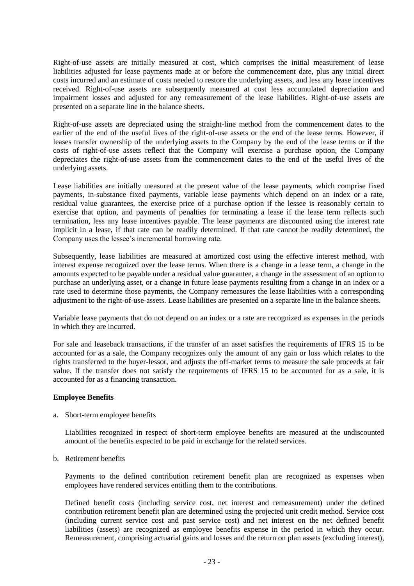Right-of-use assets are initially measured at cost, which comprises the initial measurement of lease liabilities adjusted for lease payments made at or before the commencement date, plus any initial direct costs incurred and an estimate of costs needed to restore the underlying assets, and less any lease incentives received. Right-of-use assets are subsequently measured at cost less accumulated depreciation and impairment losses and adjusted for any remeasurement of the lease liabilities. Right-of-use assets are presented on a separate line in the balance sheets.

Right-of-use assets are depreciated using the straight-line method from the commencement dates to the earlier of the end of the useful lives of the right-of-use assets or the end of the lease terms. However, if leases transfer ownership of the underlying assets to the Company by the end of the lease terms or if the costs of right-of-use assets reflect that the Company will exercise a purchase option, the Company depreciates the right-of-use assets from the commencement dates to the end of the useful lives of the underlying assets.

Lease liabilities are initially measured at the present value of the lease payments, which comprise fixed payments, in-substance fixed payments, variable lease payments which depend on an index or a rate, residual value guarantees, the exercise price of a purchase option if the lessee is reasonably certain to exercise that option, and payments of penalties for terminating a lease if the lease term reflects such termination, less any lease incentives payable. The lease payments are discounted using the interest rate implicit in a lease, if that rate can be readily determined. If that rate cannot be readily determined, the Company uses the lessee's incremental borrowing rate.

Subsequently, lease liabilities are measured at amortized cost using the effective interest method, with interest expense recognized over the lease terms. When there is a change in a lease term, a change in the amounts expected to be payable under a residual value guarantee, a change in the assessment of an option to purchase an underlying asset, or a change in future lease payments resulting from a change in an index or a rate used to determine those payments, the Company remeasures the lease liabilities with a corresponding adjustment to the right-of-use-assets. Lease liabilities are presented on a separate line in the balance sheets.

Variable lease payments that do not depend on an index or a rate are recognized as expenses in the periods in which they are incurred.

For sale and leaseback transactions, if the transfer of an asset satisfies the requirements of IFRS 15 to be accounted for as a sale, the Company recognizes only the amount of any gain or loss which relates to the rights transferred to the buyer-lessor, and adjusts the off-market terms to measure the sale proceeds at fair value. If the transfer does not satisfy the requirements of IFRS 15 to be accounted for as a sale, it is accounted for as a financing transaction.

#### **Employee Benefits**

a. Short-term employee benefits

Liabilities recognized in respect of short-term employee benefits are measured at the undiscounted amount of the benefits expected to be paid in exchange for the related services.

b. Retirement benefits

Payments to the defined contribution retirement benefit plan are recognized as expenses when employees have rendered services entitling them to the contributions.

Defined benefit costs (including service cost, net interest and remeasurement) under the defined contribution retirement benefit plan are determined using the projected unit credit method. Service cost (including current service cost and past service cost) and net interest on the net defined benefit liabilities (assets) are recognized as employee benefits expense in the period in which they occur. Remeasurement, comprising actuarial gains and losses and the return on plan assets (excluding interest),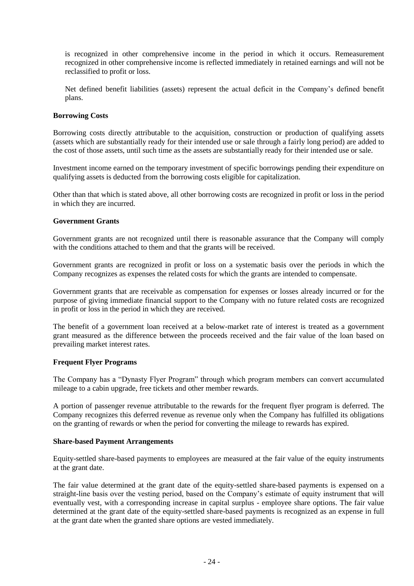is recognized in other comprehensive income in the period in which it occurs. Remeasurement recognized in other comprehensive income is reflected immediately in retained earnings and will not be reclassified to profit or loss.

Net defined benefit liabilities (assets) represent the actual deficit in the Company's defined benefit plans.

#### **Borrowing Costs**

Borrowing costs directly attributable to the acquisition, construction or production of qualifying assets (assets which are substantially ready for their intended use or sale through a fairly long period) are added to the cost of those assets, until such time as the assets are substantially ready for their intended use or sale.

Investment income earned on the temporary investment of specific borrowings pending their expenditure on qualifying assets is deducted from the borrowing costs eligible for capitalization.

Other than that which is stated above, all other borrowing costs are recognized in profit or loss in the period in which they are incurred.

#### **Government Grants**

Government grants are not recognized until there is reasonable assurance that the Company will comply with the conditions attached to them and that the grants will be received.

Government grants are recognized in profit or loss on a systematic basis over the periods in which the Company recognizes as expenses the related costs for which the grants are intended to compensate.

Government grants that are receivable as compensation for expenses or losses already incurred or for the purpose of giving immediate financial support to the Company with no future related costs are recognized in profit or loss in the period in which they are received.

The benefit of a government loan received at a below-market rate of interest is treated as a government grant measured as the difference between the proceeds received and the fair value of the loan based on prevailing market interest rates.

#### **Frequent Flyer Programs**

The Company has a "Dynasty Flyer Program" through which program members can convert accumulated mileage to a cabin upgrade, free tickets and other member rewards.

A portion of passenger revenue attributable to the rewards for the frequent flyer program is deferred. The Company recognizes this deferred revenue as revenue only when the Company has fulfilled its obligations on the granting of rewards or when the period for converting the mileage to rewards has expired.

#### **Share-based Payment Arrangements**

Equity-settled share-based payments to employees are measured at the fair value of the equity instruments at the grant date.

The fair value determined at the grant date of the equity-settled share-based payments is expensed on a straight-line basis over the vesting period, based on the Company's estimate of equity instrument that will eventually vest, with a corresponding increase in capital surplus - employee share options. The fair value determined at the grant date of the equity-settled share-based payments is recognized as an expense in full at the grant date when the granted share options are vested immediately.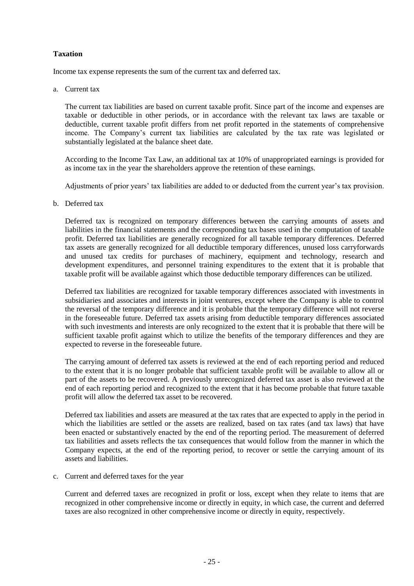# **Taxation**

Income tax expense represents the sum of the current tax and deferred tax.

a. Current tax

The current tax liabilities are based on current taxable profit. Since part of the income and expenses are taxable or deductible in other periods, or in accordance with the relevant tax laws are taxable or deductible, current taxable profit differs from net profit reported in the statements of comprehensive income. The Company's current tax liabilities are calculated by the tax rate was legislated or substantially legislated at the balance sheet date.

According to the Income Tax Law, an additional tax at 10% of unappropriated earnings is provided for as income tax in the year the shareholders approve the retention of these earnings.

Adjustments of prior years' tax liabilities are added to or deducted from the current year's tax provision.

b. Deferred tax

Deferred tax is recognized on temporary differences between the carrying amounts of assets and liabilities in the financial statements and the corresponding tax bases used in the computation of taxable profit. Deferred tax liabilities are generally recognized for all taxable temporary differences. Deferred tax assets are generally recognized for all deductible temporary differences, unused loss carryforwards and unused tax credits for purchases of machinery, equipment and technology, research and development expenditures, and personnel training expenditures to the extent that it is probable that taxable profit will be available against which those deductible temporary differences can be utilized.

Deferred tax liabilities are recognized for taxable temporary differences associated with investments in subsidiaries and associates and interests in joint ventures, except where the Company is able to control the reversal of the temporary difference and it is probable that the temporary difference will not reverse in the foreseeable future. Deferred tax assets arising from deductible temporary differences associated with such investments and interests are only recognized to the extent that it is probable that there will be sufficient taxable profit against which to utilize the benefits of the temporary differences and they are expected to reverse in the foreseeable future.

The carrying amount of deferred tax assets is reviewed at the end of each reporting period and reduced to the extent that it is no longer probable that sufficient taxable profit will be available to allow all or part of the assets to be recovered. A previously unrecognized deferred tax asset is also reviewed at the end of each reporting period and recognized to the extent that it has become probable that future taxable profit will allow the deferred tax asset to be recovered.

Deferred tax liabilities and assets are measured at the tax rates that are expected to apply in the period in which the liabilities are settled or the assets are realized, based on tax rates (and tax laws) that have been enacted or substantively enacted by the end of the reporting period. The measurement of deferred tax liabilities and assets reflects the tax consequences that would follow from the manner in which the Company expects, at the end of the reporting period, to recover or settle the carrying amount of its assets and liabilities.

#### c. Current and deferred taxes for the year

Current and deferred taxes are recognized in profit or loss, except when they relate to items that are recognized in other comprehensive income or directly in equity, in which case, the current and deferred taxes are also recognized in other comprehensive income or directly in equity, respectively.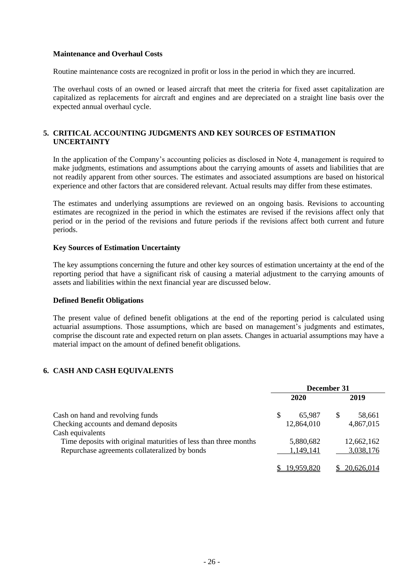#### **Maintenance and Overhaul Costs**

Routine maintenance costs are recognized in profit or loss in the period in which they are incurred.

The overhaul costs of an owned or leased aircraft that meet the criteria for fixed asset capitalization are capitalized as replacements for aircraft and engines and are depreciated on a straight line basis over the expected annual overhaul cycle.

# **5. CRITICAL ACCOUNTING JUDGMENTS AND KEY SOURCES OF ESTIMATION UNCERTAINTY**

In the application of the Company's accounting policies as disclosed in Note 4, management is required to make judgments, estimations and assumptions about the carrying amounts of assets and liabilities that are not readily apparent from other sources. The estimates and associated assumptions are based on historical experience and other factors that are considered relevant. Actual results may differ from these estimates.

The estimates and underlying assumptions are reviewed on an ongoing basis. Revisions to accounting estimates are recognized in the period in which the estimates are revised if the revisions affect only that period or in the period of the revisions and future periods if the revisions affect both current and future periods.

#### **Key Sources of Estimation Uncertainty**

The key assumptions concerning the future and other key sources of estimation uncertainty at the end of the reporting period that have a significant risk of causing a material adjustment to the carrying amounts of assets and liabilities within the next financial year are discussed below.

#### **Defined Benefit Obligations**

The present value of defined benefit obligations at the end of the reporting period is calculated using actuarial assumptions. Those assumptions, which are based on management's judgments and estimates, comprise the discount rate and expected return on plan assets. Changes in actuarial assumptions may have a material impact on the amount of defined benefit obligations.

#### **6. CASH AND CASH EQUIVALENTS**

|                                                                  | December 31 |            |    |            |
|------------------------------------------------------------------|-------------|------------|----|------------|
|                                                                  |             | 2020       |    | 2019       |
| Cash on hand and revolving funds                                 | S           | 65.987     | \$ | 58,661     |
| Checking accounts and demand deposits                            |             | 12,864,010 |    | 4,867,015  |
| Cash equivalents                                                 |             |            |    |            |
| Time deposits with original maturities of less than three months |             | 5,880,682  |    | 12,662,162 |
| Repurchase agreements collateralized by bonds                    |             | 1,149,141  |    | 3,038,176  |
|                                                                  |             | 19,959,820 |    | 20,626,014 |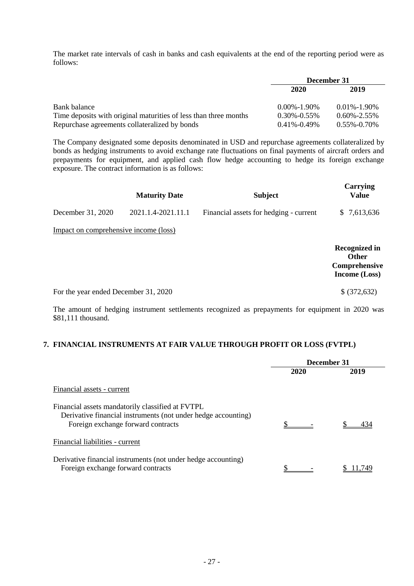The market rate intervals of cash in banks and cash equivalents at the end of the reporting period were as follows:

|                                                                  | December 31       |                   |
|------------------------------------------------------------------|-------------------|-------------------|
|                                                                  | 2020              | 2019              |
| Bank balance                                                     | $0.00\% - 1.90\%$ | $0.01\%$ -1.90%   |
| Time deposits with original maturities of less than three months | $0.30\% - 0.55\%$ | $0.60\% - 2.55\%$ |
| Repurchase agreements collateralized by bonds                    | $0.41\% - 0.49\%$ | $0.55\%$ -0.70%   |

The Company designated some deposits denominated in USD and repurchase agreements collateralized by bonds as hedging instruments to avoid exchange rate fluctuations on final payments of aircraft orders and prepayments for equipment, and applied cash flow hedge accounting to hedge its foreign exchange exposure. The contract information is as follows:

|                                       | <b>Maturity Date</b> | <b>Subject</b>                         | Carrying<br><b>Value</b>                                                      |
|---------------------------------------|----------------------|----------------------------------------|-------------------------------------------------------------------------------|
| December 31, 2020                     | 2021.1.4-2021.11.1   | Financial assets for hedging - current | \$7,613,636                                                                   |
| Impact on comprehensive income (loss) |                      |                                        |                                                                               |
|                                       |                      |                                        | <b>Recognized in</b><br><b>Other</b><br>Comprehensive<br><b>Income</b> (Loss) |
| For the year ended December 31, 2020  |                      |                                        | \$ (372,632)                                                                  |

The amount of hedging instrument settlements recognized as prepayments for equipment in 2020 was \$81,111 thousand.

# **7. FINANCIAL INSTRUMENTS AT FAIR VALUE THROUGH PROFIT OR LOSS (FVTPL)**

|                                                                                                                                                         | December 31 |      |
|---------------------------------------------------------------------------------------------------------------------------------------------------------|-------------|------|
|                                                                                                                                                         | 2020        | 2019 |
| Financial assets - current                                                                                                                              |             |      |
| Financial assets mandatorily classified at FVTPL<br>Derivative financial instruments (not under hedge accounting)<br>Foreign exchange forward contracts |             |      |
| Financial liabilities - current                                                                                                                         |             |      |
| Derivative financial instruments (not under hedge accounting)<br>Foreign exchange forward contracts                                                     |             |      |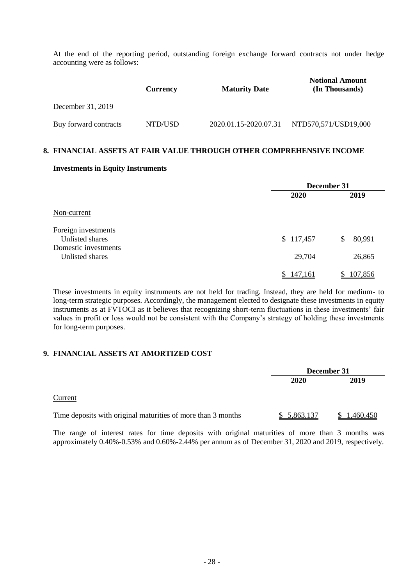At the end of the reporting period, outstanding foreign exchange forward contracts not under hedge accounting were as follows:

|                       | <b>Currency</b> | <b>Maturity Date</b>  | <b>Notional Amount</b><br>(In Thousands) |
|-----------------------|-----------------|-----------------------|------------------------------------------|
| December 31, 2019     |                 |                       |                                          |
| Buy forward contracts | NTD/USD         | 2020.01.15-2020.07.31 | NTD570,571/USD19,000                     |

# **8. FINANCIAL ASSETS AT FAIR VALUE THROUGH OTHER COMPREHENSIVE INCOME**

#### **Investments in Equity Instruments**

|                                         | December 31 |              |
|-----------------------------------------|-------------|--------------|
|                                         | 2020        | 2019         |
| Non-current                             |             |              |
| Foreign investments                     |             |              |
| Unlisted shares<br>Domestic investments | \$117,457   | 80,991<br>\$ |
| Unlisted shares                         | 29,704      | 26,865       |
|                                         |             |              |
|                                         | 147,161     | 107,856      |

These investments in equity instruments are not held for trading. Instead, they are held for medium- to long-term strategic purposes. Accordingly, the management elected to designate these investments in equity instruments as at FVTOCI as it believes that recognizing short-term fluctuations in these investments' fair values in profit or loss would not be consistent with the Company's strategy of holding these investments for long-term purposes.

# **9. FINANCIAL ASSETS AT AMORTIZED COST**

|                                                              | December 31  |                  |
|--------------------------------------------------------------|--------------|------------------|
|                                                              | 2020<br>2019 |                  |
| Current                                                      |              |                  |
| Time deposits with original maturities of more than 3 months | \$5,863,137  | <u>1,460,450</u> |

The range of interest rates for time deposits with original maturities of more than 3 months was approximately 0.40%-0.53% and 0.60%-2.44% per annum as of December 31, 2020 and 2019, respectively.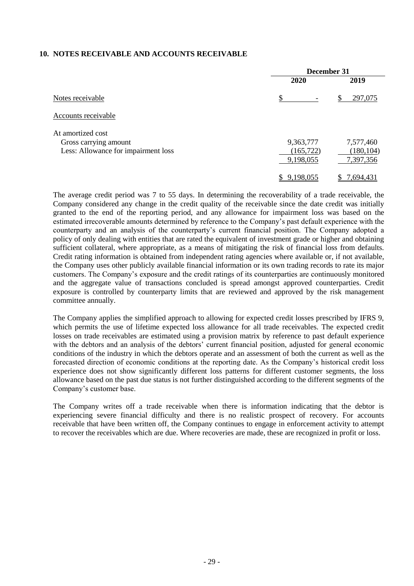# **10. NOTES RECEIVABLE AND ACCOUNTS RECEIVABLE**

|                                                                                   | December 31                          |                                      |  |
|-----------------------------------------------------------------------------------|--------------------------------------|--------------------------------------|--|
|                                                                                   | 2020                                 | 2019                                 |  |
| Notes receivable                                                                  | \$                                   | 297,075                              |  |
| Accounts receivable                                                               |                                      |                                      |  |
| At amortized cost<br>Gross carrying amount<br>Less: Allowance for impairment loss | 9,363,777<br>(165, 722)<br>9,198,055 | 7,577,460<br>(180, 104)<br>7,397,356 |  |
|                                                                                   | 9,198,055                            | 7,694,431                            |  |

The average credit period was 7 to 55 days. In determining the recoverability of a trade receivable, the Company considered any change in the credit quality of the receivable since the date credit was initially granted to the end of the reporting period, and any allowance for impairment loss was based on the estimated irrecoverable amounts determined by reference to the Company's past default experience with the counterparty and an analysis of the counterparty's current financial position. The Company adopted a policy of only dealing with entities that are rated the equivalent of investment grade or higher and obtaining sufficient collateral, where appropriate, as a means of mitigating the risk of financial loss from defaults. Credit rating information is obtained from independent rating agencies where available or, if not available, the Company uses other publicly available financial information or its own trading records to rate its major customers. The Company's exposure and the credit ratings of its counterparties are continuously monitored and the aggregate value of transactions concluded is spread amongst approved counterparties. Credit exposure is controlled by counterparty limits that are reviewed and approved by the risk management committee annually.

The Company applies the simplified approach to allowing for expected credit losses prescribed by IFRS 9, which permits the use of lifetime expected loss allowance for all trade receivables. The expected credit losses on trade receivables are estimated using a provision matrix by reference to past default experience with the debtors and an analysis of the debtors' current financial position, adjusted for general economic conditions of the industry in which the debtors operate and an assessment of both the current as well as the forecasted direction of economic conditions at the reporting date. As the Company's historical credit loss experience does not show significantly different loss patterns for different customer segments, the loss allowance based on the past due status is not further distinguished according to the different segments of the Company's customer base.

The Company writes off a trade receivable when there is information indicating that the debtor is experiencing severe financial difficulty and there is no realistic prospect of recovery. For accounts receivable that have been written off, the Company continues to engage in enforcement activity to attempt to recover the receivables which are due. Where recoveries are made, these are recognized in profit or loss.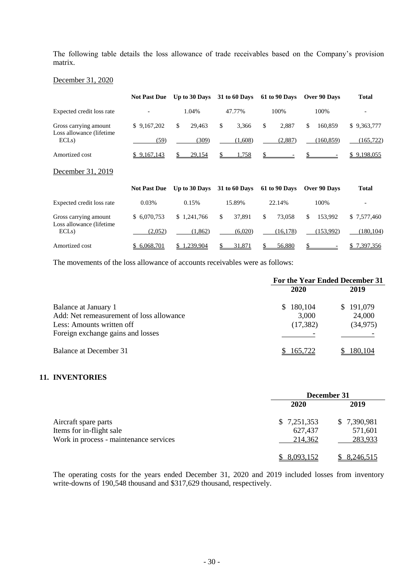The following table details the loss allowance of trade receivables based on the Company's provision matrix.

# December 31, 2020

|                                                   | <b>Not Past Due</b> | Up to 30 Days          | <b>31 to 60 Days</b> | 61 to 90 Days | Over 90 Days  | <b>Total</b>       |
|---------------------------------------------------|---------------------|------------------------|----------------------|---------------|---------------|--------------------|
| Expected credit loss rate                         |                     | 1.04%                  | 47.77%               | 100%          | 100%          |                    |
| Gross carrying amount<br>Loss allowance (lifetime | \$9,167,202         | $\mathbb{S}$<br>29,463 | \$<br>3,366          | \$<br>2,887   | \$<br>160,859 | \$9,363,777        |
| ECLs                                              | (59)                | (309)                  | (1,608)              | (2,887)       | (160, 859)    | (165, 722)         |
| Amortized cost                                    | \$9,167,143         | 29,154<br>\$           | 1,758<br>S.          | S.            |               | <u>\$9,198,055</u> |
| December 31, 2019                                 |                     |                        |                      |               |               |                    |
|                                                   | <b>Not Past Due</b> | Up to 30 Days          | <b>31 to 60 Days</b> | 61 to 90 Days | Over 90 Days  | <b>Total</b>       |
| Expected credit loss rate                         | 0.03%               | 0.15%                  | 15.89%               | 22.14%        | 100\%         |                    |
| Gross carrying amount<br>Loss allowance (lifetime | \$6,070,753         | \$1,241,766            | \$<br>37,891         | \$<br>73,058  | \$<br>153,992 | \$7,577,460        |
| ECLs                                              | (2,052)             | (1,862)                | (6,020)              | (16, 178)     | (153,992)     | (180, 104)         |
| Amortized cost                                    | \$ 6,068,701        | 1,239,904<br>\$        | 31,871               | 56,880        |               | 7,397,356          |

The movements of the loss allowance of accounts receivables were as follows:

|                                          | For the Year Ended December 31 |           |  |
|------------------------------------------|--------------------------------|-----------|--|
|                                          | 2020                           | 2019      |  |
| Balance at January 1                     | 180,104<br>S.                  | \$191,079 |  |
| Add: Net remeasurement of loss allowance | 3,000                          | 24,000    |  |
| Less: Amounts written off                | (17, 382)                      | (34, 975) |  |
| Foreign exchange gains and losses        |                                |           |  |
| Balance at December 31                   | 165.722                        | 180,104   |  |

# **11. INVENTORIES**

|                                        | December 31 |             |
|----------------------------------------|-------------|-------------|
|                                        | 2020        | 2019        |
| Aircraft spare parts                   | \$7,251,353 | \$7,390,981 |
| Items for in-flight sale               | 627,437     | 571,601     |
| Work in process - maintenance services | 214,362     | 283,933     |
|                                        | 8,093,152   | 8,246,515   |

The operating costs for the years ended December 31, 2020 and 2019 included losses from inventory write-downs of 190,548 thousand and \$317,629 thousand, respectively.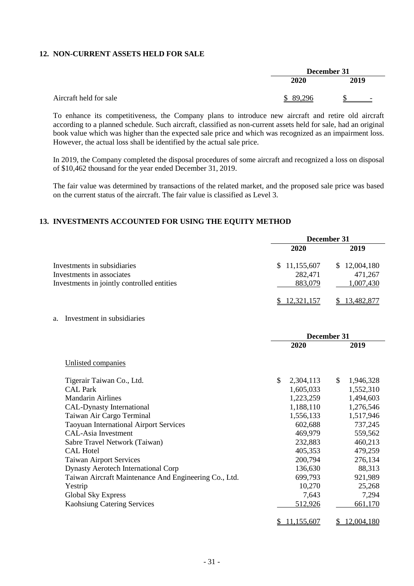# **12. NON-CURRENT ASSETS HELD FOR SALE**

| December 31  |                          |
|--------------|--------------------------|
| 2020         | 2019                     |
| 89 296<br>G. | $\overline{\phantom{0}}$ |

To enhance its competitiveness, the Company plans to introduce new aircraft and retire old aircraft according to a planned schedule. Such aircraft, classified as non-current assets held for sale, had an original book value which was higher than the expected sale price and which was recognized as an impairment loss. However, the actual loss shall be identified by the actual sale price.

In 2019, the Company completed the disposal procedures of some aircraft and recognized a loss on disposal of \$10,462 thousand for the year ended December 31, 2019.

The fair value was determined by transactions of the related market, and the proposed sale price was based on the current status of the aircraft. The fair value is classified as Level 3.

# **13. INVESTMENTS ACCOUNTED FOR USING THE EQUITY METHOD**

|                                                       |                            | December 31      |
|-------------------------------------------------------|----------------------------|------------------|
|                                                       | 2020                       | 2019             |
| Investments in subsidiaries                           | 11,155,607<br>\$.          | 12,004,180<br>\$ |
| Investments in associates                             | 282,471                    | 471,267          |
| Investments in jointly controlled entities            | 883,079                    | 1,007,430        |
|                                                       | \$12,321,157               | \$13,482,877     |
| Investment in subsidiaries<br>a.                      |                            |                  |
|                                                       |                            | December 31      |
|                                                       | 2020                       | 2019             |
| Unlisted companies                                    |                            |                  |
| Tigerair Taiwan Co., Ltd.                             | $\mathcal{S}$<br>2,304,113 | \$<br>1,946,328  |
| <b>CAL Park</b>                                       | 1,605,033                  | 1,552,310        |
| <b>Mandarin Airlines</b>                              | 1,223,259                  | 1,494,603        |
| <b>CAL-Dynasty International</b>                      | 1,188,110                  | 1,276,546        |
| Taiwan Air Cargo Terminal                             | 1,556,133                  | 1,517,946        |
| <b>Taoyuan International Airport Services</b>         | 602,688                    | 737,245          |
| <b>CAL-Asia Investment</b>                            | 469,979                    | 559,562          |
| Sabre Travel Network (Taiwan)                         | 232,883                    | 460,213          |
| <b>CAL Hotel</b>                                      | 405,353                    | 479,259          |
| <b>Taiwan Airport Services</b>                        | 200,794                    | 276,134          |
| <b>Dynasty Aerotech International Corp</b>            | 136,630                    | 88,313           |
| Taiwan Aircraft Maintenance And Engineering Co., Ltd. | 699,793                    | 921,989          |
| Yestrip                                               | 10,270                     | 25,268           |
| <b>Global Sky Express</b>                             | 7,643                      | 7,294            |
| <b>Kaohsiung Catering Services</b>                    | 512,926                    | 661,170          |
|                                                       | 11,155,607<br>\$           | 12,004,180<br>\$ |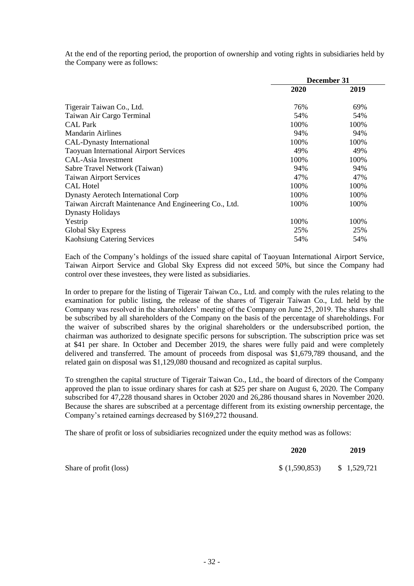At the end of the reporting period, the proportion of ownership and voting rights in subsidiaries held by the Company were as follows:

|                                                       | December 31 |      |
|-------------------------------------------------------|-------------|------|
|                                                       | 2020        | 2019 |
| Tigerair Taiwan Co., Ltd.                             | 76%         | 69%  |
| Taiwan Air Cargo Terminal                             | 54%         | 54%  |
| <b>CAL Park</b>                                       | 100\%       | 100% |
| <b>Mandarin Airlines</b>                              | 94%         | 94%  |
| CAL-Dynasty International                             | 100%        | 100% |
| <b>Taoyuan International Airport Services</b>         | 49%         | 49%  |
| <b>CAL-Asia Investment</b>                            | 100%        | 100% |
| Sabre Travel Network (Taiwan)                         | 94%         | 94%  |
| <b>Taiwan Airport Services</b>                        | 47%         | 47%  |
| <b>CAL Hotel</b>                                      | 100%        | 100% |
| <b>Dynasty Aerotech International Corp</b>            | 100%        | 100% |
| Taiwan Aircraft Maintenance And Engineering Co., Ltd. | 100%        | 100% |
| <b>Dynasty Holidays</b>                               |             |      |
| Yestrip                                               | 100%        | 100% |
| Global Sky Express                                    | 25%         | 25%  |
| <b>Kaohsiung Catering Services</b>                    | 54%         | 54%  |

Each of the Company's holdings of the issued share capital of Taoyuan International Airport Service, Taiwan Airport Service and Global Sky Express did not exceed 50%, but since the Company had control over these investees, they were listed as subsidiaries.

In order to prepare for the listing of Tigerair Taiwan Co., Ltd. and comply with the rules relating to the examination for public listing, the release of the shares of Tigerair Taiwan Co., Ltd. held by the Company was resolved in the shareholders' meeting of the Company on June 25, 2019. The shares shall be subscribed by all shareholders of the Company on the basis of the percentage of shareholdings. For the waiver of subscribed shares by the original shareholders or the undersubscribed portion, the chairman was authorized to designate specific persons for subscription. The subscription price was set at \$41 per share. In October and December 2019, the shares were fully paid and were completely delivered and transferred. The amount of proceeds from disposal was \$1,679,789 thousand, and the related gain on disposal was \$1,129,080 thousand and recognized as capital surplus.

To strengthen the capital structure of Tigerair Taiwan Co., Ltd., the board of directors of the Company approved the plan to issue ordinary shares for cash at \$25 per share on August 6, 2020. The Company subscribed for 47,228 thousand shares in October 2020 and 26,286 thousand shares in November 2020. Because the shares are subscribed at a percentage different from its existing ownership percentage, the Company's retained earnings decreased by \$169,272 thousand.

The share of profit or loss of subsidiaries recognized under the equity method was as follows:

|                        | 2020          | 2019        |
|------------------------|---------------|-------------|
| Share of profit (loss) | \$(1,590,853) | \$1,529,721 |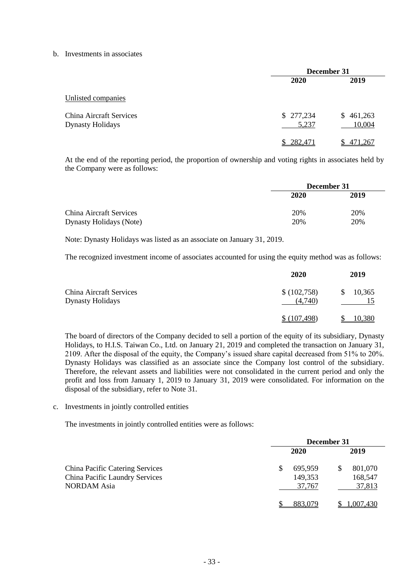#### b. Investments in associates

|                                                    | December 31              |                     |  |
|----------------------------------------------------|--------------------------|---------------------|--|
|                                                    | 2020                     | 2019                |  |
| Unlisted companies                                 |                          |                     |  |
| China Aircraft Services<br><b>Dynasty Holidays</b> | \$277,234<br>5,237       | \$461,263<br>10,004 |  |
|                                                    | 282,471<br>$\mathcal{S}$ | 471,267             |  |

At the end of the reporting period, the proportion of ownership and voting rights in associates held by the Company were as follows:

|                                | December 31 |      |  |
|--------------------------------|-------------|------|--|
|                                | 2020        | 2019 |  |
| <b>China Aircraft Services</b> | 20%         | 20%  |  |
| <b>Dynasty Holidays (Note)</b> | 20%         | 20%  |  |

Note: Dynasty Holidays was listed as an associate on January 31, 2019.

The recognized investment income of associates accounted for using the equity method was as follows:

|                                                    | 2020                   | 2019   |
|----------------------------------------------------|------------------------|--------|
| China Aircraft Services<br><b>Dynasty Holidays</b> | \$(102,758)<br>(4,740) | 10,365 |
|                                                    | (107.498)              | 10,380 |

The board of directors of the Company decided to sell a portion of the equity of its subsidiary, Dynasty Holidays, to H.I.S. Taiwan Co., Ltd. on January 21, 2019 and completed the transaction on January 31, 2109. After the disposal of the equity, the Company's issued share capital decreased from 51% to 20%. Dynasty Holidays was classified as an associate since the Company lost control of the subsidiary. Therefore, the relevant assets and liabilities were not consolidated in the current period and only the profit and loss from January 1, 2019 to January 31, 2019 were consolidated. For information on the disposal of the subsidiary, refer to Note 31.

c. Investments in jointly controlled entities

The investments in jointly controlled entities were as follows:

|                                                                                                | December 31 |                              |   |                              |
|------------------------------------------------------------------------------------------------|-------------|------------------------------|---|------------------------------|
|                                                                                                |             | 2020                         |   | 2019                         |
| <b>China Pacific Catering Services</b><br>China Pacific Laundry Services<br><b>NORDAM</b> Asia | \$          | 695,959<br>149,353<br>37,767 | S | 801,070<br>168,547<br>37,813 |
|                                                                                                |             | 883,079                      |   | .007.430                     |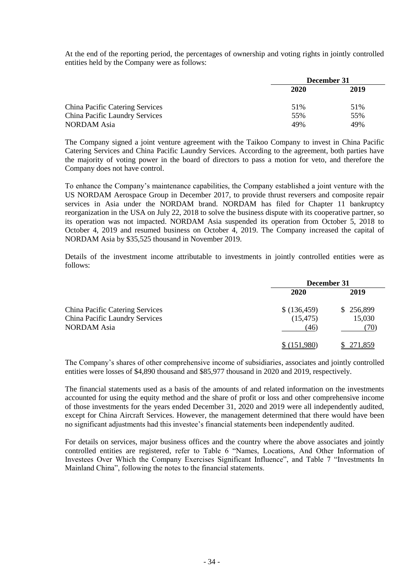At the end of the reporting period, the percentages of ownership and voting rights in jointly controlled entities held by the Company were as follows:

|                                        | December 31 |      |  |
|----------------------------------------|-------------|------|--|
|                                        | 2020        | 2019 |  |
| <b>China Pacific Catering Services</b> | 51%         | 51%  |  |
| <b>China Pacific Laundry Services</b>  | 55%         | 55%  |  |
| <b>NORDAM</b> Asia                     | 49%         | 49%  |  |

The Company signed a joint venture agreement with the Taikoo Company to invest in China Pacific Catering Services and China Pacific Laundry Services. According to the agreement, both parties have the majority of voting power in the board of directors to pass a motion for veto, and therefore the Company does not have control.

To enhance the Company's maintenance capabilities, the Company established a joint venture with the US NORDAM Aerospace Group in December 2017, to provide thrust reversers and composite repair services in Asia under the NORDAM brand. NORDAM has filed for Chapter 11 bankruptcy reorganization in the USA on July 22, 2018 to solve the business dispute with its cooperative partner, so its operation was not impacted. NORDAM Asia suspended its operation from October 5, 2018 to October 4, 2019 and resumed business on October 4, 2019. The Company increased the capital of NORDAM Asia by \$35,525 thousand in November 2019.

Details of the investment income attributable to investments in jointly controlled entities were as follows:

|                                        | December 31  |           |  |
|----------------------------------------|--------------|-----------|--|
|                                        | 2020         | 2019      |  |
| <b>China Pacific Catering Services</b> | \$(136, 459) | \$256,899 |  |
| China Pacific Laundry Services         | (15, 475)    | 15,030    |  |
| <b>NORDAM</b> Asia                     | (46)         | (70)      |  |
|                                        |              | 271.859   |  |

The Company's shares of other comprehensive income of subsidiaries, associates and jointly controlled entities were losses of \$4,890 thousand and \$85,977 thousand in 2020 and 2019, respectively.

The financial statements used as a basis of the amounts of and related information on the investments accounted for using the equity method and the share of profit or loss and other comprehensive income of those investments for the years ended December 31, 2020 and 2019 were all independently audited, except for China Aircraft Services. However, the management determined that there would have been no significant adjustments had this investee's financial statements been independently audited.

For details on services, major business offices and the country where the above associates and jointly controlled entities are registered, refer to Table 6 "Names, Locations, And Other Information of Investees Over Which the Company Exercises Significant Influence", and Table 7 "Investments In Mainland China", following the notes to the financial statements.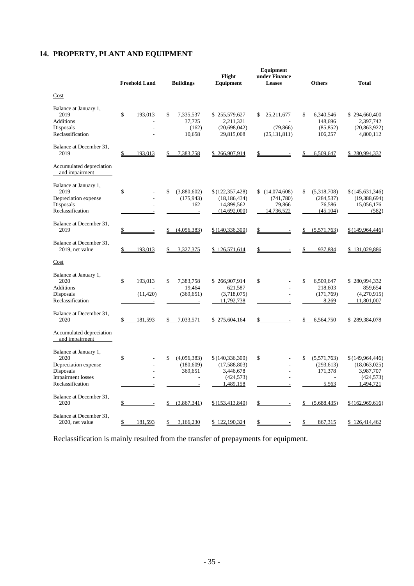# **14. PROPERTY, PLANT AND EQUIPMENT**

|                                                                                                                    | <b>Freehold Land</b>                                   | <b>Buildings</b>                                  | Flight<br>Equipment                                                       | Equipment<br>under Finance<br>Leases                | <b>Others</b>                                          | Total                                                                     |
|--------------------------------------------------------------------------------------------------------------------|--------------------------------------------------------|---------------------------------------------------|---------------------------------------------------------------------------|-----------------------------------------------------|--------------------------------------------------------|---------------------------------------------------------------------------|
| Cost                                                                                                               |                                                        |                                                   |                                                                           |                                                     |                                                        |                                                                           |
| Balance at January 1,<br>2019<br>Additions<br>Disposals<br>Reclassification                                        | \$<br>193.013<br>$\overline{\phantom{a}}$              | \$<br>7,335,537<br>37,725<br>(162)<br>10,658      | \$255,579,627<br>2,211,321<br>(20, 698, 042)<br>29,815,008                | \$<br>25,211,677<br>(79, 866)<br>(25, 131, 811)     | 6,340,546<br>\$<br>148,696<br>(85, 852)<br>106,257     | \$294,660,400<br>2,397,742<br>(20, 863, 922)<br>4,800,112                 |
| Balance at December 31,<br>2019                                                                                    | \$<br>193,013                                          | 7,383,758<br>\$                                   | \$266,907,914                                                             |                                                     | 6,509,647<br>\$                                        | \$280,994,332                                                             |
| Accumulated depreciation<br>and impairment                                                                         |                                                        |                                                   |                                                                           |                                                     |                                                        |                                                                           |
| Balance at January 1,<br>2019<br>Depreciation expense<br>Disposals<br>Reclassification                             | \$<br>ä,<br>$\overline{\phantom{a}}$                   | \$<br>(3,880,602)<br>(175, 943)<br>162<br>$\sim$  | \$(122, 357, 428)<br>(18, 186, 434)<br>14,899,562<br>(14,692,000)         | \$(14,074,608)<br>(741,780)<br>79,866<br>14,736,522 | \$<br>(5,318,708)<br>(284, 537)<br>76,586<br>(45, 104) | \$(145,631,346)<br>(19,388,694)<br>15,056,176<br>(582)                    |
| Balance at December 31,<br>2019                                                                                    |                                                        | (4,056,383)<br>\$                                 | \$(140, 336, 300)                                                         |                                                     | (5,571,763)<br>\$                                      | \$(149, 964, 446)                                                         |
| Balance at December 31,<br>2019, net value                                                                         | \$<br>193,013                                          | 3,327,375                                         | \$126,571,614                                                             |                                                     | 937,884                                                | \$131,029,886                                                             |
| Cost                                                                                                               |                                                        |                                                   |                                                                           |                                                     |                                                        |                                                                           |
| Balance at January 1,<br>2020<br><b>Additions</b><br>Disposals<br>Reclassification                                 | \$<br>193,013<br>(11, 420)<br>$\overline{\phantom{a}}$ | \$<br>7,383,758<br>19,464<br>(369, 651)<br>$\sim$ | \$266,907,914<br>621,587<br>(3,718,075)<br>11,792,738                     | \$                                                  | \$<br>6,509,647<br>218,603<br>(171, 769)<br>8,269      | \$280,994,332<br>859,654<br>(4,270,915)<br>11,801,007                     |
| Balance at December 31,<br>2020                                                                                    | 181,593<br>\$                                          | 7,033,571                                         | \$275,604,164                                                             |                                                     | 6,564,750<br>\$                                        | \$289,384,078                                                             |
| Accumulated depreciation<br>and impairment                                                                         |                                                        |                                                   |                                                                           |                                                     |                                                        |                                                                           |
| Balance at January 1,<br>2020<br>Depreciation expense<br>Disposals<br><b>Impairment</b> losses<br>Reclassification | \$<br>L,<br>÷<br>÷,                                    | \$<br>(4,056,383)<br>(180, 609)<br>369,651        | \$(140, 336, 300)<br>(17,588,803)<br>3,446,678<br>(424, 573)<br>1,489,158 | \$                                                  | \$<br>(5,571,763)<br>(293, 613)<br>171,378<br>5,563    | \$(149, 964, 446)<br>(18,063,025)<br>3,987,707<br>(424, 573)<br>1,494,721 |
| Balance at December 31,<br>2020                                                                                    |                                                        | (3,867,341)<br>\$                                 | \$(153, 413, 840)                                                         |                                                     | (5,688,435)<br>\$                                      | \$(162,969,616)                                                           |
| Balance at December 31,<br>2020, net value                                                                         | \$<br>181,593                                          | 3,166,230<br>\$                                   | \$122,190,324                                                             |                                                     | 867,315<br>\$                                          | \$126,414,462                                                             |

Reclassification is mainly resulted from the transfer of prepayments for equipment.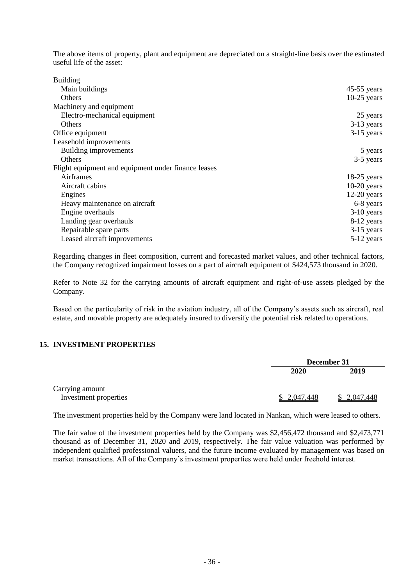The above items of property, plant and equipment are depreciated on a straight-line basis over the estimated useful life of the asset:

| <b>Building</b>                                     |               |
|-----------------------------------------------------|---------------|
| Main buildings                                      | $45-55$ years |
| Others                                              | $10-25$ years |
| Machinery and equipment                             |               |
| Electro-mechanical equipment                        | 25 years      |
| Others                                              | $3-13$ years  |
| Office equipment                                    | $3-15$ years  |
| Leasehold improvements                              |               |
| Building improvements                               | 5 years       |
| Others                                              | 3-5 years     |
| Flight equipment and equipment under finance leases |               |
| Airframes                                           | $18-25$ years |
| Aircraft cabins                                     | $10-20$ years |
| Engines                                             | $12-20$ years |
| Heavy maintenance on aircraft                       | 6-8 years     |
| Engine overhauls                                    | $3-10$ years  |
| Landing gear overhauls                              | 8-12 years    |
| Repairable spare parts                              | $3-15$ years  |
| Leased aircraft improvements                        | 5-12 years    |

Regarding changes in fleet composition, current and forecasted market values, and other technical factors, the Company recognized impairment losses on a part of aircraft equipment of \$424,573 thousand in 2020.

Refer to Note 32 for the carrying amounts of aircraft equipment and right-of-use assets pledged by the Company.

Based on the particularity of risk in the aviation industry, all of the Company's assets such as aircraft, real estate, and movable property are adequately insured to diversify the potential risk related to operations.

#### **15. INVESTMENT PROPERTIES**

|                                          |             | December 31 |  |
|------------------------------------------|-------------|-------------|--|
|                                          | 2020        | 2019        |  |
| Carrying amount<br>Investment properties | \$2,047,448 | \$2,047,448 |  |

The investment properties held by the Company were land located in Nankan, which were leased to others.

The fair value of the investment properties held by the Company was \$2,456,472 thousand and \$2,473,771 thousand as of December 31, 2020 and 2019, respectively. The fair value valuation was performed by independent qualified professional valuers, and the future income evaluated by management was based on market transactions. All of the Company's investment properties were held under freehold interest.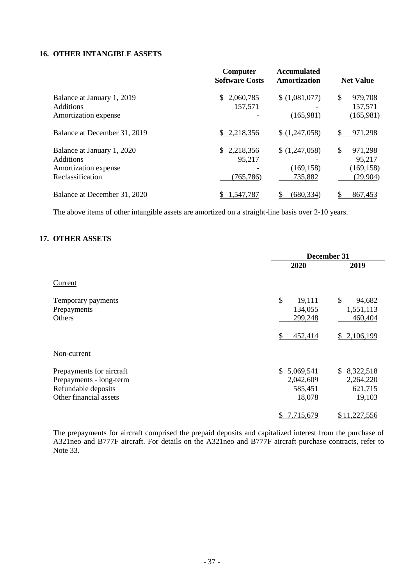## **16. OTHER INTANGIBLE ASSETS**

|                                                                                            | Computer<br><b>Software Costs</b>       | <b>Accumulated</b><br>Amortization     | <b>Net Value</b>                                   |
|--------------------------------------------------------------------------------------------|-----------------------------------------|----------------------------------------|----------------------------------------------------|
| Balance at January 1, 2019<br><b>Additions</b><br>Amortization expense                     | 2,060,785<br>\$.<br>157,571             | \$(1,081,077)<br>(165, 981)            | \$<br>979,708<br>157,571<br>(165,981)              |
| Balance at December 31, 2019                                                               | \$2,218,356                             | \$(1,247,058)                          | 971,298                                            |
| Balance at January 1, 2020<br><b>Additions</b><br>Amortization expense<br>Reclassification | 2,218,356<br>S.<br>95,217<br>(765, 786) | \$(1,247,058)<br>(169, 158)<br>735,882 | \$<br>971,298<br>95,217<br>(169, 158)<br>(29, 904) |
| Balance at December 31, 2020                                                               | 547.787.ا                               | (680, 334)                             | 867,453                                            |

The above items of other intangible assets are amortized on a straight-line basis over 2-10 years.

#### **17. OTHER ASSETS**

|                                                                                                      | December 31                                   |                                                     |
|------------------------------------------------------------------------------------------------------|-----------------------------------------------|-----------------------------------------------------|
|                                                                                                      | 2020                                          | 2019                                                |
| Current                                                                                              |                                               |                                                     |
| Temporary payments<br>Prepayments<br>Others                                                          | \$<br>19,111<br>134,055<br>299,248<br>452,414 | \$<br>94,682<br>1,551,113<br>460,404<br>\$2,106,199 |
| Non-current                                                                                          |                                               |                                                     |
| Prepayments for aircraft<br>Prepayments - long-term<br>Refundable deposits<br>Other financial assets | \$5,069,541<br>2,042,609<br>585,451<br>18,078 | \$8,322,518<br>2,264,220<br>621,715<br>19,103       |
|                                                                                                      | 7,715,679<br>\$                               | \$11,227,556                                        |

The prepayments for aircraft comprised the prepaid deposits and capitalized interest from the purchase of A321neo and B777F aircraft. For details on the A321neo and B777F aircraft purchase contracts, refer to Note 33.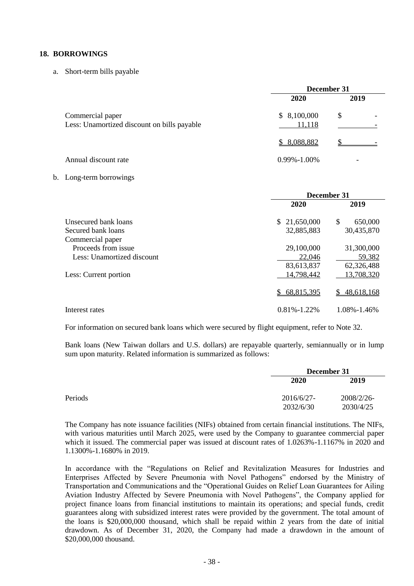#### **18. BORROWINGS**

a. Short-term bills payable

|                                                                 | December 31           |      |
|-----------------------------------------------------------------|-----------------------|------|
|                                                                 | <b>2020</b>           | 2019 |
| Commercial paper<br>Less: Unamortized discount on bills payable | \$8,100,000<br>11,118 | \$   |
|                                                                 | \$8,088,882           |      |
| Annual discount rate                                            | $0.99\% - 1.00\%$     | ۰    |

#### b. Long-term borrowings

|                            | December 31       |                  |
|----------------------------|-------------------|------------------|
|                            | 2020              | 2019             |
| Unsecured bank loans       | 21,650,000<br>\$  | \$<br>650,000    |
| Secured bank loans         | 32,885,883        | 30,435,870       |
| Commercial paper           |                   |                  |
| Proceeds from issue.       | 29,100,000        | 31,300,000       |
| Less: Unamortized discount | 22,046            | 59,382           |
|                            | 83,613,837        | 62,326,488       |
| Less: Current portion      | 14,798,442        | 13,708,320       |
|                            | 68,815,395<br>S.  | 48,618,168<br>S. |
| Interest rates             | $0.81\% - 1.22\%$ | 1.08%-1.46%      |

For information on secured bank loans which were secured by flight equipment, refer to Note 32.

Bank loans (New Taiwan dollars and U.S. dollars) are repayable quarterly, semiannually or in lump sum upon maturity. Related information is summarized as follows:

|         |               | December 31 |  |
|---------|---------------|-------------|--|
|         | 2020          | 2019        |  |
| Periods | $2016/6/27$ - | 2008/2/26-  |  |
|         | 2032/6/30     | 2030/4/25   |  |

The Company has note issuance facilities (NIFs) obtained from certain financial institutions. The NIFs, with various maturities until March 2025, were used by the Company to guarantee commercial paper which it issued. The commercial paper was issued at discount rates of 1.0263%-1.1167% in 2020 and 1.1300%-1.1680% in 2019.

In accordance with the "Regulations on Relief and Revitalization Measures for Industries and Enterprises Affected by Severe Pneumonia with Novel Pathogens" endorsed by the Ministry of Transportation and Communications and the "Operational Guides on Relief Loan Guarantees for Ailing Aviation Industry Affected by Severe Pneumonia with Novel Pathogens", the Company applied for project finance loans from financial institutions to maintain its operations; and special funds, credit guarantees along with subsidized interest rates were provided by the government. The total amount of the loans is \$20,000,000 thousand, which shall be repaid within 2 years from the date of initial drawdown. As of December 31, 2020, the Company had made a drawdown in the amount of \$20,000,000 thousand.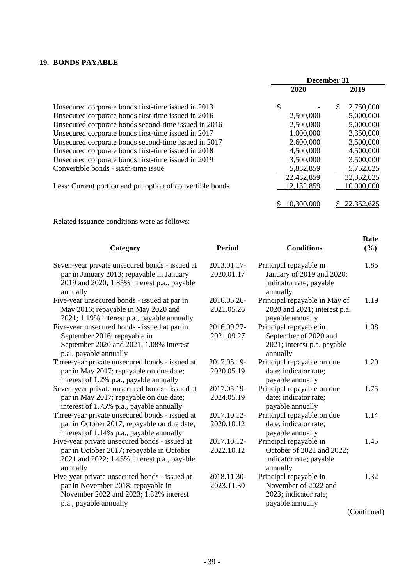# **19. BONDS PAYABLE**

|                                                                                                                                                                                                                                                                                                                                          | December 31                                                         |                                                                                   |
|------------------------------------------------------------------------------------------------------------------------------------------------------------------------------------------------------------------------------------------------------------------------------------------------------------------------------------------|---------------------------------------------------------------------|-----------------------------------------------------------------------------------|
|                                                                                                                                                                                                                                                                                                                                          | 2020                                                                | 2019                                                                              |
| Unsecured corporate bonds first-time issued in 2013<br>Unsecured corporate bonds first-time issued in 2016<br>Unsecured corporate bonds second-time issued in 2016<br>Unsecured corporate bonds first-time issued in 2017<br>Unsecured corporate bonds second-time issued in 2017<br>Unsecured corporate bonds first-time issued in 2018 | \$<br>2,500,000<br>2,500,000<br>1,000,000<br>2,600,000<br>4,500,000 | 2,750,000<br>\$.<br>5,000,000<br>5,000,000<br>2,350,000<br>3,500,000<br>4,500,000 |
| Unsecured corporate bonds first-time issued in 2019<br>Convertible bonds - sixth-time issue<br>Less: Current portion and put option of convertible bonds                                                                                                                                                                                 | 3,500,000<br>5,832,859<br>22,432,859<br>12,132,859                  | 3,500,000<br>5,752,625<br>32, 352, 625<br>10,000,000                              |
|                                                                                                                                                                                                                                                                                                                                          | 10,300,000                                                          | 22,352,625                                                                        |

**Rate** 

Related issuance conditions were as follows:

| Category                                                                                                                                                | Period                    | <b>Conditions</b>                                                                           | (%)         |
|---------------------------------------------------------------------------------------------------------------------------------------------------------|---------------------------|---------------------------------------------------------------------------------------------|-------------|
| Seven-year private unsecured bonds - issued at<br>par in January 2013; repayable in January<br>2019 and 2020; 1.85% interest p.a., payable<br>annually  | 2013.01.17-<br>2020.01.17 | Principal repayable in<br>January of 2019 and 2020;<br>indicator rate; payable<br>annually  | 1.85        |
| Five-year unsecured bonds - issued at par in<br>May 2016; repayable in May 2020 and<br>2021; 1.19% interest p.a., payable annually                      | 2016.05.26-<br>2021.05.26 | Principal repayable in May of<br>2020 and 2021; interest p.a.<br>payable annually           | 1.19        |
| Five-year unsecured bonds - issued at par in<br>September 2016; repayable in<br>September 2020 and 2021; 1.08% interest<br>p.a., payable annually       | 2016.09.27-<br>2021.09.27 | Principal repayable in<br>September of 2020 and<br>2021; interest p.a. payable<br>annually  | 1.08        |
| Three-year private unsecured bonds - issued at<br>par in May 2017; repayable on due date;<br>interest of 1.2% p.a., payable annually                    | 2017.05.19-<br>2020.05.19 | Principal repayable on due<br>date; indicator rate;<br>payable annually                     | 1.20        |
| Seven-year private unsecured bonds - issued at<br>par in May 2017; repayable on due date;<br>interest of 1.75% p.a., payable annually                   | 2017.05.19-<br>2024.05.19 | Principal repayable on due<br>date; indicator rate;<br>payable annually                     | 1.75        |
| Three-year private unsecured bonds - issued at<br>par in October 2017; repayable on due date;<br>interest of 1.14% p.a., payable annually               | 2017.10.12-<br>2020.10.12 | Principal repayable on due<br>date; indicator rate;<br>payable annually                     | 1.14        |
| Five-year private unsecured bonds - issued at<br>par in October 2017; repayable in October<br>2021 and 2022; 1.45% interest p.a., payable<br>annually   | 2017.10.12-<br>2022.10.12 | Principal repayable in<br>October of 2021 and 2022;<br>indicator rate; payable<br>annually  | 1.45        |
| Five-year private unsecured bonds - issued at<br>par in November 2018; repayable in<br>November 2022 and 2023; 1.32% interest<br>p.a., payable annually | 2018.11.30-<br>2023.11.30 | Principal repayable in<br>November of 2022 and<br>2023; indicator rate;<br>payable annually | 1.32        |
|                                                                                                                                                         |                           |                                                                                             | (Continued) |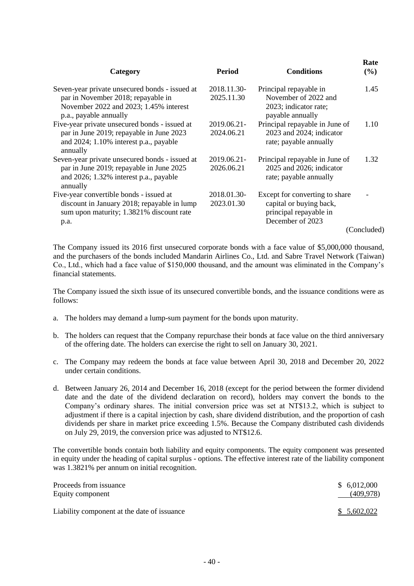| Category                                                                                                                                                 | <b>Period</b>             | <b>Conditions</b>                                                                                       | Rate<br>(%) |
|----------------------------------------------------------------------------------------------------------------------------------------------------------|---------------------------|---------------------------------------------------------------------------------------------------------|-------------|
| Seven-year private unsecured bonds - issued at<br>par in November 2018; repayable in<br>November 2022 and 2023; 1.45% interest<br>p.a., payable annually | 2018.11.30-<br>2025.11.30 | Principal repayable in<br>November of 2022 and<br>2023; indicator rate;<br>payable annually             | 1.45        |
| Five-year private unsecured bonds - issued at<br>par in June 2019; repayable in June 2023<br>and 2024; 1.10% interest p.a., payable<br>annually          | 2019.06.21-<br>2024.06.21 | Principal repayable in June of<br>2023 and 2024; indicator<br>rate; payable annually                    | 1.10        |
| Seven-year private unsecured bonds - issued at<br>par in June 2019; repayable in June 2025<br>and 2026; 1.32% interest p.a., payable<br>annually         | 2019.06.21-<br>2026.06.21 | Principal repayable in June of<br>2025 and 2026; indicator<br>rate; payable annually                    | 1.32        |
| Five-year convertible bonds - issued at<br>discount in January 2018; repayable in lump<br>sum upon maturity; 1.3821% discount rate<br>p.a.               | 2018.01.30-<br>2023.01.30 | Except for converting to share<br>capital or buying back,<br>principal repayable in<br>December of 2023 |             |
|                                                                                                                                                          |                           |                                                                                                         | (Concluded) |

The Company issued its 2016 first unsecured corporate bonds with a face value of \$5,000,000 thousand, and the purchasers of the bonds included Mandarin Airlines Co., Ltd. and Sabre Travel Network (Taiwan) Co., Ltd., which had a face value of \$150,000 thousand, and the amount was eliminated in the Company's financial statements.

The Company issued the sixth issue of its unsecured convertible bonds, and the issuance conditions were as follows:

- a. The holders may demand a lump-sum payment for the bonds upon maturity.
- b. The holders can request that the Company repurchase their bonds at face value on the third anniversary of the offering date. The holders can exercise the right to sell on January 30, 2021.
- c. The Company may redeem the bonds at face value between April 30, 2018 and December 20, 2022 under certain conditions.
- d. Between January 26, 2014 and December 16, 2018 (except for the period between the former dividend date and the date of the dividend declaration on record), holders may convert the bonds to the Company's ordinary shares. The initial conversion price was set at NT\$13.2, which is subject to adjustment if there is a capital injection by cash, share dividend distribution, and the proportion of cash dividends per share in market price exceeding 1.5%. Because the Company distributed cash dividends on July 29, 2019, the conversion price was adjusted to NT\$12.6.

The convertible bonds contain both liability and equity components. The equity component was presented in equity under the heading of capital surplus - options. The effective interest rate of the liability component was 1.3821% per annum on initial recognition.

| Proceeds from issuance                      | \$6,012,000 |
|---------------------------------------------|-------------|
| Equity component                            | (409, 978)  |
| Liability component at the date of issuance | \$5,602,022 |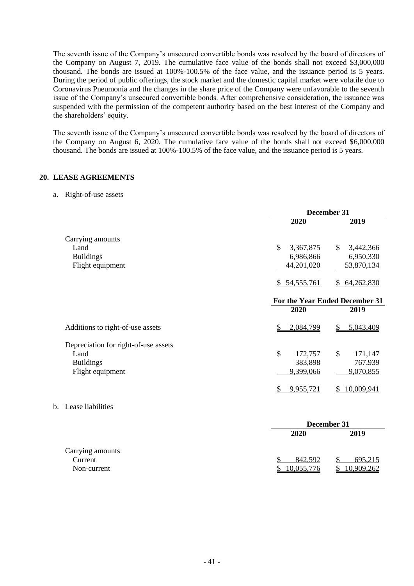The seventh issue of the Company's unsecured convertible bonds was resolved by the board of directors of the Company on August 7, 2019. The cumulative face value of the bonds shall not exceed \$3,000,000 thousand. The bonds are issued at 100%-100.5% of the face value, and the issuance period is 5 years. During the period of public offerings, the stock market and the domestic capital market were volatile due to Coronavirus Pneumonia and the changes in the share price of the Company were unfavorable to the seventh issue of the Company's unsecured convertible bonds. After comprehensive consideration, the issuance was suspended with the permission of the competent authority based on the best interest of the Company and the shareholders' equity.

The seventh issue of the Company's unsecured convertible bonds was resolved by the board of directors of the Company on August 6, 2020. The cumulative face value of the bonds shall not exceed \$6,000,000 thousand. The bonds are issued at 100%-100.5% of the face value, and the issuance period is 5 years.

#### **20. LEASE AGREEMENTS**

#### a. Right-of-use assets

|                                      | December 31               |                                |
|--------------------------------------|---------------------------|--------------------------------|
|                                      | 2020                      | 2019                           |
| Carrying amounts                     |                           |                                |
| Land                                 | $\mathbb{S}$<br>3,367,875 | $\mathbb{S}$<br>3,442,366      |
| <b>Buildings</b>                     | 6,986,866                 | 6,950,330                      |
| Flight equipment                     | 44,201,020                | 53,870,134                     |
|                                      | \$54,555,761              | 64,262,830<br>S.               |
|                                      |                           | For the Year Ended December 31 |
|                                      | 2020                      | 2019                           |
| Additions to right-of-use assets     | 2,084,799<br>\$.          | 5,043,409<br>\$                |
| Depreciation for right-of-use assets |                           |                                |
| Land                                 | $\mathcal{S}$<br>172,757  | \$<br>171,147                  |
| <b>Buildings</b>                     | 383,898                   | 767,939                        |
| Flight equipment                     | 9,399,066                 | 9,070,855                      |
|                                      | 9,955,721                 | 10,009,941                     |
| b. Lease liabilities                 |                           |                                |

|                  | December 31 |            |  |
|------------------|-------------|------------|--|
|                  | 2020        | 2019       |  |
| Carrying amounts |             |            |  |
| Current          | 842,592     | 695,215    |  |
| Non-current      | 10,055,776  | 10,909,262 |  |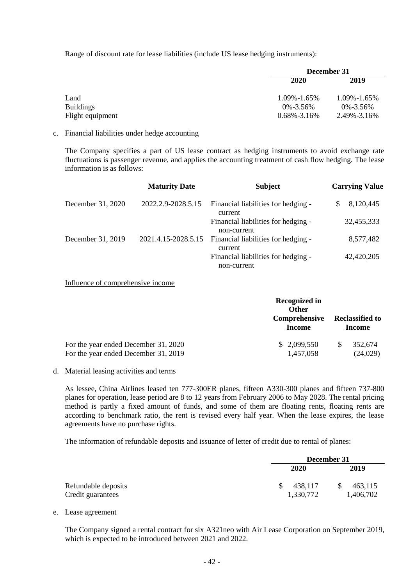Range of discount rate for lease liabilities (include US lease hedging instruments):

|                          | December 31                   |                               |  |
|--------------------------|-------------------------------|-------------------------------|--|
|                          | 2019<br>2020                  |                               |  |
| Land<br><b>Buildings</b> | 1.09%-1.65%<br>$0\% - 3.56\%$ | 1.09%-1.65%<br>$0\% - 3.56\%$ |  |
| Flight equipment         | $0.68\% - 3.16\%$             | 2.49%-3.16%                   |  |

c. Financial liabilities under hedge accounting

The Company specifies a part of US lease contract as hedging instruments to avoid exchange rate fluctuations is passenger revenue, and applies the accounting treatment of cash flow hedging. The lease information is as follows:

|                   | <b>Maturity Date</b> | <b>Subject</b>                                     | <b>Carrying Value</b> |
|-------------------|----------------------|----------------------------------------------------|-----------------------|
| December 31, 2020 | 2022.2.9-2028.5.15   | Financial liabilities for hedging -<br>current     | 8,120,445<br>\$.      |
|                   |                      | Financial liabilities for hedging -<br>non-current | 32,455,333            |
| December 31, 2019 | 2021.4.15-2028.5.15  | Financial liabilities for hedging -<br>current     | 8,577,482             |
|                   |                      | Financial liabilities for hedging -<br>non-current | 42,420,205            |

Influence of comprehensive income

|                                                                              | Recognized in<br><b>Other</b><br>Comprehensive<br><b>Reclassified to</b><br><b>Income</b><br>Income |                                      |  |
|------------------------------------------------------------------------------|-----------------------------------------------------------------------------------------------------|--------------------------------------|--|
| For the year ended December 31, 2020<br>For the year ended December 31, 2019 | \$2,099,550<br>1,457,058                                                                            | 352,674<br><sup>\$</sup><br>(24,029) |  |

d. Material leasing activities and terms

As lessee, China Airlines leased ten 777-300ER planes, fifteen A330-300 planes and fifteen 737-800 planes for operation, lease period are 8 to 12 years from February 2006 to May 2028. The rental pricing method is partly a fixed amount of funds, and some of them are floating rents, floating rents are according to benchmark ratio, the rent is revised every half year. When the lease expires, the lease agreements have no purchase rights.

The information of refundable deposits and issuance of letter of credit due to rental of planes:

|                                          | December 31                           |                      |  |
|------------------------------------------|---------------------------------------|----------------------|--|
|                                          | 2020                                  | 2019                 |  |
| Refundable deposits<br>Credit guarantees | 438,117<br><sup>\$</sup><br>1,330,772 | 463,115<br>1,406,702 |  |

e. Lease agreement

The Company signed a rental contract for six A321neo with Air Lease Corporation on September 2019, which is expected to be introduced between 2021 and 2022.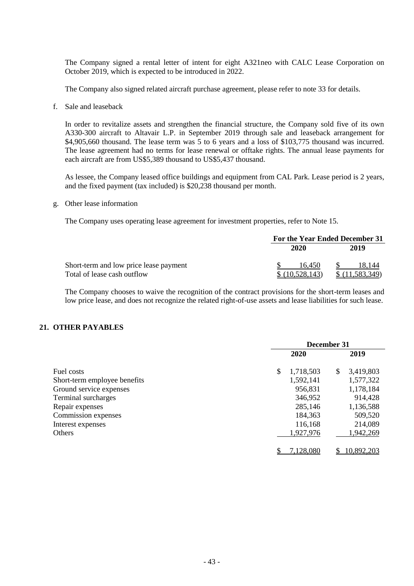The Company signed a rental letter of intent for eight A321neo with CALC Lease Corporation on October 2019, which is expected to be introduced in 2022.

The Company also signed related aircraft purchase agreement, please refer to note 33 for details.

f. Sale and leaseback

In order to revitalize assets and strengthen the financial structure, the Company sold five of its own A330-300 aircraft to Altavair L.P. in September 2019 through sale and leaseback arrangement for \$4,905,660 thousand. The lease term was 5 to 6 years and a loss of \$103,775 thousand was incurred. The lease agreement had no terms for lease renewal or offtake rights. The annual lease payments for each aircraft are from US\$5,389 thousand to US\$5,437 thousand.

As lessee, the Company leased office buildings and equipment from CAL Park. Lease period is 2 years, and the fixed payment (tax included) is \$20,238 thousand per month.

#### g. Other lease information

The Company uses operating lease agreement for investment properties, refer to Note 15.

|                                        | For the Year Ended December 31 |              |  |
|----------------------------------------|--------------------------------|--------------|--|
|                                        | 2020                           | 2019         |  |
| Short-term and low price lease payment | 16.450                         | 18.144       |  |
| Total of lease cash outflow            | 10.528.143)                    | (11.583.349) |  |

The Company chooses to waive the recognition of the contract provisions for the short-term leases and low price lease, and does not recognize the related right-of-use assets and lease liabilities for such lease.

## **21. OTHER PAYABLES**

|                              | December 31 |           |    |            |
|------------------------------|-------------|-----------|----|------------|
|                              |             | 2020      |    | 2019       |
| Fuel costs                   | S           | 1,718,503 | \$ | 3,419,803  |
| Short-term employee benefits |             | 1,592,141 |    | 1,577,322  |
| Ground service expenses      |             | 956,831   |    | 1,178,184  |
| Terminal surcharges          |             | 346,952   |    | 914,428    |
| Repair expenses              |             | 285,146   |    | 1,136,588  |
| Commission expenses          |             | 184,363   |    | 509,520    |
| Interest expenses            |             | 116,168   |    | 214,089    |
| Others                       |             | 1,927,976 |    | 1,942,269  |
|                              |             | 7,128,080 |    | 10,892,203 |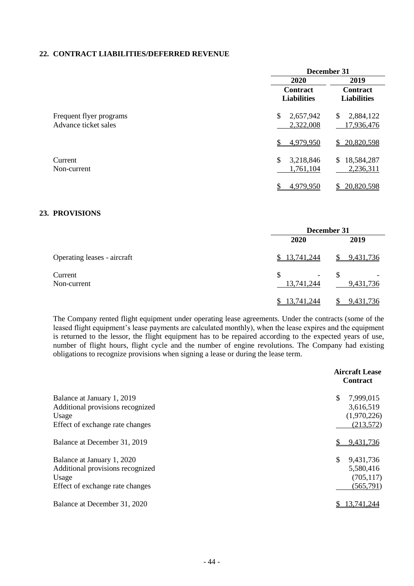## **22. CONTRACT LIABILITIES/DEFERRED REVENUE**

|                                                 | December 31                           |                                         |  |
|-------------------------------------------------|---------------------------------------|-----------------------------------------|--|
|                                                 | 2020                                  | 2019                                    |  |
|                                                 | <b>Contract</b><br><b>Liabilities</b> | <b>Contract</b><br><b>Liabilities</b>   |  |
| Frequent flyer programs<br>Advance ticket sales | \$<br>2,657,942<br>2,322,008          | $\mathbb{S}$<br>2,884,122<br>17,936,476 |  |
|                                                 | 4,979,950                             | 20,820,598<br>S.                        |  |
| Current<br>Non-current                          | \$<br>3,218,846<br>1,761,104          | 18,584,287<br>S.<br>2,236,311           |  |
|                                                 | 4,979,950                             | 20,820,598                              |  |

### **23. PROVISIONS**

|                             | December 31       |                       |
|-----------------------------|-------------------|-----------------------|
|                             | 2020              | 2019                  |
| Operating leases - aircraft | \$13,741,244      | 9,431,736             |
| Current<br>Non-current      | S<br>13,741,244   | \$.<br>۰<br>9,431,736 |
|                             | <u>13,741,244</u> | 9,431,736             |

The Company rented flight equipment under operating lease agreements. Under the contracts (some of the leased flight equipment's lease payments are calculated monthly), when the lease expires and the equipment is returned to the lessor, the flight equipment has to be repaired according to the expected years of use, number of flight hours, flight cycle and the number of engine revolutions. The Company had existing obligations to recognize provisions when signing a lease or during the lease term.

|                                                                                                            | <b>Aircraft Lease</b><br><b>Contract</b>                           |
|------------------------------------------------------------------------------------------------------------|--------------------------------------------------------------------|
| Balance at January 1, 2019<br>Additional provisions recognized<br>Usage<br>Effect of exchange rate changes | 7,999,015<br>$\mathbb{S}$<br>3,616,519<br>(1,970,226)<br>(213,572) |
| Balance at December 31, 2019                                                                               | 9,431,736<br>\$                                                    |
| Balance at January 1, 2020<br>Additional provisions recognized<br>Usage<br>Effect of exchange rate changes | $\mathbb{S}$<br>9,431,736<br>5,580,416<br>(705, 117)<br>(565, 791) |
| Balance at December 31, 2020                                                                               | 13,741,244                                                         |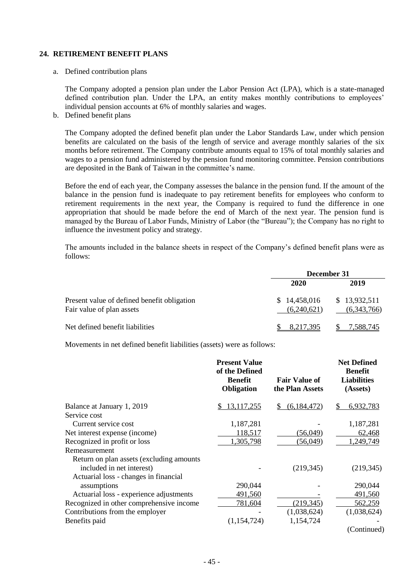#### **24. RETIREMENT BENEFIT PLANS**

a. Defined contribution plans

The Company adopted a pension plan under the Labor Pension Act (LPA), which is a state-managed defined contribution plan. Under the LPA, an entity makes monthly contributions to employees' individual pension accounts at 6% of monthly salaries and wages.

b. Defined benefit plans

The Company adopted the defined benefit plan under the Labor Standards Law, under which pension benefits are calculated on the basis of the length of service and average monthly salaries of the six months before retirement. The Company contribute amounts equal to 15% of total monthly salaries and wages to a pension fund administered by the pension fund monitoring committee. Pension contributions are deposited in the Bank of Taiwan in the committee's name.

Before the end of each year, the Company assesses the balance in the pension fund. If the amount of the balance in the pension fund is inadequate to pay retirement benefits for employees who conform to retirement requirements in the next year, the Company is required to fund the difference in one appropriation that should be made before the end of March of the next year. The pension fund is managed by the Bureau of Labor Funds, Ministry of Labor (the "Bureau"); the Company has no right to influence the investment policy and strategy.

The amounts included in the balance sheets in respect of the Company's defined benefit plans were as follows:

|                                                                          | December 31                 |                             |  |
|--------------------------------------------------------------------------|-----------------------------|-----------------------------|--|
|                                                                          | 2020                        | 2019                        |  |
| Present value of defined benefit obligation<br>Fair value of plan assets | \$14,458,016<br>(6,240,621) | \$13,932,511<br>(6,343,766) |  |
| Net defined benefit liabilities                                          | 8,217,395                   | 7,588,745                   |  |

Movements in net defined benefit liabilities (assets) were as follows:

|                                           | <b>Present Value</b><br>of the Defined<br><b>Benefit</b><br>Obligation | <b>Fair Value of</b><br>the Plan Assets | <b>Net Defined</b><br><b>Benefit</b><br><b>Liabilities</b><br>(Assets) |
|-------------------------------------------|------------------------------------------------------------------------|-----------------------------------------|------------------------------------------------------------------------|
| Balance at January 1, 2019                | 13,117,255<br>\$.                                                      | (6,184,472)<br>S.                       | 6,932,783<br>S.                                                        |
| Service cost                              |                                                                        |                                         |                                                                        |
| Current service cost                      | 1,187,281                                                              |                                         | 1,187,281                                                              |
| Net interest expense (income)             | 118,517                                                                | (56, 049)                               | 62,468                                                                 |
| Recognized in profit or loss              | 1,305,798                                                              | (56,049)                                | 1,249,749                                                              |
| Remeasurement                             |                                                                        |                                         |                                                                        |
| Return on plan assets (excluding amounts) |                                                                        |                                         |                                                                        |
| included in net interest)                 |                                                                        | (219, 345)                              | (219, 345)                                                             |
| Actuarial loss - changes in financial     |                                                                        |                                         |                                                                        |
| assumptions                               | 290,044                                                                |                                         | 290,044                                                                |
| Actuarial loss - experience adjustments   | 491,560                                                                |                                         | 491,560                                                                |
| Recognized in other comprehensive income  | 781,604                                                                | (219, 345)                              | 562,259                                                                |
| Contributions from the employer           |                                                                        | (1,038,624)                             | (1,038,624)                                                            |
| Benefits paid                             | (1, 154, 724)                                                          | 1,154,724                               |                                                                        |
|                                           |                                                                        |                                         | (Continued)                                                            |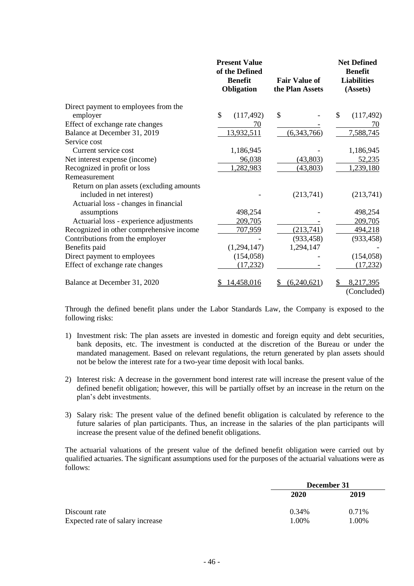|                                          | <b>Present Value</b><br>of the Defined<br><b>Benefit</b><br>Obligation | <b>Fair Value of</b><br>the Plan Assets | <b>Net Defined</b><br><b>Benefit</b><br><b>Liabilities</b><br>(Assets) |
|------------------------------------------|------------------------------------------------------------------------|-----------------------------------------|------------------------------------------------------------------------|
| Direct payment to employees from the     |                                                                        |                                         |                                                                        |
| employer                                 | \$<br>(117, 492)                                                       | \$                                      | \$<br>(117, 492)                                                       |
| Effect of exchange rate changes          | 70                                                                     |                                         | 70                                                                     |
| Balance at December 31, 2019             | 13,932,511                                                             | (6,343,766)                             | 7,588,745                                                              |
| Service cost                             |                                                                        |                                         |                                                                        |
| Current service cost                     | 1,186,945                                                              |                                         | 1,186,945                                                              |
| Net interest expense (income)            | 96,038                                                                 | (43,803)                                | 52,235                                                                 |
| Recognized in profit or loss             | 1,282,983                                                              | (43,803)                                | 1,239,180                                                              |
| Remeasurement                            |                                                                        |                                         |                                                                        |
| Return on plan assets (excluding amounts |                                                                        |                                         |                                                                        |
| included in net interest)                |                                                                        | (213,741)                               | (213,741)                                                              |
| Actuarial loss - changes in financial    |                                                                        |                                         |                                                                        |
| assumptions                              | 498,254                                                                |                                         | 498,254                                                                |
| Actuarial loss - experience adjustments  | 209,705                                                                |                                         | 209,705                                                                |
| Recognized in other comprehensive income | 707,959                                                                | (213,741)                               | 494,218                                                                |
| Contributions from the employer          |                                                                        | (933, 458)                              | (933, 458)                                                             |
| Benefits paid                            | (1,294,147)                                                            | 1,294,147                               |                                                                        |
| Direct payment to employees              | (154, 058)                                                             |                                         | (154, 058)                                                             |
| Effect of exchange rate changes          | (17,232)                                                               |                                         | (17,232)                                                               |
| Balance at December 31, 2020             | 14,458,016                                                             | (6,240,621)                             | 8,217,395                                                              |
|                                          |                                                                        |                                         | (Concluded)                                                            |

Through the defined benefit plans under the Labor Standards Law, the Company is exposed to the following risks:

- 1) Investment risk: The plan assets are invested in domestic and foreign equity and debt securities, bank deposits, etc. The investment is conducted at the discretion of the Bureau or under the mandated management. Based on relevant regulations, the return generated by plan assets should not be below the interest rate for a two-year time deposit with local banks.
- 2) Interest risk: A decrease in the government bond interest rate will increase the present value of the defined benefit obligation; however, this will be partially offset by an increase in the return on the plan's debt investments.
- 3) Salary risk: The present value of the defined benefit obligation is calculated by reference to the future salaries of plan participants. Thus, an increase in the salaries of the plan participants will increase the present value of the defined benefit obligations.

The actuarial valuations of the present value of the defined benefit obligation were carried out by qualified actuaries. The significant assumptions used for the purposes of the actuarial valuations were as follows:

|                                  | December 31 |        |  |
|----------------------------------|-------------|--------|--|
|                                  | 2020        | 2019   |  |
| Discount rate                    | 0.34%       | 0.71%  |  |
| Expected rate of salary increase | 1.00%       | $00\%$ |  |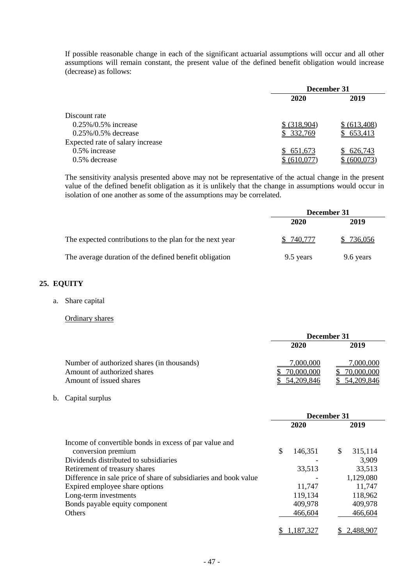If possible reasonable change in each of the significant actuarial assumptions will occur and all other assumptions will remain constant, the present value of the defined benefit obligation would increase (decrease) as follows:

|                                  | December 31   |              |  |
|----------------------------------|---------------|--------------|--|
|                                  | 2020          | 2019         |  |
| Discount rate                    |               |              |  |
| $0.25\%/0.5\%$ increase          | $$$ (318,904) | \$ (613,408) |  |
| $0.25\%/0.5\%$ decrease          | \$332,769     | \$653,413    |  |
| Expected rate of salary increase |               |              |  |
| $0.5\%$ increase                 | 651,673       | 626,743      |  |
| $0.5\%$ decrease                 |               | (600.073)    |  |

The sensitivity analysis presented above may not be representative of the actual change in the present value of the defined benefit obligation as it is unlikely that the change in assumptions would occur in isolation of one another as some of the assumptions may be correlated.

|                                                          | December 31 |           |  |
|----------------------------------------------------------|-------------|-----------|--|
|                                                          | 2020        | 2019      |  |
| The expected contributions to the plan for the next year | \$ 740,777  | 736,056   |  |
| The average duration of the defined benefit obligation   | 9.5 years   | 9.6 years |  |

## **25. EQUITY**

a. Share capital

#### Ordinary shares

|                                                                                                      | December 31                             |                                       |  |
|------------------------------------------------------------------------------------------------------|-----------------------------------------|---------------------------------------|--|
|                                                                                                      | 2020                                    | 2019                                  |  |
| Number of authorized shares (in thousands)<br>Amount of authorized shares<br>Amount of issued shares | 7.000.000<br>70,000,000<br>54, 209, 846 | 7.000.000<br>70,000,000<br>54,209,846 |  |

#### b. Capital surplus

|                                                                  | December 31 |         |   |           |
|------------------------------------------------------------------|-------------|---------|---|-----------|
|                                                                  |             | 2020    |   | 2019      |
| Income of convertible bonds in excess of par value and           |             |         |   |           |
| conversion premium                                               | \$          | 146,351 | S | 315,114   |
| Dividends distributed to subsidiaries                            |             |         |   | 3,909     |
| Retirement of treasury shares                                    |             | 33,513  |   | 33,513    |
| Difference in sale price of share of subsidiaries and book value |             |         |   | 1,129,080 |
| Expired employee share options                                   |             | 11,747  |   | 11,747    |
| Long-term investments                                            |             | 119,134 |   | 118,962   |
| Bonds payable equity component                                   |             | 409,978 |   | 409,978   |
| <b>Others</b>                                                    |             | 466,604 |   | 466,604   |
|                                                                  |             | 187,327 |   | 2,488,907 |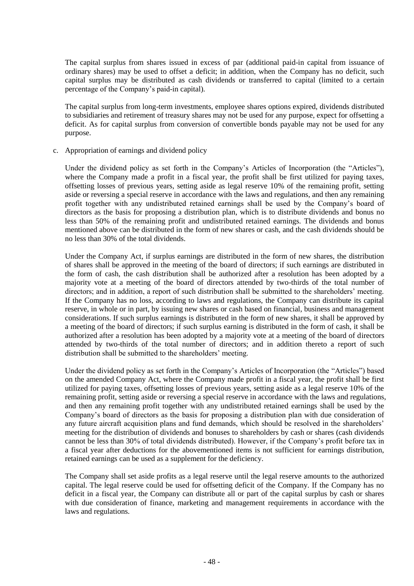The capital surplus from shares issued in excess of par (additional paid-in capital from issuance of ordinary shares) may be used to offset a deficit; in addition, when the Company has no deficit, such capital surplus may be distributed as cash dividends or transferred to capital (limited to a certain percentage of the Company's paid-in capital).

The capital surplus from long-term investments, employee shares options expired, dividends distributed to subsidiaries and retirement of treasury shares may not be used for any purpose, expect for offsetting a deficit. As for capital surplus from conversion of convertible bonds payable may not be used for any purpose.

c. Appropriation of earnings and dividend policy

Under the dividend policy as set forth in the Company's Articles of Incorporation (the "Articles"), where the Company made a profit in a fiscal year, the profit shall be first utilized for paying taxes, offsetting losses of previous years, setting aside as legal reserve 10% of the remaining profit, setting aside or reversing a special reserve in accordance with the laws and regulations, and then any remaining profit together with any undistributed retained earnings shall be used by the Company's board of directors as the basis for proposing a distribution plan, which is to distribute dividends and bonus no less than 50% of the remaining profit and undistributed retained earnings. The dividends and bonus mentioned above can be distributed in the form of new shares or cash, and the cash dividends should be no less than 30% of the total dividends.

Under the Company Act, if surplus earnings are distributed in the form of new shares, the distribution of shares shall be approved in the meeting of the board of directors; if such earnings are distributed in the form of cash, the cash distribution shall be authorized after a resolution has been adopted by a majority vote at a meeting of the board of directors attended by two-thirds of the total number of directors; and in addition, a report of such distribution shall be submitted to the shareholders' meeting. If the Company has no loss, according to laws and regulations, the Company can distribute its capital reserve, in whole or in part, by issuing new shares or cash based on financial, business and management considerations. If such surplus earnings is distributed in the form of new shares, it shall be approved by a meeting of the board of directors; if such surplus earning is distributed in the form of cash, it shall be authorized after a resolution has been adopted by a majority vote at a meeting of the board of directors attended by two-thirds of the total number of directors; and in addition thereto a report of such distribution shall be submitted to the shareholders' meeting.

Under the dividend policy as set forth in the Company's Articles of Incorporation (the "Articles") based on the amended Company Act, where the Company made profit in a fiscal year, the profit shall be first utilized for paying taxes, offsetting losses of previous years, setting aside as a legal reserve 10% of the remaining profit, setting aside or reversing a special reserve in accordance with the laws and regulations, and then any remaining profit together with any undistributed retained earnings shall be used by the Company's board of directors as the basis for proposing a distribution plan with due consideration of any future aircraft acquisition plans and fund demands, which should be resolved in the shareholders' meeting for the distribution of dividends and bonuses to shareholders by cash or shares (cash dividends cannot be less than 30% of total dividends distributed). However, if the Company's profit before tax in a fiscal year after deductions for the abovementioned items is not sufficient for earnings distribution, retained earnings can be used as a supplement for the deficiency.

The Company shall set aside profits as a legal reserve until the legal reserve amounts to the authorized capital. The legal reserve could be used for offsetting deficit of the Company. If the Company has no deficit in a fiscal year, the Company can distribute all or part of the capital surplus by cash or shares with due consideration of finance, marketing and management requirements in accordance with the laws and regulations.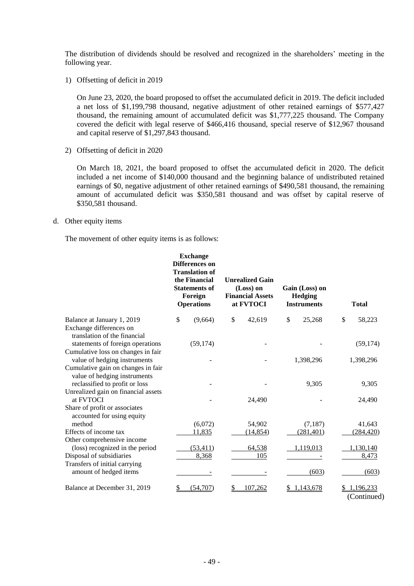The distribution of dividends should be resolved and recognized in the shareholders' meeting in the following year.

1) Offsetting of deficit in 2019

On June 23, 2020, the board proposed to offset the accumulated deficit in 2019. The deficit included a net loss of \$1,199,798 thousand, negative adjustment of other retained earnings of \$577,427 thousand, the remaining amount of accumulated deficit was \$1,777,225 thousand. The Company covered the deficit with legal reserve of \$466,416 thousand, special reserve of \$12,967 thousand and capital reserve of \$1,297,843 thousand.

2) Offsetting of deficit in 2020

On March 18, 2021, the board proposed to offset the accumulated deficit in 2020. The deficit included a net income of \$140,000 thousand and the beginning balance of undistributed retained earnings of \$0, negative adjustment of other retained earnings of \$490,581 thousand, the remaining amount of accumulated deficit was \$350,581 thousand and was offset by capital reserve of \$350,581 thousand.

d. Other equity items

The movement of other equity items is as follows:

|                                                                                       | <b>Exchange</b><br><b>Differences</b> on<br><b>Translation of</b><br>the Financial<br><b>Statements of</b><br>Foreign<br><b>Operations</b> | <b>Unrealized Gain</b><br>(Loss) on<br><b>Financial Assets</b><br>at FVTOCI | Gain (Loss) on<br>Hedging<br><b>Instruments</b> | <b>Total</b>             |
|---------------------------------------------------------------------------------------|--------------------------------------------------------------------------------------------------------------------------------------------|-----------------------------------------------------------------------------|-------------------------------------------------|--------------------------|
| Balance at January 1, 2019<br>Exchange differences on<br>translation of the financial | \$<br>(9,664)                                                                                                                              | \$<br>42,619                                                                | \$<br>25,268                                    | \$<br>58,223             |
| statements of foreign operations                                                      | (59, 174)                                                                                                                                  |                                                                             |                                                 | (59, 174)                |
| Cumulative loss on changes in fair<br>value of hedging instruments                    |                                                                                                                                            |                                                                             | 1,398,296                                       | 1,398,296                |
| Cumulative gain on changes in fair<br>value of hedging instruments                    |                                                                                                                                            |                                                                             |                                                 |                          |
| reclassified to profit or loss                                                        |                                                                                                                                            |                                                                             | 9,305                                           | 9,305                    |
| Unrealized gain on financial assets<br>at FVTOCI                                      |                                                                                                                                            | 24,490                                                                      |                                                 | 24,490                   |
| Share of profit or associates<br>accounted for using equity                           |                                                                                                                                            |                                                                             |                                                 |                          |
| method                                                                                | (6,072)                                                                                                                                    | 54,902                                                                      | (7, 187)                                        | 41,643                   |
| Effects of income tax                                                                 | 11,835                                                                                                                                     | (14, 854)                                                                   | (281, 401)                                      | (284, 420)               |
| Other comprehensive income                                                            |                                                                                                                                            |                                                                             |                                                 |                          |
| (loss) recognized in the period                                                       | (53, 411)                                                                                                                                  | 64,538                                                                      | 1,119,013                                       | 1,130,140                |
| Disposal of subsidiaries<br>Transfers of initial carrying                             | 8,368                                                                                                                                      | 105                                                                         |                                                 | 8,473                    |
| amount of hedged items                                                                |                                                                                                                                            |                                                                             | (603)                                           | (603)                    |
| Balance at December 31, 2019                                                          | \$<br>(54,707)                                                                                                                             | 107,262                                                                     | 1,143,678                                       | 1,196,233<br>(Continued) |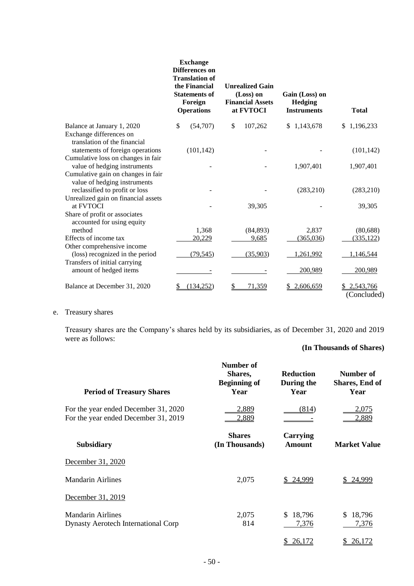|                                                                                             | <b>Exchange</b><br><b>Differences</b> on<br><b>Translation of</b><br>the Financial<br><b>Statements of</b><br>Foreign<br><b>Operations</b> | <b>Unrealized Gain</b><br>(Loss) on<br><b>Financial Assets</b><br>at FVTOCI | Gain (Loss) on<br>Hedging<br><b>Instruments</b> | <b>Total</b>               |
|---------------------------------------------------------------------------------------------|--------------------------------------------------------------------------------------------------------------------------------------------|-----------------------------------------------------------------------------|-------------------------------------------------|----------------------------|
| Balance at January 1, 2020                                                                  | \$<br>(54,707)                                                                                                                             | \$<br>107,262                                                               | \$1,143,678                                     | 1,196,233<br>\$            |
| Exchange differences on<br>translation of the financial<br>statements of foreign operations | (101, 142)                                                                                                                                 |                                                                             |                                                 | (101, 142)                 |
| Cumulative loss on changes in fair                                                          |                                                                                                                                            |                                                                             |                                                 |                            |
| value of hedging instruments                                                                |                                                                                                                                            |                                                                             | 1,907,401                                       | 1,907,401                  |
| Cumulative gain on changes in fair<br>value of hedging instruments                          |                                                                                                                                            |                                                                             |                                                 |                            |
| reclassified to profit or loss                                                              |                                                                                                                                            |                                                                             | (283, 210)                                      | (283, 210)                 |
| Unrealized gain on financial assets<br>at FVTOCI                                            |                                                                                                                                            | 39,305                                                                      |                                                 | 39,305                     |
| Share of profit or associates<br>accounted for using equity                                 |                                                                                                                                            |                                                                             |                                                 |                            |
| method                                                                                      | 1,368                                                                                                                                      | (84, 893)                                                                   | 2,837                                           | (80, 688)                  |
| Effects of income tax                                                                       | 20,229                                                                                                                                     | 9,685                                                                       | (365,036)                                       | (335, 122)                 |
| Other comprehensive income                                                                  |                                                                                                                                            |                                                                             |                                                 |                            |
| (loss) recognized in the period                                                             | (79, 545)                                                                                                                                  | (35,903)                                                                    | 1,261,992                                       | 1,146,544                  |
| Transfers of initial carrying<br>amount of hedged items                                     |                                                                                                                                            |                                                                             | 200,989                                         | 200,989                    |
| Balance at December 31, 2020                                                                | (134, 252)                                                                                                                                 | 71,359                                                                      | 2,606,659                                       | \$2,543,766<br>(Concluded) |

# e. Treasury shares

Treasury shares are the Company's shares held by its subsidiaries, as of December 31, 2020 and 2019 were as follows:

# **(In Thousands of Shares)**

| <b>Period of Treasury Shares</b>                                             | Number of<br>Shares,<br><b>Beginning of</b><br>Year | <b>Reduction</b><br>During the<br>Year | Number of<br><b>Shares, End of</b><br>Year |
|------------------------------------------------------------------------------|-----------------------------------------------------|----------------------------------------|--------------------------------------------|
| For the year ended December 31, 2020<br>For the year ended December 31, 2019 | 2,889<br>2,889                                      | (814)                                  | <u>2,075</u><br>2,889                      |
| <b>Subsidiary</b>                                                            | <b>Shares</b><br>(In Thousands)                     | Carrying<br><b>Amount</b>              | <b>Market Value</b>                        |
| December 31, 2020                                                            |                                                     |                                        |                                            |
| <b>Mandarin Airlines</b>                                                     | 2,075                                               | <u>\$24,999</u>                        | 24,999                                     |
| December 31, 2019                                                            |                                                     |                                        |                                            |
| Mandarin Airlines<br><b>Dynasty Aerotech International Corp</b>              | 2,075<br>814                                        | 18,796<br>S.<br>7,376                  | 18,796<br>S<br>7,376                       |
|                                                                              |                                                     | 26,172                                 | 26,172                                     |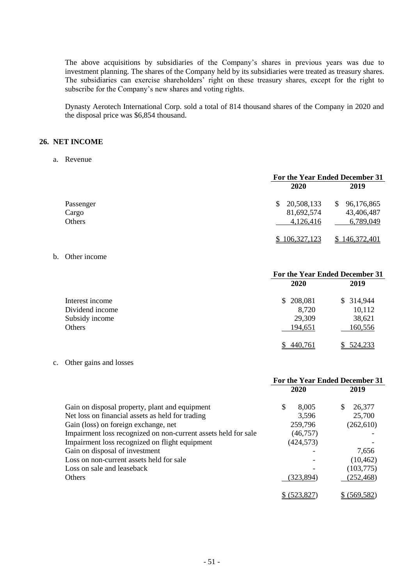The above acquisitions by subsidiaries of the Company's shares in previous years was due to investment planning. The shares of the Company held by its subsidiaries were treated as treasury shares. The subsidiaries can exercise shareholders' right on these treasury shares, except for the right to subscribe for the Company's new shares and voting rights.

Dynasty Aerotech International Corp. sold a total of 814 thousand shares of the Company in 2020 and the disposal price was \$6,854 thousand.

## **26. NET INCOME**

#### a. Revenue

|           | For the Year Ended December 31 |                            |  |  |
|-----------|--------------------------------|----------------------------|--|--|
|           | 2020                           | 2019                       |  |  |
| Passenger | 20,508,133<br>SS.              | 96,176,865<br><sup>S</sup> |  |  |
| Cargo     | 81,692,574                     | 43,406,487                 |  |  |
| Others    | 4,126,416                      | 6,789,049                  |  |  |
|           | 106,327,123                    | 146,372,401                |  |  |

## b. Other income

|                 | For the Year Ended December 31 |           |  |
|-----------------|--------------------------------|-----------|--|
|                 | 2020                           | 2019      |  |
| Interest income | \$208,081                      | \$314,944 |  |
| Dividend income | 8,720                          | 10,112    |  |
| Subsidy income  | 29,309                         | 38,621    |  |
| Others          | 194,651                        | 160,556   |  |
|                 | 440,761                        | 524,233   |  |

## c. Other gains and losses

|                                                                | For the Year Ended December 31 |                     |  |
|----------------------------------------------------------------|--------------------------------|---------------------|--|
|                                                                | 2020                           | 2019                |  |
| Gain on disposal property, plant and equipment                 | \$<br>8,005                    | 26,377              |  |
| Net loss on financial assets as held for trading               | 3,596                          | 25,700              |  |
| Gain (loss) on foreign exchange, net                           | 259,796                        | (262, 610)          |  |
| Impairment loss recognized on non-current assets held for sale | (46, 757)                      |                     |  |
| Impairment loss recognized on flight equipment                 | (424, 573)                     |                     |  |
| Gain on disposal of investment                                 |                                | 7,656               |  |
| Loss on non-current assets held for sale                       |                                | (10, 462)           |  |
| Loss on sale and leaseback                                     |                                | (103, 775)          |  |
| <b>Others</b>                                                  | (323,894)                      | (252, 468)          |  |
|                                                                | (523.827)                      | <u>\$ (569,582)</u> |  |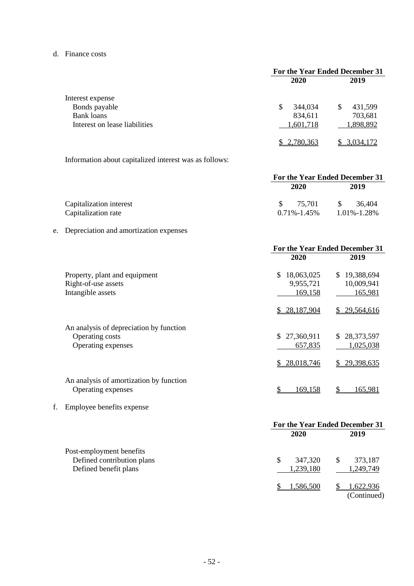#### d. Finance costs

|                               | For the Year Ended December 31 |               |  |
|-------------------------------|--------------------------------|---------------|--|
|                               | 2020                           | 2019          |  |
| Interest expense              |                                |               |  |
| Bonds payable                 | \$<br>344,034                  | 431,599<br>\$ |  |
| Bank loans                    | 834,611                        | 703,681       |  |
| Interest on lease liabilities | 1,601,718                      | 1,898,892     |  |
|                               | 2,780,363                      | 3,034,172     |  |

Information about capitalized interest was as follows:

|                         | For the Year Ended December 31 |                        |  |
|-------------------------|--------------------------------|------------------------|--|
|                         | 2020                           | 2019                   |  |
| Capitalization interest | 75.701<br>$\mathcal{S}$        | $\mathbb{S}$<br>36.404 |  |
| Capitalization rate     | $0.71\% - 1.45\%$              | 1.01%-1.28%            |  |

# e. Depreciation and amortization expenses

|                                         | For the Year Ended December 31 |                  |
|-----------------------------------------|--------------------------------|------------------|
|                                         | 2020                           | 2019             |
| Property, plant and equipment           | 18,063,025<br>\$               | 19,388,694<br>\$ |
| Right-of-use assets                     | 9,955,721                      | 10,009,941       |
| Intangible assets                       | 169,158                        | 165,981          |
|                                         | 28,187,904<br>S.               | \$29,564,616     |
| An analysis of depreciation by function |                                |                  |
| Operating costs                         | 27,360,911<br>S.               | \$28,373,597     |
| Operating expenses                      | 657,835                        | 1,025,038        |
|                                         | 28,018,746<br>\$.              | \$29,398,635     |
| An analysis of amortization by function |                                |                  |
| Operating expenses                      | \$<br>169,158                  | \$<br>165,981    |
| f.<br>Employee benefits expense         |                                |                  |
|                                         | For the Year Ended December 31 |                  |

|                                                                                 | 2020                      | 2019                                  |
|---------------------------------------------------------------------------------|---------------------------|---------------------------------------|
| Post-employment benefits<br>Defined contribution plans<br>Defined benefit plans | 347,320<br>S<br>1,239,180 | 373,187<br><sup>\$</sup><br>1,249,749 |
|                                                                                 | 1,586,500                 | 1,622,936<br>(Continued)              |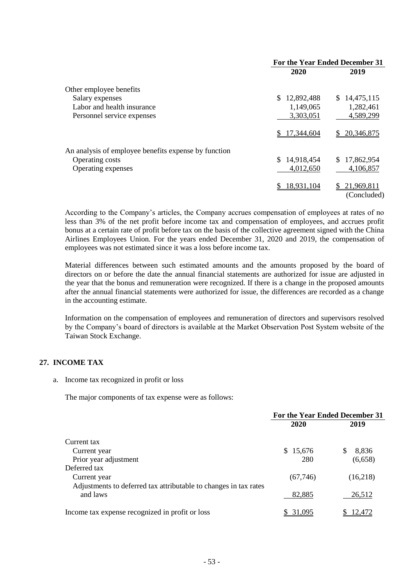|                                                      | For the Year Ended December 31 |                                 |
|------------------------------------------------------|--------------------------------|---------------------------------|
|                                                      | 2020                           | 2019                            |
| Other employee benefits                              |                                |                                 |
| Salary expenses                                      | 12,892,488                     | \$14,475,115                    |
| Labor and health insurance                           | 1,149,065                      | 1,282,461                       |
| Personnel service expenses                           | 3,303,051                      | 4,589,299                       |
|                                                      | 17,344,604                     | 20,346,875<br>S.                |
| An analysis of employee benefits expense by function |                                |                                 |
| <b>Operating costs</b>                               | 14,918,454                     | 17,862,954<br><sup>S</sup>      |
| Operating expenses                                   | 4,012,650                      | 4,106,857                       |
|                                                      | 18,931,104                     | 21,969,811<br>S.<br>(Concluded) |

According to the Company's articles, the Company accrues compensation of employees at rates of no less than 3% of the net profit before income tax and compensation of employees, and accrues profit bonus at a certain rate of profit before tax on the basis of the collective agreement signed with the China Airlines Employees Union. For the years ended December 31, 2020 and 2019, the compensation of employees was not estimated since it was a loss before income tax.

Material differences between such estimated amounts and the amounts proposed by the board of directors on or before the date the annual financial statements are authorized for issue are adjusted in the year that the bonus and remuneration were recognized. If there is a change in the proposed amounts after the annual financial statements were authorized for issue, the differences are recorded as a change in the accounting estimate.

Information on the compensation of employees and remuneration of directors and supervisors resolved by the Company's board of directors is available at the Market Observation Post System website of the Taiwan Stock Exchange.

## **27. INCOME TAX**

a. Income tax recognized in profit or loss

The major components of tax expense were as follows:

|                                                                              | For the Year Ended December 31 |               |
|------------------------------------------------------------------------------|--------------------------------|---------------|
|                                                                              | 2020                           | 2019          |
| Current tax                                                                  |                                |               |
| Current year                                                                 | \$15,676                       | 8,836<br>S    |
| Prior year adjustment                                                        | 280                            | (6,658)       |
| Deferred tax                                                                 |                                |               |
| Current year                                                                 | (67,746)                       | (16,218)      |
| Adjustments to deferred tax attributable to changes in tax rates<br>and laws | 82,885                         | 26,512        |
| Income tax expense recognized in profit or loss                              | 31,095                         | <u>12,472</u> |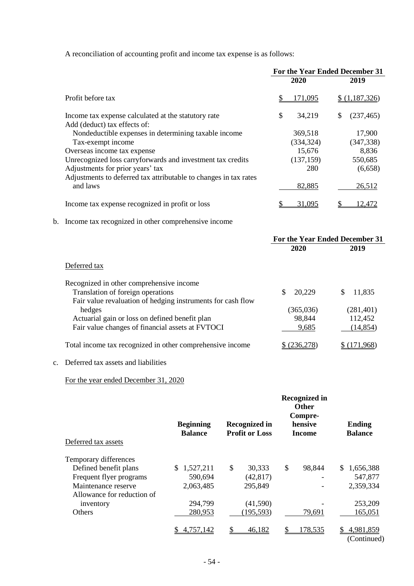A reconciliation of accounting profit and income tax expense is as follows:

|    |                                                                                     | For the Year Ended December 31 |                                |    |               |
|----|-------------------------------------------------------------------------------------|--------------------------------|--------------------------------|----|---------------|
|    |                                                                                     |                                | 2020                           |    | 2019          |
|    | Profit before tax                                                                   | \$                             | 171,095                        |    | \$(1,187,326) |
|    | Income tax expense calculated at the statutory rate<br>Add (deduct) tax effects of: | \$                             | 34,219                         | \$ | (237, 465)    |
|    | Nondeductible expenses in determining taxable income                                |                                | 369,518                        |    | 17,900        |
|    | Tax-exempt income                                                                   |                                | (334, 324)                     |    | (347, 338)    |
|    | Overseas income tax expense                                                         |                                | 15,676                         |    | 8,836         |
|    | Unrecognized loss carryforwards and investment tax credits                          |                                | (137, 159)                     |    | 550,685       |
|    | Adjustments for prior years' tax                                                    |                                | 280                            |    | (6,658)       |
|    | Adjustments to deferred tax attributable to changes in tax rates                    |                                |                                |    |               |
|    | and laws                                                                            |                                | 82,885                         |    | 26,512        |
|    | Income tax expense recognized in profit or loss                                     |                                | 31,095                         | \$ | 12,472        |
| b. | Income tax recognized in other comprehensive income                                 |                                |                                |    |               |
|    |                                                                                     |                                | For the Year Ended December 31 |    |               |
|    |                                                                                     |                                | 2020                           |    | 2019          |
|    | Deferred tax                                                                        |                                |                                |    |               |
|    | Recognized in other comprehensive income                                            |                                |                                |    |               |
|    | Translation of foreign operations                                                   | \$                             | 20,229                         | \$ | 11,835        |
|    | Fair value revaluation of hedging instruments for cash flow                         |                                |                                |    |               |
|    | hedges                                                                              |                                | (365,036)                      |    | (281, 401)    |
|    | Actuarial gain or loss on defined benefit plan                                      |                                | 98,844                         |    | 112,452       |
|    | Fair value changes of financial assets at FVTOCI                                    |                                | 9,685                          |    | (14, 854)     |
|    | Total income tax recognized in other comprehensive income                           |                                | \$ (236,278)                   |    | \$(171,968)   |

## c. Deferred tax assets and liabilities

For the year ended December 31, 2020

| Deferred tax assets        | <b>Beginning</b><br><b>Balance</b> | <b>Recognized in</b><br><b>Profit or Loss</b> | <b>Recognized in</b><br><b>Other</b><br>Compre-<br>hensive<br>Income | <b>Ending</b><br><b>Balance</b> |
|----------------------------|------------------------------------|-----------------------------------------------|----------------------------------------------------------------------|---------------------------------|
| Temporary differences      |                                    |                                               |                                                                      |                                 |
| Defined benefit plans      | 1,527,211<br>S.                    | \$<br>30,333                                  | $\mathcal{S}$<br>98,844                                              | 1,656,388<br>S.                 |
| Frequent flyer programs    | 590,694                            | (42, 817)                                     |                                                                      | 547,877                         |
| Maintenance reserve        | 2,063,485                          | 295,849                                       |                                                                      | 2,359,334                       |
| Allowance for reduction of |                                    |                                               |                                                                      |                                 |
| inventory                  | 294,799                            | (41,590)                                      |                                                                      | 253,209                         |
| <b>Others</b>              | 280,953                            | (195, 593)                                    | 79,691                                                               | 165,051                         |
|                            | 4,757,142                          | 46,182                                        | 178,535                                                              | 4,981,859<br>(Continued)        |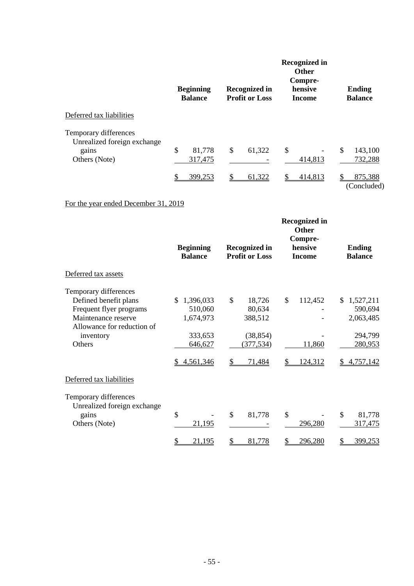|                                                                                | <b>Beginning</b><br><b>Balance</b> | <b>Recognized in</b><br><b>Profit or Loss</b> | <b>Recognized in</b><br><b>Other</b><br>Compre-<br>hensive<br>Income | <b>Ending</b><br><b>Balance</b> |
|--------------------------------------------------------------------------------|------------------------------------|-----------------------------------------------|----------------------------------------------------------------------|---------------------------------|
| Deferred tax liabilities                                                       |                                    |                                               |                                                                      |                                 |
| Temporary differences<br>Unrealized foreign exchange<br>gains<br>Others (Note) | \$<br>81,778<br>317,475            | \$<br>61,322                                  | \$<br>$\overline{\phantom{a}}$<br>414,813                            | \$<br>143,100<br>732,288        |
|                                                                                | 399,253                            | 61,322                                        | \$<br>414,813                                                        | 875,388<br>S<br>(Concluded)     |

# For the year ended December 31, 2019

|                                                      | <b>Beginning</b><br><b>Balance</b> | <b>Recognized in</b><br><b>Profit or Loss</b> | <b>Recognized in</b><br><b>Other</b><br>Compre-<br>hensive<br><b>Income</b> | <b>Ending</b><br><b>Balance</b> |
|------------------------------------------------------|------------------------------------|-----------------------------------------------|-----------------------------------------------------------------------------|---------------------------------|
| Deferred tax assets                                  |                                    |                                               |                                                                             |                                 |
| Temporary differences                                |                                    |                                               |                                                                             |                                 |
| Defined benefit plans                                | 1,396,033<br>\$.                   | \$<br>18,726                                  | \$<br>112,452                                                               | 1,527,211<br>\$                 |
| Frequent flyer programs                              | 510,060                            | 80,634                                        |                                                                             | 590,694                         |
| Maintenance reserve<br>Allowance for reduction of    | 1,674,973                          | 388,512                                       |                                                                             | 2,063,485                       |
| inventory                                            | 333,653                            | (38, 854)                                     |                                                                             | 294,799                         |
| Others                                               | 646,627                            | (377, 534)                                    | 11,860                                                                      | 280,953                         |
|                                                      | 4,561,346<br>S.                    | 71,484                                        | \$<br>124,312                                                               | 4,757,142                       |
| Deferred tax liabilities                             |                                    |                                               |                                                                             |                                 |
| Temporary differences<br>Unrealized foreign exchange |                                    |                                               |                                                                             |                                 |
| gains                                                | \$                                 | \$<br>81,778                                  | \$                                                                          | \$<br>81,778                    |
| Others (Note)                                        | 21,195                             |                                               | 296,280                                                                     | 317,475                         |
|                                                      | \$<br>21,195                       | 81,778                                        | 296,280                                                                     | 399,253                         |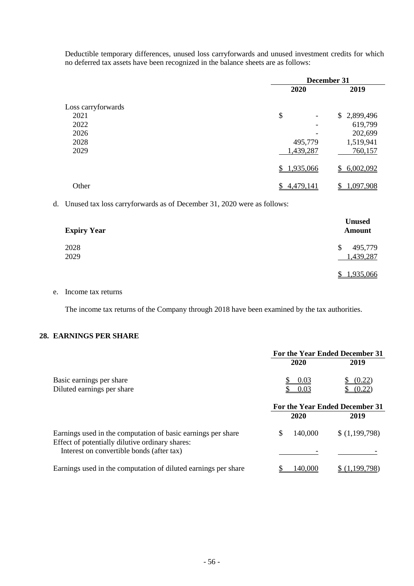Deductible temporary differences, unused loss carryforwards and unused investment credits for which no deferred tax assets have been recognized in the balance sheets are as follows:

|                    | December 31 |                 |  |
|--------------------|-------------|-----------------|--|
|                    | 2020        | 2019            |  |
| Loss carryforwards |             |                 |  |
| 2021               | \$<br>-     | \$2,899,496     |  |
| 2022               |             | 619,799         |  |
| 2026               |             | 202,699         |  |
| 2028               | 495,779     | 1,519,941       |  |
| 2029               | 1,439,287   | 760,157         |  |
|                    | \$1,935,066 | 6,002,092<br>\$ |  |
| Other              | \$4,479,141 | 1,097,908<br>S  |  |

## d. Unused tax loss carryforwards as of December 31, 2020 were as follows:

| <b>Expiry Year</b> | <b>Unused</b><br>Amount    |
|--------------------|----------------------------|
| 2028<br>2029       | 495,779<br>\$<br>1,439,287 |
|                    | 1,935,066<br>\$            |

## e. Income tax returns

The income tax returns of the Company through 2018 have been examined by the tax authorities.

## **28. EARNINGS PER SHARE**

|                                                                                                                 | For the Year Ended December 31 |              |                                |  |
|-----------------------------------------------------------------------------------------------------------------|--------------------------------|--------------|--------------------------------|--|
|                                                                                                                 |                                | 2020         | 2019                           |  |
| Basic earnings per share<br>Diluted earnings per share                                                          |                                | 0.03<br>0.03 | (0.22)<br>(0.22)               |  |
|                                                                                                                 |                                |              | For the Year Ended December 31 |  |
|                                                                                                                 |                                | 2020         | 2019                           |  |
| Earnings used in the computation of basic earnings per share<br>Effect of potentially dilutive ordinary shares: | \$                             | 140,000      | \$(1,199,798)                  |  |
| Interest on convertible bonds (after tax)                                                                       |                                |              |                                |  |
| Earnings used in the computation of diluted earnings per share                                                  |                                | 140.000      | .199.798                       |  |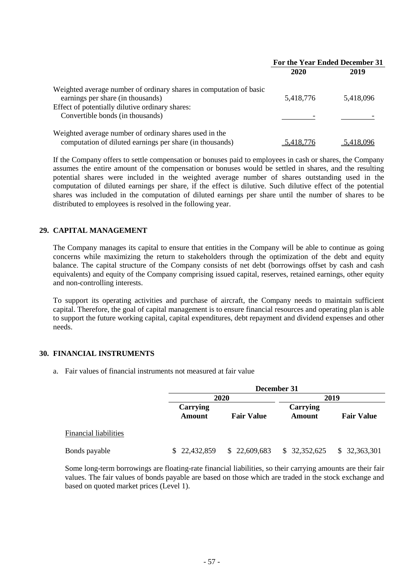|                                                                                                                    | For the Year Ended December 31 |           |  |
|--------------------------------------------------------------------------------------------------------------------|--------------------------------|-----------|--|
|                                                                                                                    | 2020                           | 2019      |  |
| Weighted average number of ordinary shares in computation of basic<br>earnings per share (in thousands)            | 5,418,776                      | 5,418,096 |  |
| Effect of potentially dilutive ordinary shares:<br>Convertible bonds (in thousands)                                |                                |           |  |
| Weighted average number of ordinary shares used in the<br>computation of diluted earnings per share (in thousands) | 5,418,776                      | 5,418,096 |  |

If the Company offers to settle compensation or bonuses paid to employees in cash or shares, the Company assumes the entire amount of the compensation or bonuses would be settled in shares, and the resulting potential shares were included in the weighted average number of shares outstanding used in the computation of diluted earnings per share, if the effect is dilutive. Such dilutive effect of the potential shares was included in the computation of diluted earnings per share until the number of shares to be distributed to employees is resolved in the following year.

## **29. CAPITAL MANAGEMENT**

The Company manages its capital to ensure that entities in the Company will be able to continue as going concerns while maximizing the return to stakeholders through the optimization of the debt and equity balance. The capital structure of the Company consists of net debt (borrowings offset by cash and cash equivalents) and equity of the Company comprising issued capital, reserves, retained earnings, other equity and non-controlling interests.

To support its operating activities and purchase of aircraft, the Company needs to maintain sufficient capital. Therefore, the goal of capital management is to ensure financial resources and operating plan is able to support the future working capital, capital expenditures, debt repayment and dividend expenses and other needs.

#### **30. FINANCIAL INSTRUMENTS**

a. Fair values of financial instruments not measured at fair value

|                              |                    | December 31       |                           |                   |  |  |
|------------------------------|--------------------|-------------------|---------------------------|-------------------|--|--|
|                              |                    | 2020              | 2019                      |                   |  |  |
|                              | Carrying<br>Amount | <b>Fair Value</b> | Carrying<br><b>Amount</b> | <b>Fair Value</b> |  |  |
| <b>Financial liabilities</b> |                    |                   |                           |                   |  |  |
| Bonds payable                | \$22,432,859       | \$22,609,683      | \$32,352,625              | \$32,363,301      |  |  |

Some long-term borrowings are floating-rate financial liabilities, so their carrying amounts are their fair values. The fair values of bonds payable are based on those which are traded in the stock exchange and based on quoted market prices (Level 1).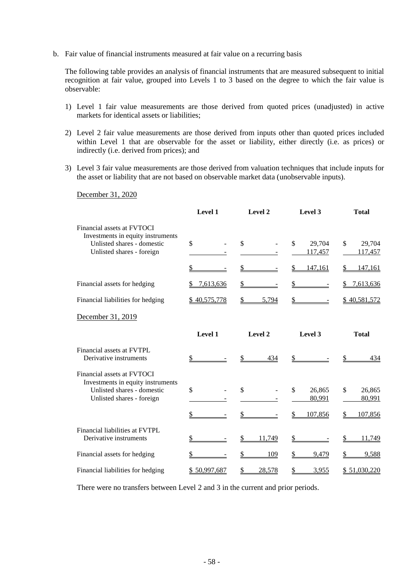b. Fair value of financial instruments measured at fair value on a recurring basis

The following table provides an analysis of financial instruments that are measured subsequent to initial recognition at fair value, grouped into Levels 1 to 3 based on the degree to which the fair value is observable:

- 1) Level 1 fair value measurements are those derived from quoted prices (unadjusted) in active markets for identical assets or liabilities;
- 2) Level 2 fair value measurements are those derived from inputs other than quoted prices included within Level 1 that are observable for the asset or liability, either directly (i.e. as prices) or indirectly (i.e. derived from prices); and
- 3) Level 3 fair value measurements are those derived from valuation techniques that include inputs for the asset or liability that are not based on observable market data (unobservable inputs).

December 31, 2020

|                                                                                                                            | Level 1      | Level 2      | Level 3                                | <b>Total</b>                      |
|----------------------------------------------------------------------------------------------------------------------------|--------------|--------------|----------------------------------------|-----------------------------------|
| Financial assets at FVTOCI<br>Investments in equity instruments<br>Unlisted shares - domestic<br>Unlisted shares - foreign | \$           | \$           | \$<br>29,704<br>117,457                | \$<br>29,704<br>117,457           |
|                                                                                                                            | \$           | \$           | 147,161<br>\$                          | 147,161<br>\$                     |
| Financial assets for hedging                                                                                               | 7,613,636    |              |                                        | 7,613,636                         |
| Financial liabilities for hedging                                                                                          | \$40,575,778 | 5,794<br>\$. | \$                                     | \$40,581,572                      |
| December 31, 2019                                                                                                          |              |              |                                        |                                   |
|                                                                                                                            | Level 1      | Level 2      | Level 3                                | <b>Total</b>                      |
| Financial assets at FVTPL<br>Derivative instruments                                                                        | \$           | 434          |                                        | 434                               |
| Financial assets at FVTOCI<br>Investments in equity instruments<br>Unlisted shares - domestic<br>Unlisted shares - foreign | \$<br>\$     | \$           | \$<br>26,865<br>80,991<br>107,856<br>S | \$<br>26,865<br>80,991<br>107,856 |
| Financial liabilities at FVTPL<br>Derivative instruments                                                                   | \$           | 11,749       | \$                                     | 11,749                            |
| Financial assets for hedging                                                                                               | \$           | \$<br>109    | \$<br>9,479                            | \$<br>9,588                       |
| Financial liabilities for hedging                                                                                          |              |              |                                        | \$51,030,220                      |

There were no transfers between Level 2 and 3 in the current and prior periods.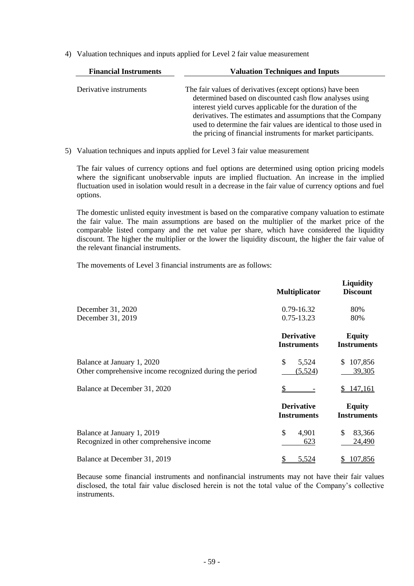4) Valuation techniques and inputs applied for Level 2 fair value measurement

| <b>Financial Instruments</b> | <b>Valuation Techniques and Inputs</b>                                                                                            |  |  |
|------------------------------|-----------------------------------------------------------------------------------------------------------------------------------|--|--|
| Derivative instruments       | The fair values of derivatives (except options) have been                                                                         |  |  |
|                              | determined based on discounted cash flow analyses using<br>interest yield curves applicable for the duration of the               |  |  |
|                              | derivatives. The estimates and assumptions that the Company                                                                       |  |  |
|                              | used to determine the fair values are identical to those used in<br>the pricing of financial instruments for market participants. |  |  |

5) Valuation techniques and inputs applied for Level 3 fair value measurement

The fair values of currency options and fuel options are determined using option pricing models where the significant unobservable inputs are implied fluctuation. An increase in the implied fluctuation used in isolation would result in a decrease in the fair value of currency options and fuel options.

The domestic unlisted equity investment is based on the comparative company valuation to estimate the fair value. The main assumptions are based on the multiplier of the market price of the comparable listed company and the net value per share, which have considered the liquidity discount. The higher the multiplier or the lower the liquidity discount, the higher the fair value of the relevant financial instruments.

The movements of Level 3 financial instruments are as follows:

|                                                                                       | <b>Multiplicator</b>                    | <b>Liquidity</b><br><b>Discount</b> |
|---------------------------------------------------------------------------------------|-----------------------------------------|-------------------------------------|
| December 31, 2020<br>December 31, 2019                                                | 0.79-16.32<br>0.75-13.23                | 80%<br>80%                          |
|                                                                                       | <b>Derivative</b><br><b>Instruments</b> | <b>Equity</b><br><b>Instruments</b> |
| Balance at January 1, 2020<br>Other comprehensive income recognized during the period | \$<br>5,524<br>(5, 524)                 | 107,856<br>\$<br>39,305             |
| Balance at December 31, 2020                                                          |                                         | <u>147,161</u>                      |
|                                                                                       | <b>Derivative</b><br><b>Instruments</b> | <b>Equity</b><br><b>Instruments</b> |
| Balance at January 1, 2019<br>Recognized in other comprehensive income                | \$<br>4,901<br>623                      | \$<br>83,366<br>24,490              |
| Balance at December 31, 2019                                                          | 5,524<br>\$                             | 107,856<br>\$                       |

Because some financial instruments and nonfinancial instruments may not have their fair values disclosed, the total fair value disclosed herein is not the total value of the Company's collective instruments.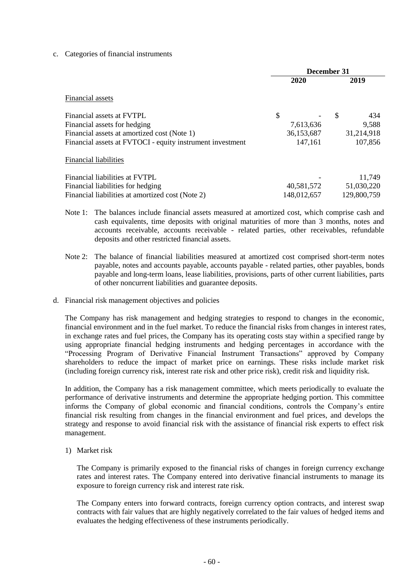c. Categories of financial instruments

|                                                           | December 31 |    |             |
|-----------------------------------------------------------|-------------|----|-------------|
|                                                           | 2020        |    | 2019        |
| Financial assets                                          |             |    |             |
| \$<br>Financial assets at FVTPL                           |             | \$ | 434         |
| Financial assets for hedging                              | 7,613,636   |    | 9,588       |
| Financial assets at amortized cost (Note 1)               | 36,153,687  |    | 31,214,918  |
| Financial assets at FVTOCI - equity instrument investment | 147,161     |    | 107,856     |
| <b>Financial liabilities</b>                              |             |    |             |
| Financial liabilities at FVTPL                            |             |    | 11,749      |
| Financial liabilities for hedging                         | 40,581,572  |    | 51,030,220  |
| Financial liabilities at amortized cost (Note 2)          | 148,012,657 |    | 129,800,759 |

- Note 1: The balances include financial assets measured at amortized cost, which comprise cash and cash equivalents, time deposits with original maturities of more than 3 months, notes and accounts receivable, accounts receivable - related parties, other receivables, refundable deposits and other restricted financial assets.
- Note 2: The balance of financial liabilities measured at amortized cost comprised short-term notes payable, notes and accounts payable, accounts payable - related parties, other payables, bonds payable and long-term loans, lease liabilities, provisions, parts of other current liabilities, parts of other noncurrent liabilities and guarantee deposits.
- d. Financial risk management objectives and policies

The Company has risk management and hedging strategies to respond to changes in the economic, financial environment and in the fuel market. To reduce the financial risks from changes in interest rates, in exchange rates and fuel prices, the Company has its operating costs stay within a specified range by using appropriate financial hedging instruments and hedging percentages in accordance with the "Processing Program of Derivative Financial Instrument Transactions" approved by Company shareholders to reduce the impact of market price on earnings. These risks include market risk (including foreign currency risk, interest rate risk and other price risk), credit risk and liquidity risk.

In addition, the Company has a risk management committee, which meets periodically to evaluate the performance of derivative instruments and determine the appropriate hedging portion. This committee informs the Company of global economic and financial conditions, controls the Company's entire financial risk resulting from changes in the financial environment and fuel prices, and develops the strategy and response to avoid financial risk with the assistance of financial risk experts to effect risk management.

1) Market risk

The Company is primarily exposed to the financial risks of changes in foreign currency exchange rates and interest rates. The Company entered into derivative financial instruments to manage its exposure to foreign currency risk and interest rate risk.

The Company enters into forward contracts, foreign currency option contracts, and interest swap contracts with fair values that are highly negatively correlated to the fair values of hedged items and evaluates the hedging effectiveness of these instruments periodically.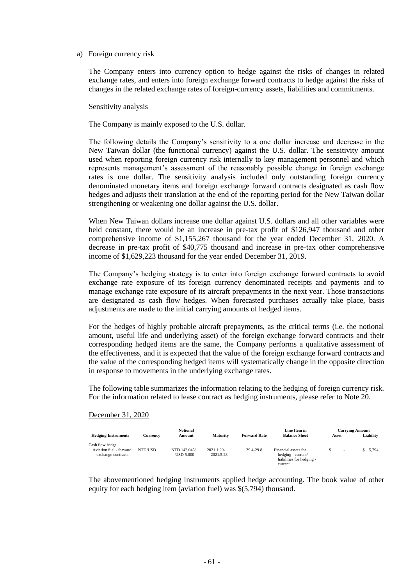#### a) Foreign currency risk

The Company enters into currency option to hedge against the risks of changes in related exchange rates, and enters into foreign exchange forward contracts to hedge against the risks of changes in the related exchange rates of foreign-currency assets, liabilities and commitments.

#### Sensitivity analysis

The Company is mainly exposed to the U.S. dollar.

The following details the Company's sensitivity to a one dollar increase and decrease in the New Taiwan dollar (the functional currency) against the U.S. dollar. The sensitivity amount used when reporting foreign currency risk internally to key management personnel and which represents management's assessment of the reasonably possible change in foreign exchange rates is one dollar. The sensitivity analysis included only outstanding foreign currency denominated monetary items and foreign exchange forward contracts designated as cash flow hedges and adjusts their translation at the end of the reporting period for the New Taiwan dollar strengthening or weakening one dollar against the U.S. dollar.

When New Taiwan dollars increase one dollar against U.S. dollars and all other variables were held constant, there would be an increase in pre-tax profit of \$126,947 thousand and other comprehensive income of \$1,155,267 thousand for the year ended December 31, 2020. A decrease in pre-tax profit of \$40,775 thousand and increase in pre-tax other comprehensive income of \$1,629,223 thousand for the year ended December 31, 2019.

The Company's hedging strategy is to enter into foreign exchange forward contracts to avoid exchange rate exposure of its foreign currency denominated receipts and payments and to manage exchange rate exposure of its aircraft prepayments in the next year. Those transactions are designated as cash flow hedges. When forecasted purchases actually take place, basis adjustments are made to the initial carrying amounts of hedged items.

For the hedges of highly probable aircraft prepayments, as the critical terms (i.e. the notional amount, useful life and underlying asset) of the foreign exchange forward contracts and their corresponding hedged items are the same, the Company performs a qualitative assessment of the effectiveness, and it is expected that the value of the foreign exchange forward contracts and the value of the corresponding hedged items will systematically change in the opposite direction in response to movements in the underlying exchange rates.

The following table summarizes the information relating to the hedging of foreign currency risk. For the information related to lease contract as hedging instruments, please refer to Note 20.

#### December 31, 2020

|                                                                  |          | <b>Notional</b>                  |                         |                     | Line Item in                                                                       |       |                          | <b>Carrying Amount</b> |
|------------------------------------------------------------------|----------|----------------------------------|-------------------------|---------------------|------------------------------------------------------------------------------------|-------|--------------------------|------------------------|
| <b>Hedging Instruments</b>                                       | Currencv | Amount                           | <b>Maturity</b>         | <b>Forward Rate</b> | <b>Balance Sheet</b>                                                               | Asset |                          | Liability              |
| Cash flow hedge<br>Aviation fuel - forward<br>exchange contracts | NTD/USD  | NTD 142,045/<br><b>USD 5.000</b> | 2021.1.29-<br>2021.5.28 | 29.4-29.8           | Financial assets for<br>hedging - current/<br>liabilities for hedging -<br>current |       | $\overline{\phantom{a}}$ | 5.794                  |

The abovementioned hedging instruments applied hedge accounting. The book value of other equity for each hedging item (aviation fuel) was \$(5,794) thousand.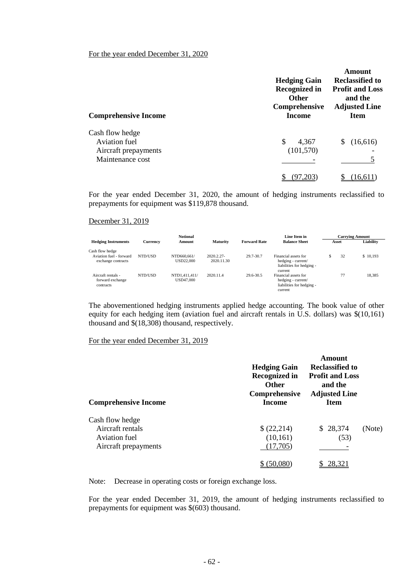#### For the year ended December 31, 2020

| <b>Comprehensive Income</b>                                                  | <b>Hedging Gain</b><br><b>Recognized in</b><br><b>Other</b><br>Comprehensive<br><b>Income</b> | Amount<br><b>Reclassified to</b><br><b>Profit and Loss</b><br>and the<br><b>Adjusted Line</b><br><b>Item</b> |  |  |
|------------------------------------------------------------------------------|-----------------------------------------------------------------------------------------------|--------------------------------------------------------------------------------------------------------------|--|--|
| Cash flow hedge<br>Aviation fuel<br>Aircraft prepayments<br>Maintenance cost | \$<br>4,367<br>(101, 570)                                                                     | (16,616)<br>S<br>16.61                                                                                       |  |  |

For the year ended December 31, 2020, the amount of hedging instruments reclassified to prepayments for equipment was \$119,878 thousand.

#### December 31, 2019

|                                                     |          | <b>Notional</b>            |                          |                     | Line Item in                                                                       | <b>Carrying Amount</b> |       |           |
|-----------------------------------------------------|----------|----------------------------|--------------------------|---------------------|------------------------------------------------------------------------------------|------------------------|-------|-----------|
| <b>Hedging Instruments</b>                          | Currency | Amount                     | <b>Maturity</b>          | <b>Forward Rate</b> | <b>Balance Sheet</b>                                                               |                        | Asset | Liability |
| Cash flow hedge                                     |          |                            |                          |                     |                                                                                    |                        |       |           |
| Aviation fuel - forward<br>exchange contracts       | NTD/USD  | NTD660.661/<br>USD22,000   | 2020.2.27-<br>2020.11.30 | 29.7-30.7           | Financial assets for<br>hedging - current/<br>liabilities for hedging -<br>current | S                      | 32    | \$10,193  |
| Aircraft rentals -<br>forward exchange<br>contracts | NTD/USD  | NTD1.411.411/<br>USD47.000 | 2020.11.4                | 29.6-30.5           | Financial assets for<br>hedging - current/<br>liabilities for hedging -<br>current |                        | 77    | 18.385    |

The abovementioned hedging instruments applied hedge accounting. The book value of other equity for each hedging item (aviation fuel and aircraft rentals in U.S. dollars) was \$(10,161) thousand and \$(18,308) thousand, respectively.

## For the year ended December 31, 2019

| <b>Comprehensive Income</b>                                                  | <b>Hedging Gain</b><br><b>Recognized in</b><br><b>Other</b><br>Comprehensive<br><b>Income</b> | Amount<br><b>Reclassified to</b><br><b>Profit and Loss</b><br>and the<br><b>Adjusted Line</b><br><b>Item</b> |        |  |  |
|------------------------------------------------------------------------------|-----------------------------------------------------------------------------------------------|--------------------------------------------------------------------------------------------------------------|--------|--|--|
| Cash flow hedge<br>Aircraft rentals<br>Aviation fuel<br>Aircraft prepayments | \$(22,214)<br>(10,161)<br>(17,705)                                                            | \$28,374<br>(53)                                                                                             | (Note) |  |  |
|                                                                              |                                                                                               |                                                                                                              |        |  |  |

Note: Decrease in operating costs or foreign exchange loss.

For the year ended December 31, 2019, the amount of hedging instruments reclassified to prepayments for equipment was \$(603) thousand.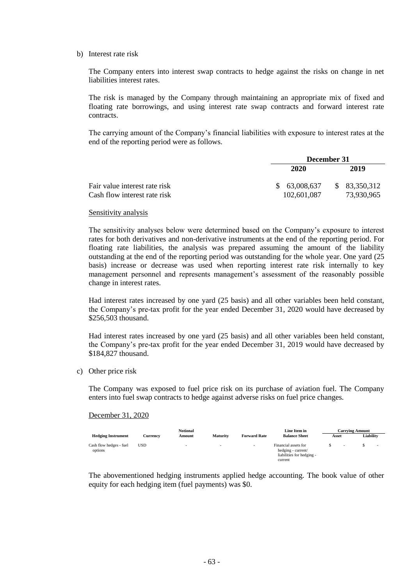#### b) Interest rate risk

The Company enters into interest swap contracts to hedge against the risks on change in net liabilities interest rates.

The risk is managed by the Company through maintaining an appropriate mix of fixed and floating rate borrowings, and using interest rate swap contracts and forward interest rate contracts.

The carrying amount of the Company's financial liabilities with exposure to interest rates at the end of the reporting period were as follows.

|                                                               | December 31 |                              |  |                            |
|---------------------------------------------------------------|-------------|------------------------------|--|----------------------------|
|                                                               |             | 2020                         |  | 2019                       |
| Fair value interest rate risk<br>Cash flow interest rate risk |             | \$ 63,008,637<br>102.601.087 |  | \$83,350,312<br>73.930.965 |

#### Sensitivity analysis

The sensitivity analyses below were determined based on the Company's exposure to interest rates for both derivatives and non-derivative instruments at the end of the reporting period. For floating rate liabilities, the analysis was prepared assuming the amount of the liability outstanding at the end of the reporting period was outstanding for the whole year. One yard (25 basis) increase or decrease was used when reporting interest rate risk internally to key management personnel and represents management's assessment of the reasonably possible change in interest rates.

Had interest rates increased by one yard (25 basis) and all other variables been held constant, the Company's pre-tax profit for the year ended December 31, 2020 would have decreased by \$256,503 thousand.

Had interest rates increased by one yard (25 basis) and all other variables been held constant, the Company's pre-tax profit for the year ended December 31, 2019 would have decreased by \$184,827 thousand.

c) Other price risk

The Company was exposed to fuel price risk on its purchase of aviation fuel. The Company enters into fuel swap contracts to hedge against adverse risks on fuel price changes.

#### December 31, 2020

|                                    |          | <b>Notional</b> |                 |                                                                                              | Line Item in         | <b>Carrying Amount</b> |  |           |                          |
|------------------------------------|----------|-----------------|-----------------|----------------------------------------------------------------------------------------------|----------------------|------------------------|--|-----------|--------------------------|
| <b>Hedging Instrument</b>          | Currencv | Amount          | <b>Maturity</b> | <b>Forward Rate</b>                                                                          | <b>Balance Sheet</b> | Asset                  |  | Liability |                          |
| Cash flow hedges - fuel<br>options | USD      | . .             | $\sim$          | Financial assets for<br>$\sim$<br>hedging - current/<br>liabilities for hedging -<br>current |                      |                        |  |           | $\overline{\phantom{a}}$ |

The abovementioned hedging instruments applied hedge accounting. The book value of other equity for each hedging item (fuel payments) was \$0.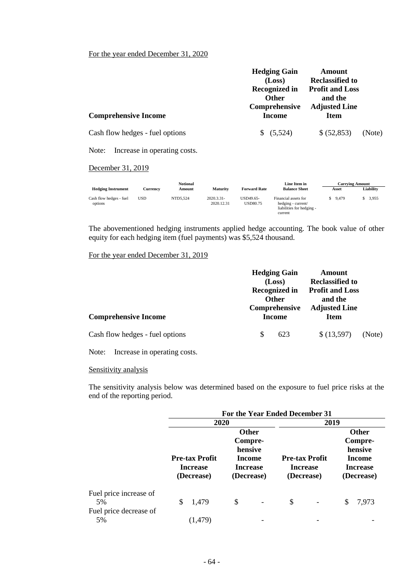## For the year ended December 31, 2020

| <b>Comprehensive Income</b>     | <b>Hedging Gain</b><br>(Loss)<br><b>Recognized in</b><br><b>Other</b><br>Comprehensive<br><b>Income</b> | <b>Amount</b><br><b>Reclassified to</b><br><b>Profit and Loss</b><br>and the<br><b>Adjusted Line</b><br><b>Item</b> |        |  |
|---------------------------------|---------------------------------------------------------------------------------------------------------|---------------------------------------------------------------------------------------------------------------------|--------|--|
| Cash flow hedges - fuel options | \$ (5,524)                                                                                              | \$ (52,853)                                                                                                         | (Note) |  |
|                                 |                                                                                                         |                                                                                                                     |        |  |

Note: Increase in operating costs.

December 31, 2019

|                                    |                 | <b>Notional</b> |                          |                       | Line Item in                                                                       |          | <b>Carrving Amount</b> |
|------------------------------------|-----------------|-----------------|--------------------------|-----------------------|------------------------------------------------------------------------------------|----------|------------------------|
| <b>Hedging Instrument</b>          | <b>Currencv</b> | Amount          | <b>Maturity</b>          | <b>Forward Rate</b>   | <b>Balance Sheet</b>                                                               | Asset    | Liabilitv              |
| Cash flow hedges - fuel<br>options | <b>USD</b>      | NTD5.524        | 2020.3.31-<br>2020.12.31 | USD49.65-<br>USD80.75 | Financial assets for<br>hedging - current/<br>liabilities for hedging -<br>current | \$ 9.479 | 3,955                  |

The abovementioned hedging instruments applied hedge accounting. The book value of other equity for each hedging item (fuel payments) was \$5,524 thousand.

For the year ended December 31, 2019

|                                 | <b>Hedging Gain</b><br>(Loss)        | Amount<br><b>Reclassified to</b>  |        |
|---------------------------------|--------------------------------------|-----------------------------------|--------|
|                                 | <b>Recognized in</b><br><b>Other</b> | <b>Profit and Loss</b><br>and the |        |
| <b>Comprehensive Income</b>     | Comprehensive<br>Income              | <b>Adjusted Line</b><br>Item      |        |
| Cash flow hedges - fuel options | \$<br>623                            | \$(13,597)                        | (Note) |

Note: Increase in operating costs.

#### Sensitivity analysis

The sensitivity analysis below was determined based on the exposure to fuel price risks at the end of the reporting period.

|                                                              | For the Year Ended December 31                         |                                                                               |                                                        |                                                                                      |  |  |  |
|--------------------------------------------------------------|--------------------------------------------------------|-------------------------------------------------------------------------------|--------------------------------------------------------|--------------------------------------------------------------------------------------|--|--|--|
|                                                              | 2020                                                   |                                                                               | 2019                                                   |                                                                                      |  |  |  |
|                                                              | <b>Pre-tax Profit</b><br><b>Increase</b><br>(Decrease) | <b>Other</b><br>Compre-<br>hensive<br>Income<br><b>Increase</b><br>(Decrease) | <b>Pre-tax Profit</b><br><b>Increase</b><br>(Decrease) | <b>Other</b><br>Compre-<br>hensive<br><b>Income</b><br><b>Increase</b><br>(Decrease) |  |  |  |
| Fuel price increase of<br>5%<br>Fuel price decrease of<br>5% | 1,479<br>\$<br>(1, 479)                                | \$                                                                            | \$                                                     | 7,973                                                                                |  |  |  |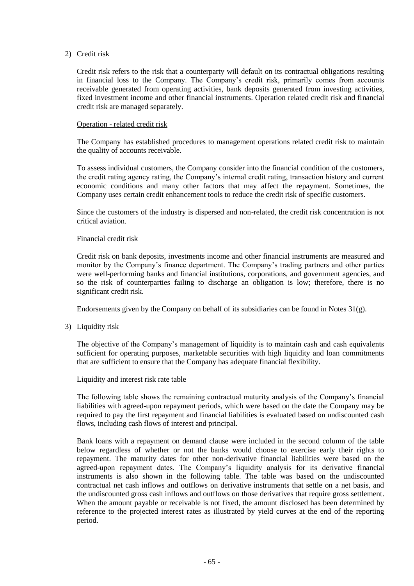#### 2) Credit risk

Credit risk refers to the risk that a counterparty will default on its contractual obligations resulting in financial loss to the Company. The Company's credit risk, primarily comes from accounts receivable generated from operating activities, bank deposits generated from investing activities, fixed investment income and other financial instruments. Operation related credit risk and financial credit risk are managed separately.

#### Operation - related credit risk

The Company has established procedures to management operations related credit risk to maintain the quality of accounts receivable.

To assess individual customers, the Company consider into the financial condition of the customers, the credit rating agency rating, the Company's internal credit rating, transaction history and current economic conditions and many other factors that may affect the repayment. Sometimes, the Company uses certain credit enhancement tools to reduce the credit risk of specific customers.

Since the customers of the industry is dispersed and non-related, the credit risk concentration is not critical aviation.

#### Financial credit risk

Credit risk on bank deposits, investments income and other financial instruments are measured and monitor by the Company's finance department. The Company's trading partners and other parties were well-performing banks and financial institutions, corporations, and government agencies, and so the risk of counterparties failing to discharge an obligation is low; therefore, there is no significant credit risk.

Endorsements given by the Company on behalf of its subsidiaries can be found in Notes  $31(g)$ .

3) Liquidity risk

The objective of the Company's management of liquidity is to maintain cash and cash equivalents sufficient for operating purposes, marketable securities with high liquidity and loan commitments that are sufficient to ensure that the Company has adequate financial flexibility.

#### Liquidity and interest risk rate table

The following table shows the remaining contractual maturity analysis of the Company's financial liabilities with agreed-upon repayment periods, which were based on the date the Company may be required to pay the first repayment and financial liabilities is evaluated based on undiscounted cash flows, including cash flows of interest and principal.

Bank loans with a repayment on demand clause were included in the second column of the table below regardless of whether or not the banks would choose to exercise early their rights to repayment. The maturity dates for other non-derivative financial liabilities were based on the agreed-upon repayment dates. The Company's liquidity analysis for its derivative financial instruments is also shown in the following table. The table was based on the undiscounted contractual net cash inflows and outflows on derivative instruments that settle on a net basis, and the undiscounted gross cash inflows and outflows on those derivatives that require gross settlement. When the amount payable or receivable is not fixed, the amount disclosed has been determined by reference to the projected interest rates as illustrated by yield curves at the end of the reporting period.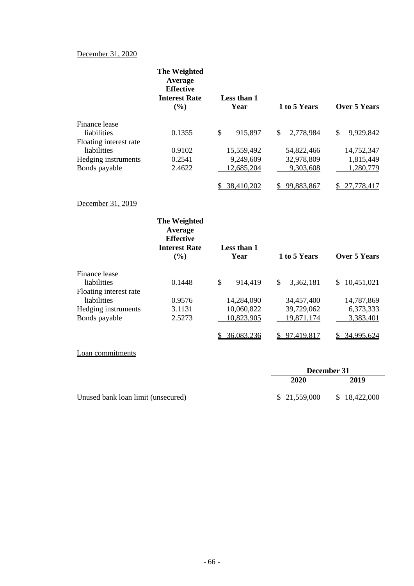# December 31, 2020

|                                       | <b>The Weighted</b><br>Average<br><b>Effective</b><br><b>Interest Rate</b><br>(9/0) |               | Less than 1<br>Year |    | 1 to 5 Years |    | <b>Over 5 Years</b> |
|---------------------------------------|-------------------------------------------------------------------------------------|---------------|---------------------|----|--------------|----|---------------------|
| Finance lease                         |                                                                                     |               |                     |    |              |    |                     |
| liabilities                           | 0.1355                                                                              | \$            | 915,897             | \$ | 2,778,984    | \$ | 9,929,842           |
| Floating interest rate<br>liabilities |                                                                                     |               |                     |    |              |    |                     |
|                                       | 0.9102<br>0.2541                                                                    |               | 15,559,492          |    | 54,822,466   |    | 14,752,347          |
| Hedging instruments                   | 2.4622                                                                              |               | 9,249,609           |    | 32,978,809   |    | 1,815,449           |
| Bonds payable                         |                                                                                     |               | 12,685,204          |    | 9,303,608    |    | 1,280,779           |
|                                       |                                                                                     |               | \$38,410,202        |    | \$99,883,867 |    | \$27,778,417        |
| December 31, 2019                     |                                                                                     |               |                     |    |              |    |                     |
|                                       | The Weighted<br>Average<br><b>Effective</b><br><b>Interest Rate</b><br>(%)          |               | Less than 1<br>Year |    | 1 to 5 Years |    | <b>Over 5 Years</b> |
| Finance lease                         |                                                                                     |               |                     |    |              |    |                     |
| liabilities                           | 0.1448                                                                              | $\mathcal{S}$ | 914,419             | \$ | 3,362,181    | S. | 10,451,021          |
| Floating interest rate                |                                                                                     |               |                     |    |              |    |                     |
| liabilities                           | 0.9576                                                                              |               | 14,284,090          |    | 34,457,400   |    | 14,787,869          |
| Hedging instruments                   | 3.1131                                                                              |               | 10,060,822          |    | 39,729,062   |    | 6,373,333           |
| Bonds payable                         | 2.5273                                                                              |               | 10,823,905          |    | 19,871,174   |    | 3,383,401           |
|                                       |                                                                                     |               | 36,083,236          |    | \$97,419,817 |    | 34,995,624          |
| Loan commitments                      |                                                                                     |               |                     |    |              |    |                     |
|                                       |                                                                                     |               |                     |    | December 31  |    |                     |
|                                       |                                                                                     |               |                     |    | 2020         |    | 2019                |
| Unused bank loan limit (unsecured)    |                                                                                     |               |                     | S. | 21,559,000   | \$ | 18,422,000          |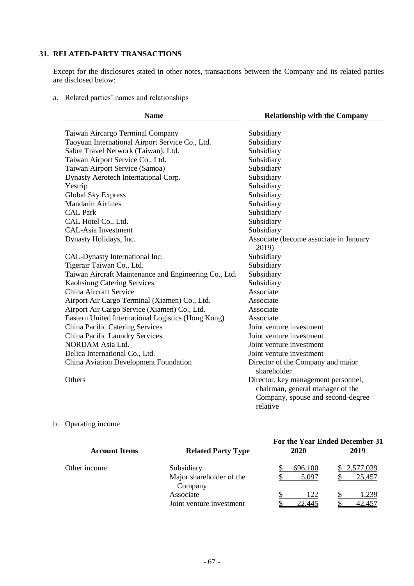## **31. RELATED-PARTY TRANSACTIONS**

Except for the disclosures stated in other notes, transactions between the Company and its related parties are disclosed below:

a. Related parties' names and relationships

| <b>Name</b>                                           | <b>Relationship with the Company</b>                                                                                     |  |  |
|-------------------------------------------------------|--------------------------------------------------------------------------------------------------------------------------|--|--|
|                                                       |                                                                                                                          |  |  |
| Taiwan Aircargo Terminal Company                      | Subsidiary                                                                                                               |  |  |
| Taoyuan International Airport Service Co., Ltd.       | Subsidiary                                                                                                               |  |  |
| Sabre Travel Network (Taiwan), Ltd.                   | Subsidiary                                                                                                               |  |  |
| Taiwan Airport Service Co., Ltd.                      | Subsidiary                                                                                                               |  |  |
| Taiwan Airport Service (Samoa)                        | Subsidiary                                                                                                               |  |  |
| Dynasty Aerotech International Corp.                  | Subsidiary                                                                                                               |  |  |
| Yestrip                                               | Subsidiary                                                                                                               |  |  |
| <b>Global Sky Express</b>                             | Subsidiary                                                                                                               |  |  |
| <b>Mandarin Airlines</b>                              | Subsidiary                                                                                                               |  |  |
| <b>CAL</b> Park                                       | Subsidiary                                                                                                               |  |  |
| CAL Hotel Co., Ltd.                                   | Subsidiary                                                                                                               |  |  |
| <b>CAL-Asia Investment</b>                            | Subsidiary                                                                                                               |  |  |
| Dynasty Holidays, Inc.                                | Associate (become associate in January<br>2019)                                                                          |  |  |
| CAL-Dynasty International Inc.                        | Subsidiary                                                                                                               |  |  |
| Tigerair Taiwan Co., Ltd.                             | Subsidiary                                                                                                               |  |  |
| Taiwan Aircraft Maintenance and Engineering Co., Ltd. | Subsidiary                                                                                                               |  |  |
| <b>Kaohsiung Catering Services</b>                    | Subsidiary                                                                                                               |  |  |
| China Aircraft Service                                | Associate                                                                                                                |  |  |
| Airport Air Cargo Terminal (Xiamen) Co., Ltd.         | Associate                                                                                                                |  |  |
| Airport Air Cargo Service (Xiamen) Co., Ltd.          | Associate                                                                                                                |  |  |
| Eastern United International Logistics (Hong Kong)    | Associate                                                                                                                |  |  |
| <b>China Pacific Catering Services</b>                | Joint venture investment                                                                                                 |  |  |
| China Pacific Laundry Services                        | Joint venture investment                                                                                                 |  |  |
| NORDAM Asia Ltd.                                      | Joint venture investment                                                                                                 |  |  |
| Delica International Co., Ltd.                        | Joint venture investment                                                                                                 |  |  |
| China Aviation Development Foundation                 | Director of the Company and major<br>shareholder                                                                         |  |  |
| Others                                                | Director, key management personnel,<br>chairman, general manager of the<br>Company, spouse and second-degree<br>relative |  |  |

# b. Operating income

|                      |                                                   | For the Year Ended December 31 |                     |
|----------------------|---------------------------------------------------|--------------------------------|---------------------|
| <b>Account Items</b> | <b>Related Party Type</b>                         | 2020                           | 2019                |
| Other income         | Subsidiary<br>Major shareholder of the<br>Company | 696,100<br>5.097               | 2,577,039<br>25,457 |
|                      | Associate<br>Joint venture investment             | 122<br>22.445                  | .239                |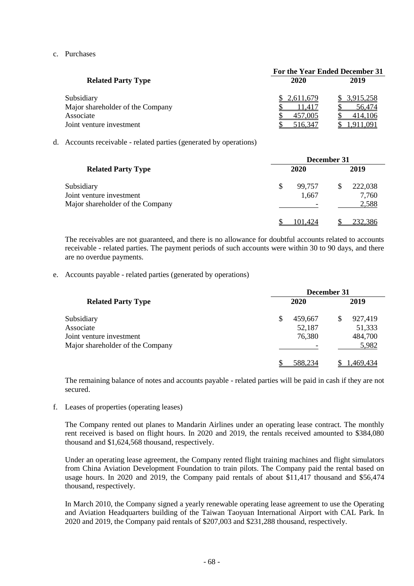c. Purchases

|                                  | For the Year Ended December 31 |           |  |  |
|----------------------------------|--------------------------------|-----------|--|--|
| <b>Related Party Type</b>        | 2020                           | 2019      |  |  |
| Subsidiary                       | 2,611,679                      | 3.915.258 |  |  |
| Major shareholder of the Company | 1.41'                          | 56,474    |  |  |
| Associate                        | 457,005                        | 414.106   |  |  |
| Joint venture investment         | 516.347                        | 1.091     |  |  |

d. Accounts receivable - related parties (generated by operations)

|                                  | December 31 |         |    |                |  |  |
|----------------------------------|-------------|---------|----|----------------|--|--|
| <b>Related Party Type</b>        |             | 2020    |    | 2019           |  |  |
| Subsidiary                       | \$          | 99,757  | \$ | 222,038        |  |  |
| Joint venture investment         |             | 1,667   |    | 7,760          |  |  |
| Major shareholder of the Company |             |         |    | 2,588          |  |  |
|                                  |             | 101.424 |    | <u>232,386</u> |  |  |

The receivables are not guaranteed, and there is no allowance for doubtful accounts related to accounts receivable - related parties. The payment periods of such accounts were within 30 to 90 days, and there are no overdue payments.

e. Accounts payable - related parties (generated by operations)

|                                                                                                                      | December 31 |         |   |          |  |
|----------------------------------------------------------------------------------------------------------------------|-------------|---------|---|----------|--|
| <b>Related Party Type</b><br>Subsidiary<br>Associate<br>Joint venture investment<br>Major shareholder of the Company |             | 2020    |   | 2019     |  |
|                                                                                                                      | \$          | 459,667 | S | 927,419  |  |
|                                                                                                                      |             | 52,187  |   | 51,333   |  |
|                                                                                                                      |             | 76,380  |   | 484,700  |  |
|                                                                                                                      |             |         |   | 5,982    |  |
|                                                                                                                      |             | 588,234 |   | .469.434 |  |

The remaining balance of notes and accounts payable - related parties will be paid in cash if they are not secured.

f. Leases of properties (operating leases)

The Company rented out planes to Mandarin Airlines under an operating lease contract. The monthly rent received is based on flight hours. In 2020 and 2019, the rentals received amounted to \$384,080 thousand and \$1,624,568 thousand, respectively.

Under an operating lease agreement, the Company rented flight training machines and flight simulators from China Aviation Development Foundation to train pilots. The Company paid the rental based on usage hours. In 2020 and 2019, the Company paid rentals of about \$11,417 thousand and \$56,474 thousand, respectively.

In March 2010, the Company signed a yearly renewable operating lease agreement to use the Operating and Aviation Headquarters building of the Taiwan Taoyuan International Airport with CAL Park. In 2020 and 2019, the Company paid rentals of \$207,003 and \$231,288 thousand, respectively.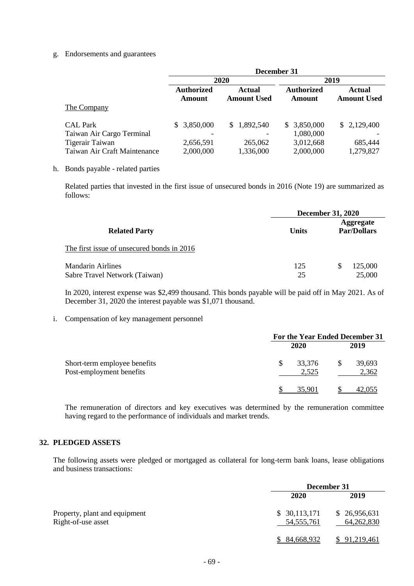#### g. Endorsements and guarantees

|                              | December 31                 |                              |                             |                              |  |  |
|------------------------------|-----------------------------|------------------------------|-----------------------------|------------------------------|--|--|
|                              |                             | 2020                         | 2019                        |                              |  |  |
|                              | <b>Authorized</b><br>Amount | Actual<br><b>Amount Used</b> | <b>Authorized</b><br>Amount | Actual<br><b>Amount Used</b> |  |  |
| The Company                  |                             |                              |                             |                              |  |  |
| <b>CAL</b> Park              | 3,850,000<br>S.             | \$1,892,540                  | \$3,850,000                 | \$2,129,400                  |  |  |
| Taiwan Air Cargo Terminal    |                             |                              | 1,080,000                   |                              |  |  |
| Tigerair Taiwan              | 2,656,591                   | 265,062                      | 3,012,668                   | 685,444                      |  |  |
| Taiwan Air Craft Maintenance | 2,000,000                   | 1,336,000                    | 2,000,000                   | 1,279,827                    |  |  |

h. Bonds payable - related parties

Related parties that invested in the first issue of unsecured bonds in 2016 (Note 19) are summarized as follows:

|                                                           | <b>December 31, 2020</b> |                                        |  |
|-----------------------------------------------------------|--------------------------|----------------------------------------|--|
| <b>Related Party</b>                                      | <b>Units</b>             | <b>Aggregate</b><br><b>Par/Dollars</b> |  |
| The first issue of unsecured bonds in 2016                |                          |                                        |  |
| <b>Mandarin Airlines</b><br>Sabre Travel Network (Taiwan) | 125<br>25                | 125,000<br>\$<br>25,000                |  |

In 2020, interest expense was \$2,499 thousand. This bonds payable will be paid off in May 2021. As of December 31, 2020 the interest payable was \$1,071 thousand.

i. Compensation of key management personnel

|                                                          | For the Year Ended December 31 |                 |    |                 |
|----------------------------------------------------------|--------------------------------|-----------------|----|-----------------|
|                                                          |                                | 2020            |    | 2019            |
| Short-term employee benefits<br>Post-employment benefits | -S                             | 33,376<br>2,525 | \$ | 39,693<br>2,362 |
|                                                          |                                | 35.901          |    | 42,055          |

The remuneration of directors and key executives was determined by the remuneration committee having regard to the performance of individuals and market trends.

#### **32. PLEDGED ASSETS**

The following assets were pledged or mortgaged as collateral for long-term bank loans, lease obligations and business transactions:

|                                                     | December 31                  |                            |  |
|-----------------------------------------------------|------------------------------|----------------------------|--|
|                                                     | 2020                         | 2019                       |  |
| Property, plant and equipment<br>Right-of-use asset | \$30,113,171<br>54, 555, 761 | \$26,956,631<br>64,262,830 |  |
|                                                     | \$84,668,932                 | \$91,219,461               |  |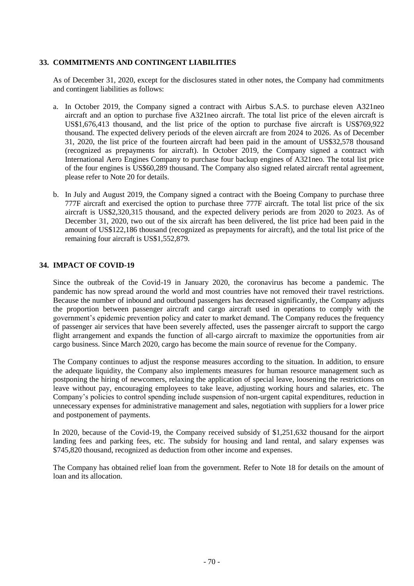## **33. COMMITMENTS AND CONTINGENT LIABILITIES**

As of December 31, 2020, except for the disclosures stated in other notes, the Company had commitments and contingent liabilities as follows:

- a. In October 2019, the Company signed a contract with Airbus S.A.S. to purchase eleven A321neo aircraft and an option to purchase five A321neo aircraft. The total list price of the eleven aircraft is US\$1,676,413 thousand, and the list price of the option to purchase five aircraft is US\$769,922 thousand. The expected delivery periods of the eleven aircraft are from 2024 to 2026. As of December 31, 2020, the list price of the fourteen aircraft had been paid in the amount of US\$32,578 thousand (recognized as prepayments for aircraft). In October 2019, the Company signed a contract with International Aero Engines Company to purchase four backup engines of A321neo. The total list price of the four engines is US\$60,289 thousand. The Company also signed related aircraft rental agreement, please refer to Note 20 for details.
- b. In July and August 2019, the Company signed a contract with the Boeing Company to purchase three 777F aircraft and exercised the option to purchase three 777F aircraft. The total list price of the six aircraft is US\$2,320,315 thousand, and the expected delivery periods are from 2020 to 2023. As of December 31, 2020, two out of the six aircraft has been delivered, the list price had been paid in the amount of US\$122,186 thousand (recognized as prepayments for aircraft), and the total list price of the remaining four aircraft is US\$1,552,879.

#### **34. IMPACT OF COVID-19**

Since the outbreak of the Covid-19 in January 2020, the coronavirus has become a pandemic. The pandemic has now spread around the world and most countries have not removed their travel restrictions. Because the number of inbound and outbound passengers has decreased significantly, the Company adjusts the proportion between passenger aircraft and cargo aircraft used in operations to comply with the government's epidemic prevention policy and cater to market demand. The Company reduces the frequency of passenger air services that have been severely affected, uses the passenger aircraft to support the cargo flight arrangement and expands the function of all-cargo aircraft to maximize the opportunities from air cargo business. Since March 2020, cargo has become the main source of revenue for the Company.

The Company continues to adjust the response measures according to the situation. In addition, to ensure the adequate liquidity, the Company also implements measures for human resource management such as postponing the hiring of newcomers, relaxing the application of special leave, loosening the restrictions on leave without pay, encouraging employees to take leave, adjusting working hours and salaries, etc. The Company's policies to control spending include suspension of non-urgent capital expenditures, reduction in unnecessary expenses for administrative management and sales, negotiation with suppliers for a lower price and postponement of payments.

In 2020, because of the Covid-19, the Company received subsidy of \$1,251,632 thousand for the airport landing fees and parking fees, etc. The subsidy for housing and land rental, and salary expenses was \$745,820 thousand, recognized as deduction from other income and expenses.

The Company has obtained relief loan from the government. Refer to Note 18 for details on the amount of loan and its allocation.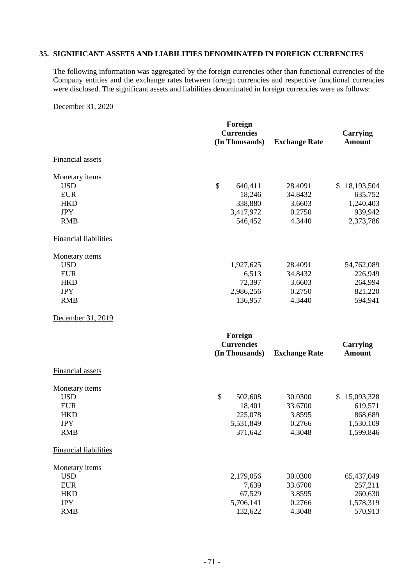## **35. SIGNIFICANT ASSETS AND LIABILITIES DENOMINATED IN FOREIGN CURRENCIES**

The following information was aggregated by the foreign currencies other than functional currencies of the Company entities and the exchange rates between foreign currencies and respective functional currencies were disclosed. The significant assets and liabilities denominated in foreign currencies were as follows:

December 31, 2020

|                                                                                      | Foreign<br><b>Currencies</b><br>(In Thousands)             | <b>Exchange Rate</b>                             | Carrying<br><b>Amount</b>                                        |
|--------------------------------------------------------------------------------------|------------------------------------------------------------|--------------------------------------------------|------------------------------------------------------------------|
| <b>Financial assets</b>                                                              |                                                            |                                                  |                                                                  |
| Monetary items<br><b>USD</b><br><b>EUR</b><br><b>HKD</b><br><b>JPY</b><br><b>RMB</b> | \$<br>640,411<br>18,246<br>338,880<br>3,417,972<br>546,452 | 28.4091<br>34.8432<br>3.6603<br>0.2750<br>4.3440 | 18,193,504<br>\$<br>635,752<br>1,240,403<br>939,942<br>2,373,786 |
| <b>Financial liabilities</b>                                                         |                                                            |                                                  |                                                                  |
| Monetary items<br><b>USD</b><br><b>EUR</b><br><b>HKD</b><br><b>JPY</b><br><b>RMB</b> | 1,927,625<br>6,513<br>72,397<br>2,986,256<br>136,957       | 28.4091<br>34.8432<br>3.6603<br>0.2750<br>4.3440 | 54,762,089<br>226,949<br>264,994<br>821,220<br>594,941           |
| December 31, 2019                                                                    |                                                            |                                                  |                                                                  |
|                                                                                      | Foreign<br><b>Currencies</b><br>(In Thousands)             | <b>Exchange Rate</b>                             | Carrying<br><b>Amount</b>                                        |
| <b>Financial</b> assets                                                              |                                                            |                                                  |                                                                  |
| Monetary items<br><b>USD</b><br><b>EUR</b><br><b>HKD</b><br><b>JPY</b><br><b>RMB</b> | \$<br>502,608<br>18,401<br>225,078<br>5,531,849<br>371,642 | 30.0300<br>33.6700<br>3.8595<br>0.2766<br>4.3048 | 15,093,328<br>\$<br>619,571<br>868,689<br>1,530,109<br>1,599,846 |
| <b>Financial liabilities</b>                                                         |                                                            |                                                  |                                                                  |
| Monetary items<br><b>USD</b><br><b>EUR</b><br><b>HKD</b><br><b>JPY</b><br><b>RMB</b> | 2,179,056<br>7,639<br>67,529<br>5,706,141<br>132,622       | 30.0300<br>33.6700<br>3.8595<br>0.2766<br>4.3048 | 65,437,049<br>257,211<br>260,630<br>1,578,319<br>570,913         |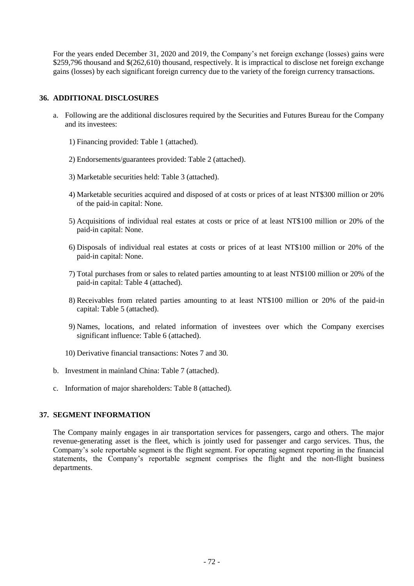For the years ended December 31, 2020 and 2019, the Company's net foreign exchange (losses) gains were \$259,796 thousand and \$(262,610) thousand, respectively. It is impractical to disclose net foreign exchange gains (losses) by each significant foreign currency due to the variety of the foreign currency transactions.

#### **36. ADDITIONAL DISCLOSURES**

- a. Following are the additional disclosures required by the Securities and Futures Bureau for the Company and its investees:
	- 1) Financing provided: Table 1 (attached).
	- 2) Endorsements/guarantees provided: Table 2 (attached).
	- 3) Marketable securities held: Table 3 (attached).
	- 4) Marketable securities acquired and disposed of at costs or prices of at least NT\$300 million or 20% of the paid-in capital: None.
	- 5) Acquisitions of individual real estates at costs or price of at least NT\$100 million or 20% of the paid-in capital: None.
	- 6) Disposals of individual real estates at costs or prices of at least NT\$100 million or 20% of the paid-in capital: None.
	- 7) Total purchases from or sales to related parties amounting to at least NT\$100 million or 20% of the paid-in capital: Table 4 (attached).
	- 8) Receivables from related parties amounting to at least NT\$100 million or 20% of the paid-in capital: Table 5 (attached).
	- 9) Names, locations, and related information of investees over which the Company exercises significant influence: Table 6 (attached).
	- 10) Derivative financial transactions: Notes 7 and 30.
- b. Investment in mainland China: Table 7 (attached).
- c. Information of major shareholders: Table 8 (attached).

#### **37. SEGMENT INFORMATION**

The Company mainly engages in air transportation services for passengers, cargo and others. The major revenue-generating asset is the fleet, which is jointly used for passenger and cargo services. Thus, the Company's sole reportable segment is the flight segment. For operating segment reporting in the financial statements, the Company's reportable segment comprises the flight and the non-flight business departments.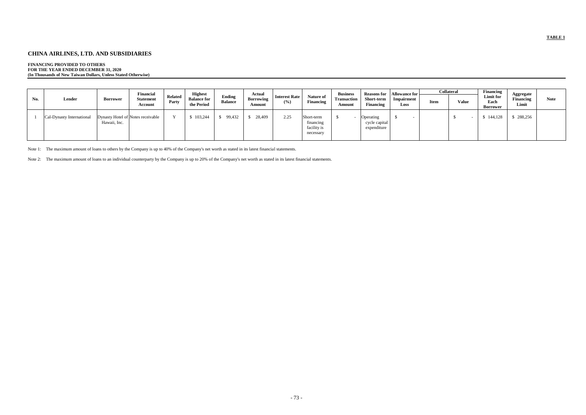# **CHINA AIRLINES, LTD. AND SUBSIDIARIES**

#### **FINANCING PROVIDED TO OTHERS**

**FOR THE YEAR ENDED DECEMBER 31, 2020 (In Thousands of New Taiwan Dollars, Unless Stated Otherwise)**

|     |                           |                                                   | Financial                   |                         | <b>Highest</b>                   |                                 |                                      |                             |                                                     | <b>Business</b>              | <b>Reasons for</b>                               | Allowance for      | Collateral  |              | <b>Financing</b>                     |                                |             |
|-----|---------------------------|---------------------------------------------------|-----------------------------|-------------------------|----------------------------------|---------------------------------|--------------------------------------|-----------------------------|-----------------------------------------------------|------------------------------|--------------------------------------------------|--------------------|-------------|--------------|--------------------------------------|--------------------------------|-------------|
| No. | Lender                    | <b>Borrower</b>                                   | Statement<br><b>Account</b> | <b>Related</b><br>Party | <b>Balance for</b><br>the Period | <b>Ending</b><br><b>Balance</b> | Actual<br><b>Borrowing</b><br>Amount | <b>Interest Rate</b><br>(%) | Nature of<br><b>Financing</b>                       | <b>Transaction</b><br>Amount | Short-term<br>Financing                          | Impairment<br>Loss | <b>Item</b> | <b>Value</b> | Limit for<br>Each<br><b>Borrower</b> | Aggregate<br>Financing<br>Limi | <b>Note</b> |
|     | Cal-Dynasty International | Dynasty Hotel of Notes receivable<br>Hawaii, Inc. |                             |                         | 103,244                          | 99,432                          | 28,409                               | 2.25                        | Short-term<br>financing<br>facility is<br>necessary |                              | <b>Operating</b><br>cycle capital<br>expenditure |                    |             |              | 144,128                              | \$288,256                      |             |

Note 1: The maximum amount of loans to others by the Company is up to 40% of the Company's net worth as stated in its latest financial statements.

Note 2: The maximum amount of loans to an individual counterparty by the Company is up to 20% of the Company's net worth as stated in its latest financial statements.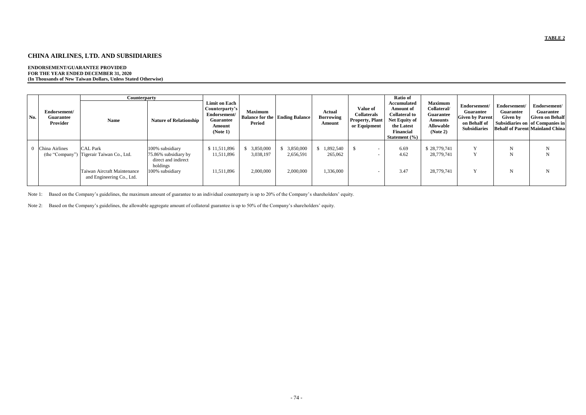# **CHINA AIRLINES, LTD. AND SUBSIDIARIES**

#### **ENDORSEMENT/GUARANTEE PROVIDED FOR THE YEAR ENDED DECEMBER 31, 2020 (In Thousands of New Taiwan Dollars, Unless Stated Otherwise)**

|     |                                              | Counterparty                                                                                                             |                                                                                               |                                                                                                  |                                     |                                       |                                             |                                                                          | <b>Ratio of</b>                                                                                                                                                                                                                                      |                                          |                                                                                                   |                                                     |                                                                                                                                         |
|-----|----------------------------------------------|--------------------------------------------------------------------------------------------------------------------------|-----------------------------------------------------------------------------------------------|--------------------------------------------------------------------------------------------------|-------------------------------------|---------------------------------------|---------------------------------------------|--------------------------------------------------------------------------|------------------------------------------------------------------------------------------------------------------------------------------------------------------------------------------------------------------------------------------------------|------------------------------------------|---------------------------------------------------------------------------------------------------|-----------------------------------------------------|-----------------------------------------------------------------------------------------------------------------------------------------|
| No. | Endorsement/<br><b>Guarantee</b><br>Provider | <b>Name</b>                                                                                                              | <b>Nature of Relationship</b>                                                                 | <b>Limit on Each</b><br>Counterparty's<br>Endorsement/<br><b>Guarantee</b><br>Amount<br>(Note 1) | <b>Maximum</b><br>Period            | <b>Balance for the Ending Balance</b> | <b>Actual</b><br><b>Borrowing</b><br>Amount | Value of<br><b>Collaterals</b><br><b>Property, Plant</b><br>or Equipment | <b>Maximum</b><br><b>Accumulated</b><br>Collateral/<br><b>Amount of</b><br><b>Collateral to</b><br><b>Guarantee</b><br><b>Net Equity of</b><br><b>Amounts</b><br><b>Allowable</b><br>the Latest<br><b>Financial</b><br>(Note 2)<br>Statement $(\% )$ |                                          | Endorsement/<br><b>Guarantee</b><br><b>Given by Parent</b><br>on Behalf of<br><b>Subsidiaries</b> | Endorsement/<br><b>Guarantee</b><br><b>Given by</b> | Endorsement/<br><b>Guarantee</b><br><b>Given on Behalf</b><br>Subsidiaries on of Companies in<br><b>Behalf of Parent Mainland China</b> |
|     | 0 China Airlines                             | <b>CAL Park</b><br>(the "Company") Tigerair Taiwan Co., Ltd.<br>Taiwan Aircraft Maintenance<br>and Engineering Co., Ltd. | 100% subsidiary<br>75.86% subsidiary by<br>direct and indirect<br>holdings<br>100% subsidiary | \$11,511,896<br>11,511,896<br>11,511,896                                                         | 3,850,000<br>3,038,197<br>2,000,000 | 3,850,000<br>2,656,591<br>2,000,000   | \$1,892,540<br>265,062<br>1,336,000         |                                                                          | 6.69<br>4.62<br>3.47                                                                                                                                                                                                                                 | \$28,779,741<br>28,779,741<br>28,779,741 |                                                                                                   | N<br>N<br>N                                         |                                                                                                                                         |

Note 1: Based on the Company's guidelines, the maximum amount of guarantee to an individual counterparty is up to 20% of the Company's shareholders' equity.

Note 2: Based on the Company's guidelines, the allowable aggregate amount of collateral guarantee is up to 50% of the Company's shareholders' equity.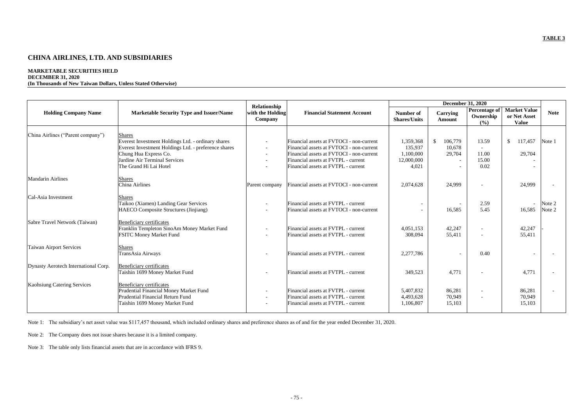# **CHINA AIRLINES, LTD. AND SUBSIDIARIES**

#### **MARKETABLE SECURITIES HELD DECEMBER 31, 2020**

## **(In Thousands of New Taiwan Dollars, Unless Stated Otherwise)**

|                                      |                                                      |                                             |                                          |                                         | <b>December 31, 2020</b>  |                                          |                                                     |             |
|--------------------------------------|------------------------------------------------------|---------------------------------------------|------------------------------------------|-----------------------------------------|---------------------------|------------------------------------------|-----------------------------------------------------|-------------|
| <b>Holding Company Name</b>          | <b>Marketable Security Type and Issuer/Name</b>      | Relationship<br>with the Holding<br>Company | <b>Financial Statement Account</b>       | <b>Number of</b><br><b>Shares/Units</b> | Carrying<br><b>Amount</b> | <b>Percentage of</b><br>Ownership<br>(%) | <b>Market Value</b><br>or Net Asset<br><b>Value</b> | <b>Note</b> |
| China Airlines ("Parent company")    | <b>Shares</b>                                        |                                             |                                          |                                         |                           |                                          |                                                     |             |
|                                      | Everest Investment Holdings Ltd. - ordinary shares   |                                             | Financial assets at FVTOCI - non-current | 1,359,368                               | $\mathcal{S}$<br>106,779  | 13.59                                    | $\mathcal{S}$<br>117,457                            | Note 1      |
|                                      | Everest Investment Holdings Ltd. - preference shares |                                             | Financial assets at FVTOCI - non-current | 135,937                                 | 10,678                    | $\sim$                                   |                                                     |             |
|                                      | Chung Hua Express Co.                                |                                             | Financial assets at FVTOCI - non-current | 1,100,000                               | 29,704                    | 11.00                                    | 29,704                                              |             |
|                                      | Jardine Air Terminal Services                        | $\sim$                                      | Financial assets at FVTPL - current      | 12,000,000                              |                           | 15.00                                    |                                                     |             |
|                                      | The Grand Hi Lai Hotel                               |                                             | Financial assets at FVTPL - current      | 4,021                                   |                           | 0.02                                     |                                                     |             |
| <b>Mandarin Airlines</b>             | <b>Shares</b>                                        |                                             |                                          |                                         |                           |                                          |                                                     |             |
|                                      | <b>China Airlines</b>                                | Parent company                              | Financial assets at FVTOCI - non-current | 2,074,628                               | 24,999                    |                                          | 24,999                                              |             |
| Cal-Asia Investment                  | <b>Shares</b>                                        |                                             |                                          |                                         |                           |                                          |                                                     |             |
|                                      | Taikoo (Xiamen) Landing Gear Services                |                                             | Financial assets at FVTPL - current      |                                         |                           | 2.59                                     |                                                     | Note 2      |
|                                      | <b>HAECO</b> Composite Structures (Jinjiang)         |                                             | Financial assets at FVTOCI - non-current |                                         | 16,585                    | 5.45                                     | 16,585                                              | Note 2      |
| Sabre Travel Network (Taiwan)        | <b>Beneficiary certificates</b>                      |                                             |                                          |                                         |                           |                                          |                                                     |             |
|                                      | Franklin Templeton SinoAm Money Market Fund          |                                             | Financial assets at FVTPL - current      | 4,051,153                               | 42,247                    |                                          | 42,247                                              |             |
|                                      | <b>FSITC Money Market Fund</b>                       |                                             | Financial assets at FVTPL - current      | 308,094                                 | 55,411                    |                                          | 55,411                                              |             |
| <b>Taiwan Airport Services</b>       | <b>Shares</b>                                        |                                             |                                          |                                         |                           |                                          |                                                     |             |
|                                      | TransAsia Airways                                    |                                             | Financial assets at FVTPL - current      | 2,277,786                               |                           | 0.40                                     | $\overline{\phantom{0}}$                            |             |
| Dynasty Aerotech International Corp. | Beneficiary certificates                             |                                             |                                          |                                         |                           |                                          |                                                     |             |
|                                      | Taishin 1699 Money Market Fund                       |                                             | Financial assets at FVTPL - current      | 349,523                                 | 4,771                     |                                          | 4,771                                               |             |
| <b>Kaohsiung Catering Services</b>   | <b>Beneficiary certificates</b>                      |                                             |                                          |                                         |                           |                                          |                                                     |             |
|                                      | Prudential Financial Money Market Fund               |                                             | Financial assets at FVTPL - current      | 5,407,832                               | 86,281                    |                                          | 86,281                                              |             |
|                                      | Prudential Financial Return Fund                     |                                             | Financial assets at FVTPL - current      | 4,493,628                               | 70,949                    |                                          | 70,949                                              |             |
|                                      | Taishin 1699 Money Market Fund                       |                                             | Financial assets at FVTPL - current      | 1,106,807                               | 15,103                    |                                          | 15,103                                              |             |
|                                      |                                                      |                                             |                                          |                                         |                           |                                          |                                                     |             |

Note 1: The subsidiary's net asset value was \$117,457 thousand, which included ordinary shares and preference shares as of and for the year ended December 31, 2020.

Note 2: The Company does not issue shares because it is a limited company.

Note 3: The table only lists financial assets that are in accordance with IFRS 9.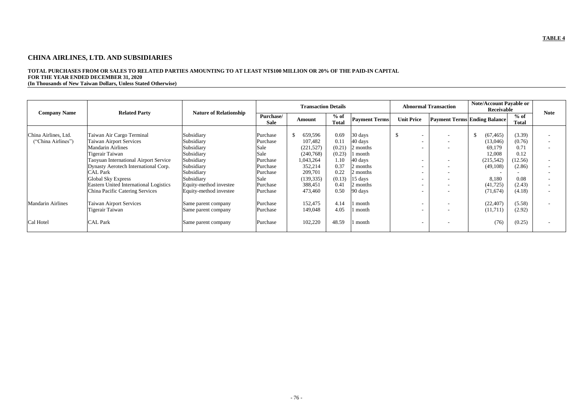# **CHINA AIRLINES, LTD. AND SUBSIDIARIES**

# **TOTAL PURCHASES FROM OR SALES TO RELATED PARTIES AMOUNTING TO AT LEAST NT\$100 MILLION OR 20% OF THE PAID-IN CAPITAL FOR THE YEAR ENDED DECEMBER 31, 2020**

**(In Thousands of New Taiwan Dollars, Unless Stated Otherwise)**

|                                            |                                                                                                                                                                                                                                                                                                                          |                                                                                                                                                                  |                                                                                                          | <b>Transaction Details</b>                                                                                           |                                                                                    |                                                                                                              |                                                                                                                                                                                                                                                         | <b>Abnormal Transaction</b>                                                                                                                                                                                                                              | <b>Note/Account Payable or</b><br>Receivable                                                           |                                                                                   |                                                                                                                                                                                                                                                          |
|--------------------------------------------|--------------------------------------------------------------------------------------------------------------------------------------------------------------------------------------------------------------------------------------------------------------------------------------------------------------------------|------------------------------------------------------------------------------------------------------------------------------------------------------------------|----------------------------------------------------------------------------------------------------------|----------------------------------------------------------------------------------------------------------------------|------------------------------------------------------------------------------------|--------------------------------------------------------------------------------------------------------------|---------------------------------------------------------------------------------------------------------------------------------------------------------------------------------------------------------------------------------------------------------|----------------------------------------------------------------------------------------------------------------------------------------------------------------------------------------------------------------------------------------------------------|--------------------------------------------------------------------------------------------------------|-----------------------------------------------------------------------------------|----------------------------------------------------------------------------------------------------------------------------------------------------------------------------------------------------------------------------------------------------------|
| <b>Company Name</b>                        | <b>Related Party</b>                                                                                                                                                                                                                                                                                                     | <b>Nature of Relationship</b>                                                                                                                                    | Purchase/<br><b>Sale</b>                                                                                 | Amount                                                                                                               | $%$ of<br><b>Total</b>                                                             | <b>Payment Terms</b>                                                                                         | <b>Unit Price</b>                                                                                                                                                                                                                                       |                                                                                                                                                                                                                                                          | <b>Payment Terms Ending Balance</b>                                                                    | $%$ of<br><b>Total</b>                                                            | <b>Note</b>                                                                                                                                                                                                                                              |
| China Airlines, Ltd.<br>("China Airlines") | Taiwan Air Cargo Terminal<br><b>Taiwan Airport Services</b><br><b>Mandarin Airlines</b><br>Tigerair Taiwan<br>Taoyuan International Airport Service<br>Dynasty Aerotech International Corp.<br><b>CAL Park</b><br>Global Sky Express<br>Eastern United International Logistics<br><b>China Pacific Catering Services</b> | Subsidiary<br>Subsidiary<br>Subsidiary<br>Subsidiary<br>Subsidiary<br>Subsidiary<br>Subsidiary<br>Subsidiary<br>Equity-method investee<br>Equity-method investee | Purchase<br>Purchase<br>Sale<br>Sale<br>Purchase<br>Purchase<br>Purchase<br>Sale<br>Purchase<br>Purchase | 659,596<br>107,482<br>(221, 527)<br>(240,768)<br>1,043,264<br>352,214<br>209,701<br>(139, 335)<br>388,451<br>473,460 | 0.69<br>0.11<br>(0.21)<br>(0.23)<br>1.10<br>0.37<br>0.22<br>(0.13)<br>0.41<br>0.50 | 30 days<br>40 days<br>2 months<br>month<br>40 days<br>2 months<br>2 months<br>15 days<br>2 months<br>90 days | $\mathcal{S}$<br>$\overline{\phantom{0}}$<br>$\sim$<br>$\overline{\phantom{0}}$<br>$\overline{\phantom{0}}$<br>$\overline{\phantom{0}}$<br>$\overline{\phantom{0}}$<br>$\overline{\phantom{0}}$<br>$\overline{\phantom{0}}$<br>$\overline{\phantom{0}}$ | $\overline{\phantom{a}}$<br>$\overline{\phantom{a}}$<br>$\overline{\phantom{a}}$<br>$\overline{\phantom{a}}$<br>$\overline{\phantom{a}}$<br>$\overline{\phantom{a}}$<br>$\overline{\phantom{0}}$<br>$\overline{\phantom{a}}$<br>$\overline{\phantom{0}}$ | (67, 465)<br>(13,046)<br>69,179<br>12,008<br>(215, 542)<br>(49,108)<br>8,180<br>(41, 725)<br>(71, 674) | (3.39)<br>(0.76)<br>0.71<br>0.12<br>(12.56)<br>(2.86)<br>0.08<br>(2.43)<br>(4.18) | $\overline{\phantom{a}}$<br>$\overline{\phantom{a}}$<br>$\overline{\phantom{a}}$<br>$\overline{\phantom{a}}$<br>$\overline{\phantom{a}}$<br>$\overline{\phantom{a}}$<br>$\overline{\phantom{a}}$<br>$\overline{\phantom{a}}$<br>$\overline{\phantom{a}}$ |
| <b>Mandarin Airlines</b>                   | <b>Taiwan Airport Services</b><br>Tigerair Taiwan                                                                                                                                                                                                                                                                        | Same parent company<br>Same parent company                                                                                                                       | Purchase<br>Purchase                                                                                     | 152,475<br>149,048                                                                                                   | 4.14<br>4.05                                                                       | month<br>month                                                                                               | $\overline{\phantom{0}}$<br>$\overline{\phantom{0}}$                                                                                                                                                                                                    |                                                                                                                                                                                                                                                          | (22, 407)<br>(11,711)                                                                                  | (5.58)<br>(2.92)                                                                  |                                                                                                                                                                                                                                                          |
| Cal Hotel                                  | <b>CAL Park</b>                                                                                                                                                                                                                                                                                                          | Same parent company                                                                                                                                              | Purchase                                                                                                 | 102,220                                                                                                              | 48.59                                                                              | month                                                                                                        | $\overline{\phantom{0}}$                                                                                                                                                                                                                                | $\overline{\phantom{a}}$                                                                                                                                                                                                                                 | (76)                                                                                                   | (0.25)                                                                            | $\overline{\phantom{a}}$                                                                                                                                                                                                                                 |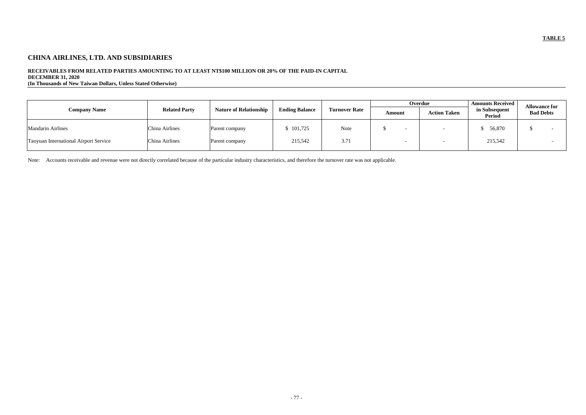# **CHINA AIRLINES, LTD. AND SUBSIDIARIES**

## **RECEIVABLES FROM RELATED PARTIES AMOUNTING TO AT LEAST NT\$100 MILLION OR 20% OF THE PAID-IN CAPITAL DECEMBER 31, 2020**

**(In Thousands of New Taiwan Dollars, Unless Stated Otherwise)**

|                                       |                      |                               |                       |                      |               | Overdue |                     | <b>Amounts Received</b>        | <b>Allowance for</b> |  |
|---------------------------------------|----------------------|-------------------------------|-----------------------|----------------------|---------------|---------|---------------------|--------------------------------|----------------------|--|
| <b>Company Name</b>                   | <b>Related Party</b> | <b>Nature of Relationship</b> | <b>Ending Balance</b> | <b>Turnover Rate</b> | <b>Amount</b> |         | <b>Action Taken</b> | in Subsequent<br><b>Period</b> | <b>Bad Debts</b>     |  |
| <b>Mandarin Airlines</b>              | China Airlines       | Parent company                | 101,725               | Note                 |               |         |                     | 56,870                         |                      |  |
| Taoyuan International Airport Service | China Airlines       | Parent company                | 215,542               | 3.71                 |               |         |                     | 215,542                        |                      |  |

Note: Accounts receivable and revenue were not directly correlated because of the particular industry characteristics, and therefore the turnover rate was not applicable.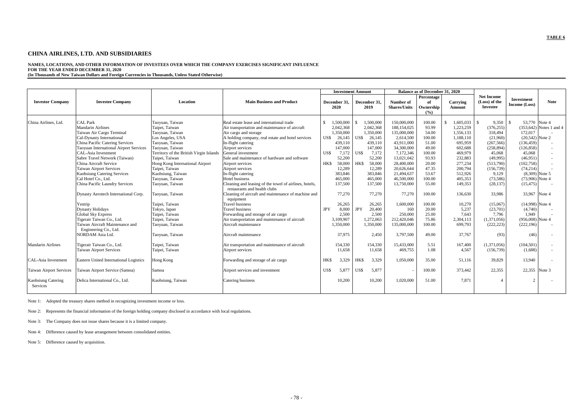## **CHINA AIRLINES, LTD. AND SUBSIDIARIES**

#### **NAMES, LOCATIONS, AND OTHER INFORMATION OF INVESTEES OVER WHICH THE COMPANY EXERCISES SIGNIFICANT INFLUENCE FOR THE YEAR ENDED DECEMBER 31, 2020 (In Thousands of New Taiwan Dollars and Foreign Currencies in Thousands, Unless Stated Otherwise)**

|                                       |                                                                                                                                                                                                                                                                                                                                                                                                                                                                                                                                                                                                                        |                                                                                                                                                                                                                                                                                                                                                                                                                            |                                                                                                                                                                                                                                                                                                                                                                                                                                                                                                                                                                                                                                                                                                                                              |                                                                                                                                                                                      |                                                                                     | <b>Investment Amount</b>                                                                                                                                                                                                                                            |                                                                                                                                                                                                                                                                           | <b>Balance as of December 31, 2020</b>                                                                                                                                                  |                                                                                                                                                                                                                                               |                                                                                                                                                                                                                                                             |                                                                                                                                                                                                                                                                                             |                            |
|---------------------------------------|------------------------------------------------------------------------------------------------------------------------------------------------------------------------------------------------------------------------------------------------------------------------------------------------------------------------------------------------------------------------------------------------------------------------------------------------------------------------------------------------------------------------------------------------------------------------------------------------------------------------|----------------------------------------------------------------------------------------------------------------------------------------------------------------------------------------------------------------------------------------------------------------------------------------------------------------------------------------------------------------------------------------------------------------------------|----------------------------------------------------------------------------------------------------------------------------------------------------------------------------------------------------------------------------------------------------------------------------------------------------------------------------------------------------------------------------------------------------------------------------------------------------------------------------------------------------------------------------------------------------------------------------------------------------------------------------------------------------------------------------------------------------------------------------------------------|--------------------------------------------------------------------------------------------------------------------------------------------------------------------------------------|-------------------------------------------------------------------------------------|---------------------------------------------------------------------------------------------------------------------------------------------------------------------------------------------------------------------------------------------------------------------|---------------------------------------------------------------------------------------------------------------------------------------------------------------------------------------------------------------------------------------------------------------------------|-----------------------------------------------------------------------------------------------------------------------------------------------------------------------------------------|-----------------------------------------------------------------------------------------------------------------------------------------------------------------------------------------------------------------------------------------------|-------------------------------------------------------------------------------------------------------------------------------------------------------------------------------------------------------------------------------------------------------------|---------------------------------------------------------------------------------------------------------------------------------------------------------------------------------------------------------------------------------------------------------------------------------------------|----------------------------|
| <b>Investor Company</b>               | <b>Investee Company</b>                                                                                                                                                                                                                                                                                                                                                                                                                                                                                                                                                                                                | <b>Location</b>                                                                                                                                                                                                                                                                                                                                                                                                            | <b>Main Business and Product</b>                                                                                                                                                                                                                                                                                                                                                                                                                                                                                                                                                                                                                                                                                                             | December 31,<br>2020                                                                                                                                                                 |                                                                                     | December 31.<br>2019                                                                                                                                                                                                                                                | Number of<br><b>Shares/Units</b>                                                                                                                                                                                                                                          | Percentage<br>of<br>Ownership<br>(9/6)                                                                                                                                                  | Carrying<br><b>Amount</b>                                                                                                                                                                                                                     | <b>Net Income</b><br>(Loss) of the<br><b>Investee</b>                                                                                                                                                                                                       | <b>Investment</b><br>Income (Loss)                                                                                                                                                                                                                                                          | <b>Note</b>                |
| China Airlines, Ltd.                  | <b>CAL Park</b><br>Mandarin Airlines<br>Taiwan Air Cargo Terminal<br>Cal-Dynasty International<br>China Pacific Catering Services<br>Taoyuan International Airport Services<br><b>CAL-Asia Investment</b><br>Sabre Travel Network (Taiwan)<br>China Aircraft Service<br>Taiwan Airport Services<br><b>Kaohsiung Catering Services</b><br>Cal Hotel Co., Ltd.<br>China Pacific Laundry Services<br>Dynasty Aerotech International Corp.<br>Yestrip<br><b>Dynasty Holidays</b><br><b>Global Sky Express</b><br>Tigerair Taiwan Co., Ltd.<br>Taiwan Aircraft Maintenance and<br>Engineering Co., Ltd.<br>NORDAM Asia Ltd. | Taoyuan, Taiwan<br>Taipei, Taiwan<br>Taoyuan, Taiwan<br>Los Angeles, USA<br>Taoyuan, Taiwan<br>Taoyuan, Taiwan<br>Territory of the British Virgin Islands<br>Taipei, Taiwan<br>Hong Kong International Airport<br>Taipei, Taiwan<br>Kaohsiung, Taiwan<br>Taoyuan, Taiwan<br>Taoyuan, Taiwan<br>Taoyuan, Taiwan<br>Taipei, Taiwan<br>Tokyo, Japan<br>Taipei, Taiwan<br>Taipei, Taiwan<br>Taoyuan, Taiwan<br>Taoyuan, Taiwan | Real estate lease and international trade<br>Air transportation and maintenance of aircraft<br>Air cargo and storage<br>A holding company, real estate and hotel services<br>In-flight catering<br>Airport services<br>General investment<br>Sale and maintenance of hardware and software<br>Airport services<br>Airport services<br>In-flight catering<br><b>Hotel business</b><br>Cleaning and leasing of the towel of airlines, hotels,<br>restaurants and health clubs<br>Cleaning of aircraft and maintenance of machine and<br>equipment<br><b>Travel business</b><br><b>Travel business</b><br>Forwarding and storage of air cargo<br>Air transportation and maintenance of aircraft<br>Aircraft maintenance<br>Aircraft maintenance | $\mathbf{s}$<br>1,500,000<br>2,042,368<br>1,350,000<br>26,145<br>US\$<br>439,110<br>147,000<br>US\$<br>HK\$<br>383,846<br>465,000<br>137,500<br><b>JPY</b><br>3,109,907<br>1,350,000 | 7,172<br>52,200<br>58,000<br>12,289<br>77,270<br>26,265<br>8,000<br>2,500<br>37,975 | 1,500,000<br>- \$<br>2,042,368<br>1,350,000<br>26,145<br>US\$<br>439,110<br>147,000<br>US\$<br>7,172<br>52,200<br>HK\$<br>58,000<br>12,289<br>383,846<br>465,000<br>137,500<br>77,270<br>26,265<br><b>JPY</b><br>20,400<br>2,500<br>1,272,063<br>1,350,000<br>2,450 | 150,000,000<br>188, 154, 025<br>135,000,000<br>2,614,500<br>43,911,000<br>34,300,000<br>7,172,346<br>13,021,042<br>28,400,000<br>20,626,644<br>21,494,637<br>46,500,000<br>13,750,000<br>77,270<br>1,600,000<br>160<br>250,000<br>212,420,046<br>135,000,000<br>3,797,500 | 100.00<br>93.99<br>54.00<br>100.00<br>51.00<br>49.00<br>100.00<br>93.93<br>20.00<br>47.35<br>53.67<br>100.00<br>55.00<br>100.00<br>100.00<br>20.00<br>25.00<br>75.86<br>100.00<br>49.00 | 1,605,033<br><sup>\$</sup><br>1,223,259<br>1,556,133<br>1,188,110<br>695,959<br>602,688<br>469,979<br>232,883<br>277,234<br>200,794<br>512,926<br>405,353<br>149,353<br>136,630<br>10,270<br>5,237<br>7,643<br>2,304,113<br>699,793<br>37,767 | 9,350<br>$\mathcal{S}$<br>(376, 255)<br>318,494<br>(21,960)<br>(267, 566)<br>(258, 894)<br>45,068<br>(49,995)<br>(513,790)<br>(156, 739)<br>9,129<br>(73, 586)<br>(28, 137)<br>33,986<br>(15,067)<br>(23,701)<br>7,796<br>(1,371,056)<br>(222, 223)<br>(93) | 53,770 Note 4<br>\$.<br>172,017<br>$(20,542)$ Note 2<br>(136, 459)<br>(126, 858)<br>45,068<br>(46,951)<br>(102,758)<br>(74,214)<br>$(8,309)$ Note 5<br>$(73,906)$ Note 4<br>(15, 475)<br>33,967 Note 4<br>$(14,998)$ Note 4<br>(4,740)<br>1,949<br>$(956,008)$ Note 4<br>(222, 196)<br>(46) | $(353, 642)$ Notes 1 and 4 |
| <b>Mandarin Airlines</b>              | Tigerair Taiwan Co., Ltd.<br><b>Taiwan Airport Services</b>                                                                                                                                                                                                                                                                                                                                                                                                                                                                                                                                                            | Taipei, Taiwan<br>Taipei, Taiwan                                                                                                                                                                                                                                                                                                                                                                                           | Air transportation and maintenance of aircraft<br>Airport services                                                                                                                                                                                                                                                                                                                                                                                                                                                                                                                                                                                                                                                                           | 154,330                                                                                                                                                                              | 11,658                                                                              | 154,330<br>11,658                                                                                                                                                                                                                                                   | 15,433,000<br>469,755                                                                                                                                                                                                                                                     | 5.51<br>1.08                                                                                                                                                                            | 167,400<br>4,567                                                                                                                                                                                                                              | (1,371,056)<br>(156, 739)                                                                                                                                                                                                                                   | (104, 501)<br>(1,688)                                                                                                                                                                                                                                                                       |                            |
| <b>CAL-Asia Investment</b>            | Eastern United International Logistics                                                                                                                                                                                                                                                                                                                                                                                                                                                                                                                                                                                 | Hong Kong                                                                                                                                                                                                                                                                                                                                                                                                                  | Forwarding and storage of air cargo                                                                                                                                                                                                                                                                                                                                                                                                                                                                                                                                                                                                                                                                                                          | <b>HKS</b>                                                                                                                                                                           | 3,329                                                                               | HK\$<br>3,329                                                                                                                                                                                                                                                       | 1.050.000                                                                                                                                                                                                                                                                 | 35.00                                                                                                                                                                                   | 51,116                                                                                                                                                                                                                                        | 39,829                                                                                                                                                                                                                                                      | 13,940                                                                                                                                                                                                                                                                                      |                            |
| Taiwan Airport Services               | Taiwan Airport Service (Samoa)                                                                                                                                                                                                                                                                                                                                                                                                                                                                                                                                                                                         | Samoa                                                                                                                                                                                                                                                                                                                                                                                                                      | Airport services and investment                                                                                                                                                                                                                                                                                                                                                                                                                                                                                                                                                                                                                                                                                                              | US\$                                                                                                                                                                                 | 5,877                                                                               | US\$<br>5,877                                                                                                                                                                                                                                                       |                                                                                                                                                                                                                                                                           | 100.00                                                                                                                                                                                  | 373,442                                                                                                                                                                                                                                       | 22,355                                                                                                                                                                                                                                                      | 22,355 Note 3                                                                                                                                                                                                                                                                               |                            |
| <b>Kaohsiung Catering</b><br>Services | Delica International Co., Ltd.                                                                                                                                                                                                                                                                                                                                                                                                                                                                                                                                                                                         | Kaohsiung, Taiwan                                                                                                                                                                                                                                                                                                                                                                                                          | Catering business                                                                                                                                                                                                                                                                                                                                                                                                                                                                                                                                                                                                                                                                                                                            |                                                                                                                                                                                      | 10,200                                                                              | 10,200                                                                                                                                                                                                                                                              | 1,020,000                                                                                                                                                                                                                                                                 | 51.00                                                                                                                                                                                   | 7,871                                                                                                                                                                                                                                         |                                                                                                                                                                                                                                                             | $\gamma$                                                                                                                                                                                                                                                                                    |                            |

Note 1: Adopted the treasury shares method in recognizing investment income or loss.

Note 2: Represents the financial information of the foreign holding company disclosed in accordance with local regulations.

Note 3: The Company does not issue shares because it is a limited company.

Note 4: Difference caused by lease arrangement between consolidated entities.

Note 5: Difference caused by acquisition.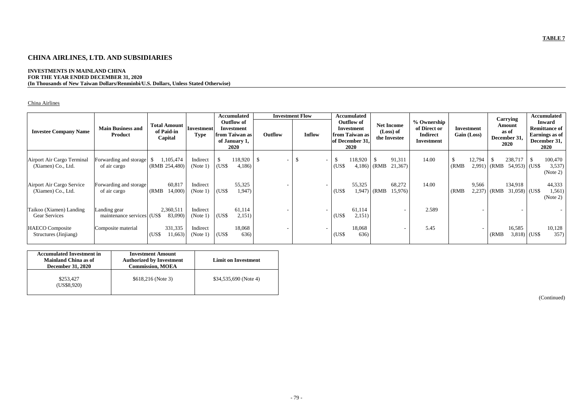# **CHINA AIRLINES, LTD. AND SUBSIDIARIES**

#### **INVESTMENTS IN MAINLAND CHINA FOR THE YEAR ENDED DECEMBER 31, 2020 (In Thousands of New Taiwan Dollars/Renminbi/U.S. Dollars, Unless Stated Otherwise)**

# China Airlines

|                                                  |                                            |                                              |                      |       | <b>Accumulated</b>                                                                | <b>Investment Flow</b> |                          |                                                                              | <b>Accumulated</b> |       |                                                |                                                              |                           |                  |                                         | <b>Carrying</b>            |                                                                                 | <b>Accumulated</b>            |
|--------------------------------------------------|--------------------------------------------|----------------------------------------------|----------------------|-------|-----------------------------------------------------------------------------------|------------------------|--------------------------|------------------------------------------------------------------------------|--------------------|-------|------------------------------------------------|--------------------------------------------------------------|---------------------------|------------------|-----------------------------------------|----------------------------|---------------------------------------------------------------------------------|-------------------------------|
| <b>Investee Company Name</b>                     | <b>Main Business and</b><br><b>Product</b> | <b>Total Amount</b><br>of Paid-in<br>Capital | Investment<br>Type   |       | <b>Outflow of</b><br><b>Investment</b><br>from Taiwan as<br>of January 1,<br>2020 | Outflow                | <b>Inflow</b>            | <b>Outflow of</b><br>Investment<br>from Taiwan as<br>of December 31,<br>2020 |                    |       | <b>Net Income</b><br>(Loss) of<br>the Investee | % Ownership<br>of Direct or<br><b>Indirect</b><br>Investment | Investment<br>Gain (Loss) |                  | Amount<br>as of<br>December 31,<br>2020 |                            | <b>Inward</b><br><b>Remittance of</b><br>Earnings as of<br>December 31,<br>2020 |                               |
| Airport Air Cargo Terminal<br>(Xiamen) Co., Ltd. | Forwarding and storage<br>of air cargo     | 1,105,474<br>(RMB 254,480)                   | Indirect<br>(Note 1) | (US\$ | 18,920<br>4,186)                                                                  | $\mathbb{S}$           | $\overline{\phantom{0}}$ | (US\$                                                                        | 118,920<br>4,186)  | (RMB) | 91,311<br>21,367)                              | 14.00                                                        | (RMB)                     | 12,794<br>2,991) | (RMB)                                   | 238,717<br>$54,953$ (US\$  |                                                                                 | 100,470<br>3,537)<br>(Note 2) |
| Airport Air Cargo Service<br>(Xiamen) Co., Ltd.  | Forwarding and storage<br>of air cargo     | 60,817<br>(RMB)<br>14,000)                   | Indirect<br>(Note 1) | (US\$ | 55,325<br>1,947)                                                                  |                        |                          | (US\$                                                                        | 55,325<br>1,947)   | (RMB) | 68,272<br>15,976)                              | 14.00                                                        | (RMB)                     | 9,566<br>2,237   | (RMB)                                   | 134,918<br>$31,058$ (US\$) |                                                                                 | 44,333<br>1,561)<br>(Note 2)  |
| Taikoo (Xiamen) Landing<br>Gear Services         | Landing gear<br>maintenance services (US\$ | 2,360,511<br>83,090)                         | Indirect<br>(Note 1) | (US\$ | 61,114<br>2,151)                                                                  |                        |                          | (US\$                                                                        | 61,114<br>2,151)   |       |                                                | 2.589                                                        |                           |                  |                                         |                            |                                                                                 |                               |
| <b>HAECO</b> Composite<br>Structures (Jinjiang)  | Composite material                         | 331,335<br>(US\$<br>11,663)                  | Indirect<br>(Note 1) | (US\$ | 18,068<br>636)                                                                    |                        |                          | (US\$                                                                        | 18,068<br>636)     |       |                                                | 5.45                                                         |                           |                  | (RMB)                                   | 16,585<br>$3,818$ (US\$)   |                                                                                 | 10,128<br>357)                |

| <b>Accumulated Investment in</b><br>Mainland China as of<br><b>December 31, 2020</b> | <b>Investment Amount</b><br><b>Authorized by Investment</b><br><b>Commission, MOEA</b> | Limit on Investment    |
|--------------------------------------------------------------------------------------|----------------------------------------------------------------------------------------|------------------------|
| \$253,427<br>(US\$8,920)                                                             | $$618,216$ (Note 3)                                                                    | $$34,535,690$ (Note 4) |

(Continued)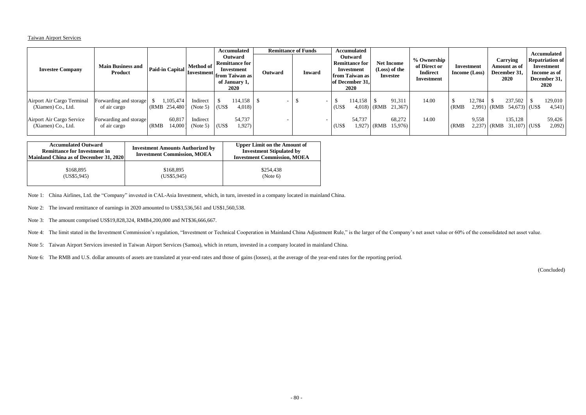## Taiwan Airport Services

| <b>Investee Company</b>                                                                             | <b>Main Business and</b><br><b>Product</b>                                       | <b>Paid-in Capital</b>                                  | Method of<br><b>Investment</b>               |                                          | <b>Accumulated</b><br><b>Outward</b><br><b>Remittance for</b><br>Investment<br>from Taiwan as<br>of January 1,<br><b>2020</b> | <b>Remittance of Funds</b><br>Outward | Inward |                | <b>Accumulated</b><br>Outward<br><b>Remittance for</b><br>Investment<br>from Taiwan as<br>of December 31,<br>2020 |                        | % Ownership<br><b>Net Income</b><br>of Direct or<br>(Loss) of the<br><b>Indirect</b><br><b>Investee</b><br>Investment |                | Investment<br><b>Income (Loss)</b> |                                   | Carrying<br>Amount as of<br>December 31,<br>2020 |                                                                        | Accumulated<br><b>Repatriation of</b><br>Investment<br>Income as of<br>December 31,<br>2020 |                                     |
|-----------------------------------------------------------------------------------------------------|----------------------------------------------------------------------------------|---------------------------------------------------------|----------------------------------------------|------------------------------------------|-------------------------------------------------------------------------------------------------------------------------------|---------------------------------------|--------|----------------|-------------------------------------------------------------------------------------------------------------------|------------------------|-----------------------------------------------------------------------------------------------------------------------|----------------|------------------------------------|-----------------------------------|--------------------------------------------------|------------------------------------------------------------------------|---------------------------------------------------------------------------------------------|-------------------------------------|
| Airport Air Cargo Terminal<br>(Xiamen) Co., Ltd.<br>Airport Air Cargo Service<br>(Xiamen) Co., Ltd. | Forwarding and storage<br>of air cargo<br>Forwarding and storage<br>of air cargo | 1,105,474<br>(RMB 254,480)<br>60,817<br>14,000<br>(RMB) | Indirect<br>(Note 5)<br>Indirect<br>(Note 5) | $\overline{\text{USS}}$<br>$\vert$ (US\$ | 114,158<br>4,018)<br>54,737<br>1,927)                                                                                         |                                       |        | (US\$<br>(US\$ | 114,158<br>4,018)<br>54,737<br>1,927)                                                                             | (RMB)<br>$\vert$ (RMB) | 91,311<br>21,367)<br>68,272<br>15,976                                                                                 | 14.00<br>14.00 | (RMB)<br>(RMB)                     | 12,784<br>2,991<br>9,558<br>2,237 |                                                  | 237,502<br>$(RMB 54,673)$ (US\$)<br>135,128<br>$(RMB \t31,107)$ (US\$) |                                                                                             | 129,010<br>4,541<br>59,426<br>2,092 |

| <b>Accumulated Outward</b><br><b>Remittance for Investment in</b><br>Mainland China as of December 31, 2020 | <b>Investment Amounts Authorized by</b><br><b>Investment Commission, MOEA</b> | <b>Upper Limit on the Amount of</b><br><b>Investment Stipulated by</b><br><b>Investment Commission, MOEA</b> |
|-------------------------------------------------------------------------------------------------------------|-------------------------------------------------------------------------------|--------------------------------------------------------------------------------------------------------------|
| \$168,895                                                                                                   | \$168,895                                                                     | \$254,438                                                                                                    |
| (US\$5,945)                                                                                                 | (US\$5,945)                                                                   | (Note 6)                                                                                                     |

Note 1: China Airlines, Ltd. the "Company" invested in CAL-Asia Investment, which, in turn, invested in a company located in mainland China.

Note 2: The inward remittance of earnings in 2020 amounted to US\$3,536,561 and US\$1,560,538.

Note 3: The amount comprised US\$19,828,324, RMB4,200,000 and NT\$36,666,667.

Note 4: The limit stated in the Investment Commission's regulation, "Investment or Technical Cooperation in Mainland China Adjustment Rule," is the larger of the Company's net asset value or 60% of the consolidated net ass

Note 5: Taiwan Airport Services invested in Taiwan Airport Services (Samoa), which in return, invested in a company located in mainland China.

Note 6: The RMB and U.S. dollar amounts of assets are translated at year-end rates and those of gains (losses), at the average of the year-end rates for the reporting period.

(Concluded)